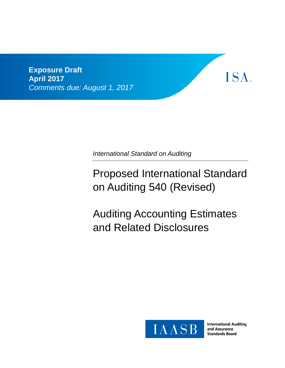**Exposure Draft April 2017** *Comments due: August 1, 2017*

*International Standard on Auditing*

Proposed International Standard on Auditing 540 (Revised)

Auditing Accounting Estimates and Related Disclosures



**International Auditing** and Assurance **Standards Board** 

ISA.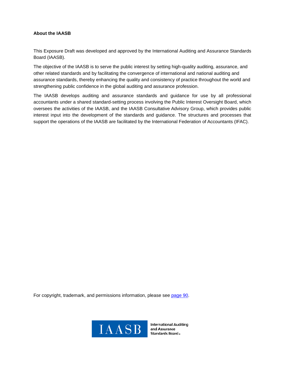#### **About the IAASB**

This Exposure Draft was developed and approved by the International Auditing and Assurance Standards Board (IAASB).

The objective of the IAASB is to serve the public interest by setting high-quality auditing, assurance, and other related standards and by facilitating the convergence of international and national auditing and assurance standards, thereby enhancing the quality and consistency of practice throughout the world and strengthening public confidence in the global auditing and assurance profession.

The IAASB develops auditing and assurance standards and guidance for use by all professional accountants under a shared standard-setting process involving the Public Interest Oversight Board, which oversees the activities of the IAASB, and the IAASB Consultative Advisory Group, which provides public interest input into the development of the standards and guidance. The structures and processes that support the operations of the IAASB are facilitated by the International Federation of Accountants (IFAC).

For copyright, trademark, and permissions information, please see page 90.



**International Auditing** and Assurance Standards Board.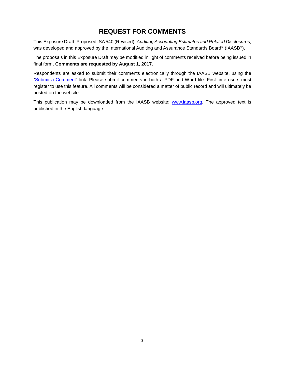# **REQUEST FOR COMMENTS**

This Exposure Draft, Proposed ISA 540 (Revised), *Auditing Accounting Estimates and Related Disclosures,* was developed and approved by the International Auditing and Assurance Standards Board® (IAASB®).

The proposals in this Exposure Draft may be modified in light of comments received before being issued in final form. **Comments are requested by August 1, 2017.**

Respondents are asked to submit their comments electronically through the IAASB website, using the "Submit a Comment" link. Please submit comments in both a PDF and Word file. First-time users must register to use this feature. All comments will be considered a matter of public record and will ultimately be posted on the website.

This publication may be downloaded from the IAASB website: www.iaasb.org. The approved text is published in the English language.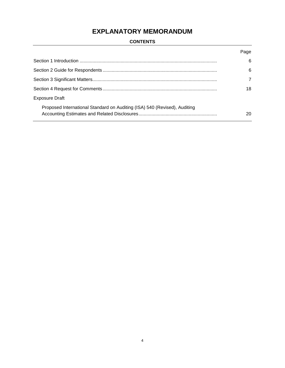# **EXPLANATORY MEMORANDUM**

# **CONTENTS**

|                                                                           | Page |
|---------------------------------------------------------------------------|------|
|                                                                           | 6    |
|                                                                           | 6    |
|                                                                           | 7    |
|                                                                           | 18   |
| <b>Exposure Draft</b>                                                     |      |
| Proposed International Standard on Auditing (ISA) 540 (Revised), Auditing | 20   |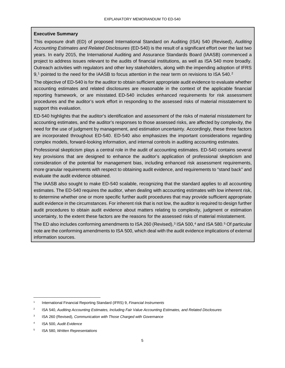#### **Executive Summary**

This exposure draft (ED) of proposed International Standard on Auditing (ISA) 540 (Revised), *Auditing Accounting Estimates and Related Disclosures* (ED-540) is the result of a significant effort over the last two years. In early 2015, the International Auditing and Assurance Standards Board (IAASB) commenced a project to address issues relevant to the audits of financial institutions, as well as ISA 540 more broadly. Outreach activities with regulators and other key stakeholders, along with the impending adoption of IFRS 9,<sup>1</sup> pointed to the need for the IAASB to focus attention in the near term on revisions to ISA 540.<sup>2</sup>

The objective of ED-540 is for the auditor to obtain sufficient appropriate audit evidence to evaluate whether accounting estimates and related disclosures are reasonable in the context of the applicable financial reporting framework, or are misstated. ED-540 includes enhanced requirements for risk assessment procedures and the auditor's work effort in responding to the assessed risks of material misstatement to support this evaluation.

ED-540 highlights that the auditor's identification and assessment of the risks of material misstatement for accounting estimates, and the auditor's responses to those assessed risks, are affected by complexity, the need for the use of judgment by management, and estimation uncertainty. Accordingly, these three factors are incorporated throughout ED-540. ED-540 also emphasizes the important considerations regarding complex models, forward-looking information, and internal controls in auditing accounting estimates.

Professional skepticism plays a central role in the audit of accounting estimates. ED-540 contains several key provisions that are designed to enhance the auditor's application of professional skepticism and consideration of the potential for management bias, including enhanced risk assessment requirements, more granular requirements with respect to obtaining audit evidence, and requirements to "stand back" and evaluate the audit evidence obtained.

The IAASB also sought to make ED-540 scalable, recognizing that the standard applies to all accounting estimates. The ED-540 requires the auditor, when dealing with accounting estimates with low inherent risk, to determine whether one or more specific further audit procedures that may provide sufficient appropriate audit evidence in the circumstances. For inherent risk that is not low, the auditor is required to design further audit procedures to obtain audit evidence about matters relating to complexity, judgment or estimation uncertainty, to the extent these factors are the reasons for the assessed risks of material misstatement.

The ED also includes conforming amendments to ISA 260 (Revised),<sup>3</sup> ISA 500,<sup>4</sup> and ISA 580.<sup>5</sup> Of particular note are the conforming amendments to ISA 500, which deal with the audit evidence implications of external information sources.

 <sup>1</sup> International Financial Reporting Standard (IFRS) 9, *Financial Instruments*

<sup>2</sup> ISA 540, *Auditing Accounting Estimates, Including Fair Value Accounting Estimates, and Related Disclosures*

<sup>3</sup> ISA 260 (Revised), *Communication with Those Charged with Governance*

<sup>4</sup> ISA 500, *Audit Evidence* 

<sup>5</sup> ISA 580, *Written Representations*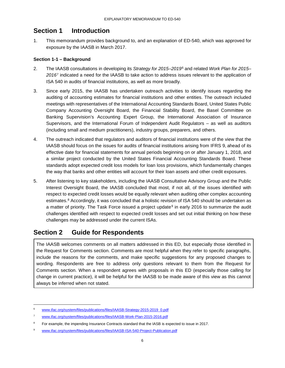# **Section 1 Introduction**

1. This memorandum provides background to, and an explanation of ED-540, which was approved for exposure by the IAASB in March 2017.

#### **Section 1-1 – Background**

- 2. The IAASB consultations in developing its *Strategy for 2015–2019*<sup>6</sup> and related *Work Plan for 2015– 2016*<sup>7</sup> indicated a need for the IAASB to take action to address issues relevant to the application of ISA 540 in audits of financial institutions, as well as more broadly.
- 3. Since early 2015, the IAASB has undertaken outreach activities to identify issues regarding the auditing of accounting estimates for financial institutions and other entities. The outreach included meetings with representatives of the International Accounting Standards Board, United States Public Company Accounting Oversight Board, the Financial Stability Board, the Basel Committee on Banking Supervision's Accounting Expert Group, the International Association of Insurance Supervisors, and the International Forum of Independent Audit Regulators – as well as auditors (including small and medium practitioners), industry groups, preparers, and others.
- 4. The outreach indicated that regulators and auditors of financial institutions were of the view that the IAASB should focus on the issues for audits of financial institutions arising from IFRS 9, ahead of its effective date for financial statements for annual periods beginning on or after January 1, 2018, and a similar project conducted by the United States Financial Accounting Standards Board. These standards adopt expected credit loss models for loan loss provisions, which fundamentally changes the way that banks and other entities will account for their loan assets and other credit exposures.
- 5. After listening to key stakeholders, including the IAASB Consultative Advisory Group and the Public Interest Oversight Board, the IAASB concluded that most, if not all, of the issues identified with respect to expected credit losses would be equally relevant when auditing other complex accounting estimates.<sup>8</sup> Accordingly, it was concluded that a holistic revision of ISA 540 should be undertaken as a matter of priority. The Task Force issued a project update<sup>9</sup> in early 2016 to summarize the audit challenges identified with respect to expected credit losses and set out initial thinking on how these challenges may be addressed under the current ISAs.

# **Section 2 Guide for Respondents**

The IAASB welcomes comments on all matters addressed in this ED, but especially those identified in the Request for Comments section. Comments are most helpful when they refer to specific paragraphs, include the reasons for the comments, and make specific suggestions for any proposed changes to wording. Respondents are free to address only questions relevant to them from the Request for Comments section. When a respondent agrees with proposals in this ED (especially those calling for change in current practice), it will be helpful for the IAASB to be made aware of this view as this cannot always be inferred when not stated.

 <sup>6</sup> www.ifac.org/system/files/publications/files/IAASB-Strategy-2015-2019\_0.pdf

<sup>7</sup> www.ifac.org/system/files/publications/files/IAASB-Work-Plan-2015-2016.pdf

<sup>&</sup>lt;sup>8</sup> For example, the impending Insurance Contracts standard that the IASB is expected to issue in 2017.

<sup>9</sup> www.ifac.org/system/files/publications/files/IAASB-ISA-540-Project-Publication.pdf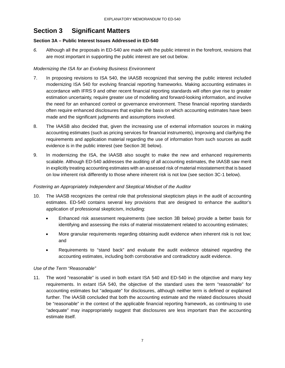# **Section 3 Significant Matters**

### **Section 3A – Public Interest Issues Addressed in ED-540**

*6.* Although all the proposals in ED-540 are made with the public interest in the forefront, revisions that are most important in supporting the public interest are set out below.

## *Modernizing the ISA for an Evolving Business Environment*

- 7. In proposing revisions to ISA 540, the IAASB recognized that serving the public interest included modernizing ISA 540 for evolving financial reporting frameworks. Making accounting estimates in accordance with IFRS 9 and other recent financial reporting standards will often give rise to greater estimation uncertainty, require greater use of modelling and forward-looking information, and involve the need for an enhanced control or governance environment. These financial reporting standards often require enhanced disclosures that explain the basis on which accounting estimates have been made and the significant judgments and assumptions involved.
- 8. The IAASB also decided that, given the increasing use of external information sources in making accounting estimates (such as pricing services for financial instruments), improving and clarifying the requirements and application material regarding the use of information from such sources as audit evidence is in the public interest (see Section 3E below).
- 9. In modernizing the ISA, the IAASB also sought to make the new and enhanced requirements scalable. Although ED-540 addresses the auditing of all accounting estimates, the IAASB saw merit in explicitly treating accounting estimates with an assessed risk of material misstatement that is based on low inherent risk differently to those where inherent risk is not low (see section 3C-1 below).

#### *Fostering an Appropriately Independent and Skeptical Mindset of the Auditor*

- 10. The IAASB recognizes the central role that professional skepticism plays in the audit of accounting estimates. ED-540 contains several key provisions that are designed to enhance the auditor's application of professional skepticism, including:
	- Enhanced risk assessment requirements (see section 3B below) provide a better basis for identifying and assessing the risks of material misstatement related to accounting estimates;
	- More granular requirements regarding obtaining audit evidence when inherent risk is not low; and
	- Requirements to "stand back" and evaluate the audit evidence obtained regarding the accounting estimates, including both corroborative and contradictory audit evidence.

#### *Use of the Term "Reasonable"*

11. The word "reasonable" is used in both extant ISA 540 and ED-540 in the objective and many key requirements. In extant ISA 540, the objective of the standard uses the term "reasonable" for accounting estimates but "adequate" for disclosures, although neither term is defined or explained further. The IAASB concluded that both the accounting estimate and the related disclosures should be "reasonable" in the context of the applicable financial reporting framework, as continuing to use "adequate" may inappropriately suggest that disclosures are less important than the accounting estimate itself.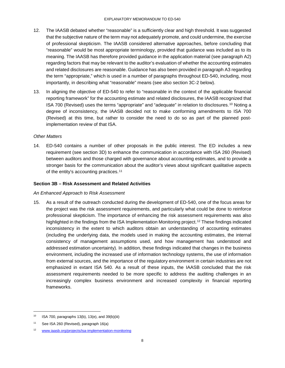- 12. The IAASB debated whether "reasonable" is a sufficiently clear and high threshold. It was suggested that the subjective nature of the term may not adequately promote, and could undermine, the exercise of professional skepticism. The IAASB considered alternative approaches, before concluding that "reasonable" would be most appropriate terminology, provided that guidance was included as to its meaning. The IAASB has therefore provided guidance in the application material (see paragraph A2) regarding factors that may be relevant to the auditor's evaluation of whether the accounting estimates and related disclosures are reasonable. Guidance has also been provided in paragraph A3 regarding the term "appropriate," which is used in a number of paragraphs throughout ED-540, including, most importantly, in describing what "reasonable" means (see also section 3C-2 below).
- 13. In aligning the objective of ED-540 to refer to "reasonable in the context of the applicable financial reporting framework" for the accounting estimate and related disclosures, the IAASB recognized that ISA 700 (Revised) uses the terms "appropriate" and "adequate" in relation to disclosures.10 Noting a degree of inconsistency, the IAASB decided not to make conforming amendments to ISA 700 (Revised) at this time, but rather to consider the need to do so as part of the planned postimplementation review of that ISA.

#### *Other Matters*

14. ED-540 contains a number of other proposals in the public interest. The ED includes a new requirement (see section 3D) to enhance the communication in accordance with ISA 260 (Revised) between auditors and those charged with governance about accounting estimates, and to provide a stronger basis for the communication about the auditor's views about significant qualitative aspects of the entity's accounting practices.<sup>11</sup>

### **Section 3B – Risk Assessment and Related Activities**

#### *An Enhanced Approach to Risk Assessment*

15. As a result of the outreach conducted during the development of ED-540, one of the focus areas for the project was the risk assessment requirements, and particularly what could be done to reinforce professional skepticism. The importance of enhancing the risk assessment requirements was also highlighted in the findings from the ISA Implementation Monitoring project.<sup>12</sup> These findings indicated inconsistency in the extent to which auditors obtain an understanding of accounting estimates (including the underlying data, the models used in making the accounting estimates, the internal consistency of management assumptions used, and how management has understood and addressed estimation uncertainty). In addition, these findings indicated that changes in the business environment, including the increased use of information technology systems, the use of information from external sources, and the importance of the regulatory environment in certain industries are not emphasized in extant ISA 540. As a result of these inputs, the IAASB concluded that the risk assessment requirements needed to be more specific to address the auditing challenges in an increasingly complex business environment and increased complexity in financial reporting frameworks.

 $10$  ISA 700, paragraphs 13(b), 13(e), and 39(b)(iii)

<sup>11</sup> See ISA 260 (Revised), paragraph 16(a)

<sup>12</sup> www.iaasb.org/projects/isa-implementation-monitoring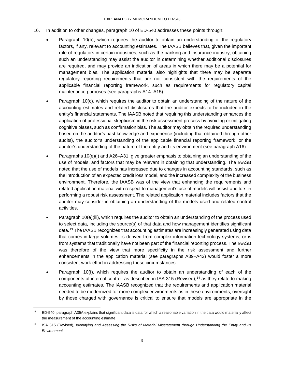- 16. In addition to other changes, paragraph 10 of ED-540 addresses these points through:
	- Paragraph 10(b), which requires the auditor to obtain an understanding of the regulatory factors, if any, relevant to accounting estimates. The IAASB believes that, given the important role of regulators in certain industries, such as the banking and insurance industry, obtaining such an understanding may assist the auditor in determining whether additional disclosures are required, and may provide an indication of areas in which there may be a potential for management bias. The application material also highlights that there may be separate regulatory reporting requirements that are not consistent with the requirements of the applicable financial reporting framework, such as requirements for regulatory capital maintenance purposes (see paragraphs A14–A15).
	- Paragraph 10(c), which requires the auditor to obtain an understanding of the nature of the accounting estimates and related disclosures that the auditor expects to be included in the entity's financial statements. The IAASB noted that requiring this understanding enhances the application of professional skepticism in the risk assessment process by avoiding or mitigating cognitive biases, such as confirmation bias. The auditor may obtain the required understanding based on the auditor's past knowledge and experience (including that obtained through other audits), the auditor's understanding of the applicable financial reporting framework, or the auditor's understanding of the nature of the entity and its environment (see paragraph A16).
	- Paragraphs 10(e)(i) and A26–A31, give greater emphasis to obtaining an understanding of the use of models, and factors that may be relevant in obtaining that understanding. The IAASB noted that the use of models has increased due to changes in accounting standards, such as the introduction of an expected credit loss model, and the increased complexity of the business environment. Therefore, the IAASB was of the view that enhancing the requirements and related application material with respect to management's use of models will assist auditors in performing a robust risk assessment. The related application material includes factors that the auditor may consider in obtaining an understanding of the models used and related control activities.
	- Paragraph 10(e)(iii), which requires the auditor to obtain an understanding of the process used to select data, including the source(s) of that data and how management identifies significant data.<sup>13</sup> The IAASB recognizes that accounting estimates are increasingly generated using data that comes in large volumes, is derived from complex information technology systems, or is from systems that traditionally have not been part of the financial reporting process. The IAASB was therefore of the view that more specificity in the risk assessment and further enhancements in the application material (see paragraphs A39–A42) would foster a more consistent work effort in addressing these circumstances.
	- Paragraph 10(f), which requires the auditor to obtain an understanding of each of the components of internal control, as described in ISA 315 (Revised),  $14$  as they relate to making accounting estimates. The IAASB recognized that the requirements and application material needed to be modernized for more complex environments as in these environments, oversight by those charged with governance is critical to ensure that models are appropriate in the

 $13$  ED-540, paragraph A35A explains that significant data is data for which a reasonable variation in the data would materially affect the measurement of the accounting estimate.

<sup>14</sup> ISA 315 (Revised), *Identifying and Assessing the Risks of Material Misstatement through Understanding the Entity and Its Environment*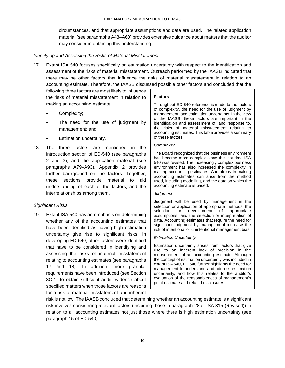circumstances, and that appropriate assumptions and data are used. The related application material (see paragraphs A48–A60) provides extensive guidance about matters that the auditor may consider in obtaining this understanding.

#### *Identifying and Assessing the Risks of Material Misstatement*

17. Extant ISA 540 focuses specifically on estimation uncertainty with respect to the identification and assessment of the risks of material misstatement. Outreach performed by the IAASB indicated that there may be other factors that influence the risks of material misstatement in relation to an accounting estimate. Therefore, the IAASB discussed possible other factors and concluded that the

following three factors are most likely to influence the risks of material misstatement in relation to making an accounting estimate:

- Complexity;
- The need for the use of judgment by management; and
- Estimation uncertainty.
- 18. The three factors are mentioned in the introduction section of ED-540 (see paragraphs 2 and 3), and the application material (see paragraphs A79–A93). Appendix 2 provides further background on the factors. Together, these sections provide material to aid understanding of each of the factors, and the interrelationships among them.

#### *Significant Risks*

19. Extant ISA 540 has an emphasis on determining whether any of the accounting estimates that have been identified as having high estimation uncertainty give rise to significant risks. In developing ED-540, other factors were identified that have to be considered in identifying and assessing the risks of material misstatement relating to accounting estimates (see paragraphs 17 and 18). In addition, more granular requirements have been introduced (see Section 3C-1) to obtain sufficient audit evidence about specified matters when those factors are reasons for a risk of material misstatement and inherent

#### **Factors**

Throughout ED-540 reference is made to the factors of complexity, the need for the use of judgment by management, and estimation uncertainty. In the view of the IAASB, these factors are important in the identification and assessment of, and response to, the risks of material misstatement relating to accounting estimates. This table provides a summary of these factors.

#### *Complexity*

The Board recognized that the business environment has become more complex since the last time ISA 540 was revised. The increasingly complex business environment has also increased the complexity in making accounting estimates. Complexity in making accounting estimates can arise from the method used, including modelling, and the data on which the accounting estimate is based.

#### *Judgment*

Judgment will be used by management in the selection or application of appropriate methods, the selection or development of appropriate assumptions, and the selection or interpretation of data. Accounting estimates that require the need for significant judgment by management increase the risk of intentional or unintentional management bias.

#### *Estimation Uncertainty*

Estimation uncertainty arises from factors that give rise to an inherent lack of precision in the measurement of an accounting estimate. Although the concept of estimation uncertainty was included in extant ISA 540, ED 540 further highlights the need for management to understand and address estimation uncertainty, and how this relates to the auditor's evaluation of the reasonableness of management's point estimate and related disclosures.

risk is not low. The IAASB concluded that determining whether an accounting estimate is a significant risk involves considering relevant factors (including those in paragraph 28 of ISA 315 (Revised)) in relation to all accounting estimates not just those where there is high estimation uncertainty (see paragraph 15 of ED-540).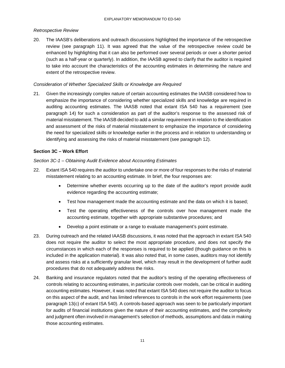#### *Retrospective Review*

20. The IAASB's deliberations and outreach discussions highlighted the importance of the retrospective review (see paragraph 11). It was agreed that the value of the retrospective review could be enhanced by highlighting that it can also be performed over several periods or over a shorter period (such as a half-year or quarterly). In addition, the IAASB agreed to clarify that the auditor is required to take into account the characteristics of the accounting estimates in determining the nature and extent of the retrospective review.

#### *Consideration of Whether Specialized Skills or Knowledge are Required*

21. Given the increasingly complex nature of certain accounting estimates the IAASB considered how to emphasize the importance of considering whether specialized skills and knowledge are required in auditing accounting estimates. The IAASB noted that extant ISA 540 has a requirement (see paragraph 14) for such a consideration as part of the auditor's response to the assessed risk of material misstatement. The IAASB decided to add a similar requirement in relation to the identification and assessment of the risks of material misstatement to emphasize the importance of considering the need for specialized skills or knowledge earlier in the process and in relation to understanding or identifying and assessing the risks of material misstatement (see paragraph 12).

#### **Section 3C – Work Effort**

#### *Section 3C-1 – Obtaining Audit Evidence about Accounting Estimates*

- 22. Extant ISA 540 requires the auditor to undertake one or more of four responses to the risks of material misstatement relating to an accounting estimate. In brief, the four responses are:
	- Determine whether events occurring up to the date of the auditor's report provide audit evidence regarding the accounting estimate;
	- Test how management made the accounting estimate and the data on which it is based;
	- Test the operating effectiveness of the controls over how management made the accounting estimate, together with appropriate substantive procedures; and
	- Develop a point estimate or a range to evaluate management's point estimate.
- 23. During outreach and the related IAASB discussions, it was noted that the approach in extant ISA 540 does not require the auditor to select the most appropriate procedure, and does not specify the circumstances in which each of the responses is required to be applied (though guidance on this is included in the application material). It was also noted that, in some cases, auditors may not identify and assess risks at a sufficiently granular level, which may result in the development of further audit procedures that do not adequately address the risks.
- 24. Banking and insurance regulators noted that the auditor's testing of the operating effectiveness of controls relating to accounting estimates, in particular controls over models, can be critical in auditing accounting estimates. However, it was noted that extant ISA 540 does not require the auditor to focus on this aspect of the audit, and has limited references to controls in the work effort requirements (see paragraph 13(c) of extant ISA 540). A controls-based approach was seen to be particularly important for audits of financial institutions given the nature of their accounting estimates, and the complexity and judgment often involved in management's selection of methods, assumptions and data in making those accounting estimates.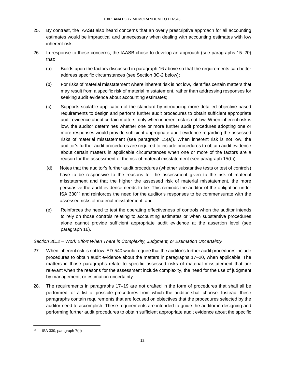- 25. By contrast, the IAASB also heard concerns that an overly prescriptive approach for all accounting estimates would be impractical and unnecessary when dealing with accounting estimates with low inherent risk.
- 26. In response to these concerns, the IAASB chose to develop an approach (see paragraphs 15–20) that:
	- (a) Builds upon the factors discussed in paragraph 16 above so that the requirements can better address specific circumstances (see Section 3C-2 below);
	- (b) For risks of material misstatement where inherent risk is not low, identifies certain matters that may result from a specific risk of material misstatement, rather than addressing responses for seeking audit evidence about accounting estimates;
	- (c) Supports scalable application of the standard by introducing more detailed objective based requirements to design and perform further audit procedures to obtain sufficient appropriate audit evidence about certain matters, only when inherent risk is not low. When inherent risk is low, the auditor determines whether one or more further audit procedures adopting one or more responses would provide sufficient appropriate audit evidence regarding the assessed risks of material misstatement (see paragraph 15(a)). When inherent risk is not low, the auditor's further audit procedures are required to include procedures to obtain audit evidence about certain matters in applicable circumstances when one or more of the factors are a reason for the assessment of the risk of material misstatement (see paragraph 15(b));
	- (d) Notes that the auditor's further audit procedures (whether substantive tests or test of controls) have to be responsive to the reasons for the assessment given to the risk of material misstatement and that the higher the assessed risk of material misstatement, the more persuasive the audit evidence needs to be. This reminds the auditor of the obligation under ISA 33015 and reinforces the need for the auditor's responses to be commensurate with the assessed risks of material misstatement; and
	- (e) Reinforces the need to test the operating effectiveness of controls when the auditor intends to rely on those controls relating to accounting estimates or when substantive procedures alone cannot provide sufficient appropriate audit evidence at the assertion level (see paragraph 16).

# *Section 3C.2 – Work Effort When There is Complexity, Judgment, or Estimation Uncertainty*

- 27. When inherent risk is not low, ED-540 would require that the auditor's further audit procedures include procedures to obtain audit evidence about the matters in paragraphs 17–20, when applicable. The matters in those paragraphs relate to specific assessed risks of material misstatement that are relevant when the reasons for the assessment include complexity, the need for the use of judgment by management, or estimation uncertainty.
- 28. The requirements in paragraphs 17–19 are not drafted in the form of procedures that shall all be performed, or a list of possible procedures from which the auditor shall choose. Instead, these paragraphs contain requirements that are focused on objectives that the procedures selected by the auditor need to accomplish. These requirements are intended to guide the auditor in designing and performing further audit procedures to obtain sufficient appropriate audit evidence about the specific

 $15$  ISA 330, paragraph  $7(b)$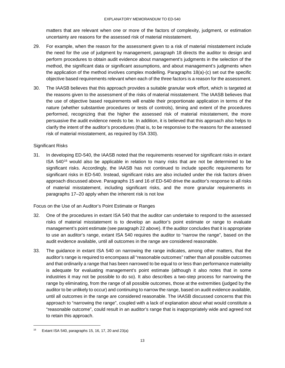matters that are relevant when one or more of the factors of complexity, judgment, or estimation uncertainty are reasons for the assessed risk of material misstatement.

- 29. For example, when the reason for the assessment given to a risk of material misstatement include the need for the use of judgment by management, paragraph 18 directs the auditor to design and perform procedures to obtain audit evidence about management's judgments in the selection of the method, the significant data or significant assumptions, and about management's judgments when the application of the method involves complex modelling. Paragraphs 18(a)-(c) set out the specific objective based requirements relevant when each of the three factors is a reason for the assessment.
- 30. The IAASB believes that this approach provides a suitable granular work effort, which is targeted at the reasons given to the assessment of the risks of material misstatement. The IAASB believes that the use of objective based requirements will enable their proportionate application in terms of the nature (whether substantive procedures or tests of controls), timing and extent of the procedures performed, recognizing that the higher the assessed risk of material misstatement, the more persuasive the audit evidence needs to be. In addition, it is believed that this approach also helps to clarify the intent of the auditor's procedures (that is, to be responsive to the reasons for the assessed risk of material misstatement, as required by ISA 330).

#### Significant Risks

31. In developing ED-540, the IAASB noted that the requirements reserved for significant risks in extant ISA  $540^{16}$  would also be applicable in relation to many risks that are not be determined to be significant risks. Accordingly, the IAASB has not continued to include specific requirements for significant risks in ED-540. Instead, significant risks are also included under the risk factors driven approach discussed above. Paragraphs 15 and 16 of ED-540 drive the auditor's response to all risks of material misstatement, including significant risks, and the more granular requirements in paragraphs 17–20 apply when the inherent risk is not low

#### Focus on the Use of an Auditor's Point Estimate or Ranges

- 32. One of the procedures in extant ISA 540 that the auditor can undertake to respond to the assessed risks of material misstatement is to develop an auditor's point estimate or range to evaluate management's point estimate (see paragraph 22 above). If the auditor concludes that it is appropriate to use an auditor's range, extant ISA 540 requires the auditor to "narrow the range", based on the audit evidence available, until all outcomes in the range are considered reasonable.
- 33. The guidance in extant ISA 540 on narrowing the range indicates, among other matters, that the auditor's range is required to encompass all "reasonable outcomes" rather than all possible outcomes and that ordinarily a range that has been narrowed to be equal to or less than performance materiality is adequate for evaluating management's point estimate (although it also notes that in some industries it may not be possible to do so). It also describes a two-step process for narrowing the range by eliminating, from the range of all possible outcomes, those at the extremities (judged by the auditor to be unlikely to occur) and continuing to narrow the range, based on audit evidence available, until all outcomes in the range are considered reasonable. The IAASB discussed concerns that this approach to "narrowing the range", coupled with a lack of explanation about what would constitute a "reasonable outcome", could result in an auditor's range that is inappropriately wide and agreed not to retain this approach.

Extant ISA 540, paragraphs 15, 16, 17, 20 and 23(a)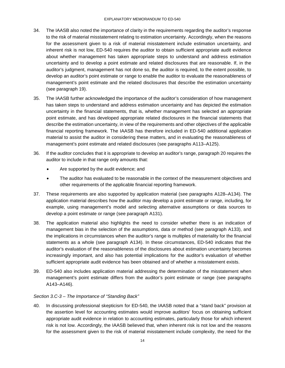- 34. The IAASB also noted the importance of clarity in the requirements regarding the auditor's response to the risk of material misstatement relating to estimation uncertainty. Accordingly, when the reasons for the assessment given to a risk of material misstatement include estimation uncertainty, and inherent risk is not low, ED-540 requires the auditor to obtain sufficient appropriate audit evidence about whether management has taken appropriate steps to understand and address estimation uncertainty and to develop a point estimate and related disclosures that are reasonable. If, in the auditor's judgment, management has not done so, the auditor is required, to the extent possible, to develop an auditor's point estimate or range to enable the auditor to evaluate the reasonableness of management's point estimate and the related disclosures that describe the estimation uncertainty (see paragraph 19).
- 35. The IAASB further acknowledged the importance of the auditor's consideration of how management has taken steps to understand and address estimation uncertainty and has depicted the estimation uncertainty in the financial statements, that is, whether management has selected an appropriate point estimate, and has developed appropriate related disclosures in the financial statements that describe the estimation uncertainty, in view of the requirements and other objectives of the applicable financial reporting framework. The IAASB has therefore included in ED-540 additional application material to assist the auditor in considering these matters, and in evaluating the reasonableness of management's point estimate and related disclosures (see paragraphs A113–A125).
- 36. If the auditor concludes that it is appropriate to develop an auditor's range, paragraph 20 requires the auditor to include in that range only amounts that:
	- Are supported by the audit evidence; and
	- The auditor has evaluated to be reasonable in the context of the measurement objectives and other requirements of the applicable financial reporting framework.
- 37. These requirements are also supported by application material (see paragraphs A128–A134). The application material describes how the auditor may develop a point estimate or range, including, for example, using management's model and selecting alternative assumptions or data sources to develop a point estimate or range (see paragraph A131).
- 38. The application material also highlights the need to consider whether there is an indication of management bias in the selection of the assumptions, data or method (see paragraph A133), and the implications in circumstances when the auditor's range is multiples of materiality for the financial statements as a whole (see paragraph A134). In these circumstances, ED-540 indicates that the auditor's evaluation of the reasonableness of the disclosures about estimation uncertainty becomes increasingly important, and also has potential implications for the auditor's evaluation of whether sufficient appropriate audit evidence has been obtained and of whether a misstatement exists.
- 39. ED-540 also includes application material addressing the determination of the misstatement when management's point estimate differs from the auditor's point estimate or range (see paragraphs A143–A146).

#### *Section 3.C-3 – The Importance of "Standing Back"*

40. In discussing professional skepticism for ED-540, the IAASB noted that a "stand back" provision at the assertion level for accounting estimates would improve auditors' focus on obtaining sufficient appropriate audit evidence in relation to accounting estimates, particularly those for which inherent risk is not low. Accordingly, the IAASB believed that, when inherent risk is not low and the reasons for the assessment given to the risk of material misstatement include complexity, the need for the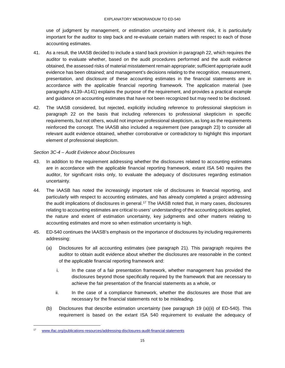use of judgment by management, or estimation uncertainty and inherent risk, it is particularly important for the auditor to step back and re-evaluate certain matters with respect to each of those accounting estimates.

- 41. As a result, the IAASB decided to include a stand back provision in paragraph 22, which requires the auditor to evaluate whether, based on the audit procedures performed and the audit evidence obtained, the assessed risks of material misstatement remain appropriate; sufficient appropriate audit evidence has been obtained; and management's decisions relating to the recognition, measurement, presentation, and disclosure of these accounting estimates in the financial statements are in accordance with the applicable financial reporting framework. The application material (see paragraphs A139–A141) explains the purpose of the requirement, and provides a practical example and guidance on accounting estimates that have not been recognized but may need to be disclosed.
- 42. The IAASB considered, but rejected, explicitly including reference to professional skepticism in paragraph 22 on the basis that including references to professional skepticism in specific requirements, but not others, would not improve professional skepticism, as long as the requirements reinforced the concept. The IAASB also included a requirement (see paragraph 23) to consider all relevant audit evidence obtained, whether corroborative or contradictory to highlight this important element of professional skepticism.

## *Section 3C-4 – Audit Evidence about Disclosures*

- 43. In addition to the requirement addressing whether the disclosures related to accounting estimates are in accordance with the applicable financial reporting framework, extant ISA 540 requires the auditor, for significant risks only, to evaluate the adequacy of disclosures regarding estimation uncertainty.
- 44. The IAASB has noted the increasingly important role of disclosures in financial reporting, and particularly with respect to accounting estimates, and has already completed a project addressing the audit implications of disclosures in general.17 The IAASB noted that, in many cases, disclosures relating to accounting estimates are critical to users' understanding of the accounting policies applied, the nature and extent of estimation uncertainty, key judgments and other matters relating to accounting estimates and more so when estimation uncertainty is high.
- 45. ED-540 continues the IAASB's emphasis on the importance of disclosures by including requirements addressing:
	- (a) Disclosures for all accounting estimates (see paragraph 21). This paragraph requires the auditor to obtain audit evidence about whether the disclosures are reasonable in the context of the applicable financial reporting framework and:
		- i. In the case of a fair presentation framework, whether management has provided the disclosures beyond those specifically required by the framework that are necessary to achieve the fair presentation of the financial statements as a whole, or
		- ii. In the case of a compliance framework, whether the disclosures are those that are necessary for the financial statements not to be misleading.
	- (b) Disclosures that describe estimation uncertainty (see paragraph 19 (a)(ii) of ED-540). This requirement is based on the extant ISA 540 requirement to evaluate the adequacy of

www.ifac.org/publications-resources/addressing-disclosures-audit-financial-statements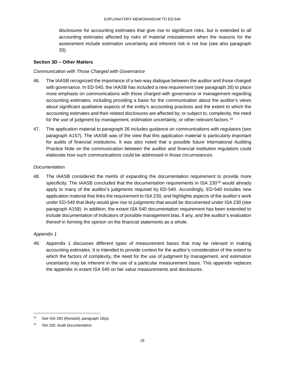disclosures for accounting estimates that give rise to significant risks, but is extended to all accounting estimates affected by risks of material misstatement when the reasons for the assessment include estimation uncertainty and inherent risk is not low (see also paragraph 33).

#### **Section 3D – Other Matters**

#### *Communication with Those Charged with Governance*

- 46. The IAASB recognized the importance of a two-way dialogue between the auditor and those charged with governance. In ED-540, the IAASB has included a new requirement (see paragraph 26) to place more emphasis on communications with those charged with governance or management regarding accounting estimates, including providing a basis for the communication about the auditor's views about significant qualitative aspects of the entity's accounting practices and the extent to which the accounting estimates and their related disclosures are affected by, or subject to, complexity, the need for the use of judgment by management, estimation uncertainty, or other relevant factors.<sup>18</sup>
- 47. The application material to paragraph 26 includes guidance on communications with regulators (see paragraph A157). The IAASB was of the view that this application material is particularly important for audits of financial institutions. It was also noted that a possible future International Auditing Practice Note on the communication between the auditor and financial institution regulators could elaborate how such communications could be addressed in those circumstances.

#### *Documentation*

48. The IAASB considered the merits of expanding the documentation requirement to provide more specificity. The IAASB concluded that the documentation requirements in ISA 230<sup>19</sup> would already apply to many of the auditor's judgments required by ED-540. Accordingly, ED-540 includes new application material that links the requirement to ISA 230, and highlights aspects of the auditor's work under ED-540 that likely would give rise to judgments that would be documented under ISA 230 (see paragraph A158). In addition, the extant ISA 540 documentation requirement has been extended to include documentation of indicators of possible management bias, if any, and the auditor's evaluation thereof in forming the opinion on the financial statements as a whole.

#### *Appendix 1*

49. Appendix 1 discusses different types of measurement bases that may be relevant in making accounting estimates. It is intended to provide context for the auditor's consideration of the extent to which the factors of complexity, the need for the use of judgment by management, and estimation uncertainty may be inherent in the use of a particular measurement basis. This appendix replaces the appendix in extant ISA 540 on fair value measurements and disclosures.

<sup>&</sup>lt;sup>18</sup> See ISA 260 (Revised), paragraph 16(a).

<sup>19</sup> ISA 230, *Audit Documentation*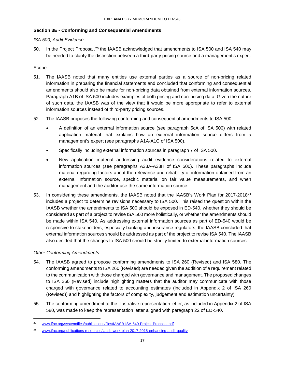### **Section 3E - Conforming and Consequential Amendments**

#### *ISA 500, Audit Evidence*

50. In the Project Proposal,<sup>20</sup> the IAASB acknowledged that amendments to ISA 500 and ISA 540 may be needed to clarify the distinction between a third-party pricing source and a management's expert.

#### Scope

- 51. The IAASB noted that many entities use external parties as a source of non-pricing related information in preparing the financial statements and concluded that conforming and consequential amendments should also be made for non-pricing data obtained from external information sources. Paragraph A1B of ISA 500 includes examples of both pricing and non-pricing data. Given the nature of such data, the IAASB was of the view that it would be more appropriate to refer to external information sources instead of third-party pricing sources.
- 52. The IAASB proposes the following conforming and consequential amendments to ISA 500:
	- A definition of an external information source (see paragraph 5cA of ISA 500) with related application material that explains how an external information source differs from a management's expert (see paragraphs A1A-A1C of ISA 500).
	- Specifically including external information sources in paragraph 7 of ISA 500.
	- New application material addressing audit evidence considerations related to external information sources (see paragraphs A33A-A33H of ISA 500). These paragraphs include material regarding factors about the relevance and reliability of information obtained from an external information source, specific material on fair value measurements, and when management and the auditor use the same information source.
- 53. In considering these amendments, the IAASB noted that the IAASB's Work Plan for 2017-2018<sup>21</sup> includes a project to determine revisions necessary to ISA 500. This raised the question within the IAASB whether the amendments to ISA 500 should be exposed in ED-540, whether they should be considered as part of a project to revise ISA 500 more holistically, or whether the amendments should be made within ISA 540. As addressing external information sources as part of ED-540 would be responsive to stakeholders, especially banking and insurance regulators, the IAASB concluded that external information sources should be addressed as part of the project to revise ISA 540. The IAASB also decided that the changes to ISA 500 should be strictly limited to external information sources.

#### *Other Conforming Amendments*

- 54. The IAASB agreed to propose conforming amendments to ISA 260 (Revised) and ISA 580. The conforming amendments to ISA 260 (Revised) are needed given the addition of a requirement related to the communication with those charged with governance and management. The proposed changes to ISA 260 (Revised) include highlighting matters that the auditor may communicate with those charged with governance related to accounting estimates (included in Appendix 2 of ISA 260 (Revised)) and highlighting the factors of complexity, judgement and estimation uncertainty).
- 55. The conforming amendment to the illustrative representation letter, as included in Appendix 2 of ISA 580, was made to keep the representation letter aligned with paragraph 22 of ED-540.

 <sup>20</sup> www.ifac.org/system/files/publications/files/IAASB-ISA-540-Project-Proposal.pdf

<sup>21</sup> www.ifac.org/publications-resources/iaasb-work-plan-2017-2018-enhancing-audit-quality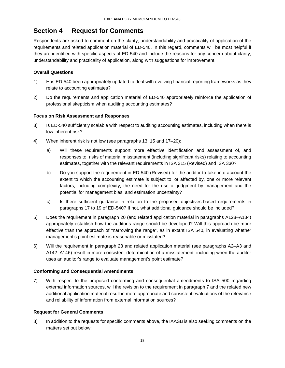# **Section 4 Request for Comments**

Respondents are asked to comment on the clarity, understandability and practicality of application of the requirements and related application material of ED-540. In this regard, comments will be most helpful if they are identified with specific aspects of ED-540 and include the reasons for any concern about clarity, understandability and practicality of application, along with suggestions for improvement.

## **Overall Questions**

- 1) Has ED-540 been appropriately updated to deal with evolving financial reporting frameworks as they relate to accounting estimates?
- 2) Do the requirements and application material of ED-540 appropriately reinforce the application of professional skepticism when auditing accounting estimates?

## **Focus on Risk Assessment and Responses**

- 3) Is ED-540 sufficiently scalable with respect to auditing accounting estimates, including when there is low inherent risk?
- 4) When inherent risk is not low (see paragraphs 13, 15 and 17–20):
	- a) Will these requirements support more effective identification and assessment of, and responses to, risks of material misstatement (including significant risks) relating to accounting estimates, together with the relevant requirements in ISA 315 (Revised) and ISA 330?
	- b) Do you support the requirement in ED-540 (Revised) for the auditor to take into account the extent to which the accounting estimate is subject to, or affected by, one or more relevant factors, including complexity, the need for the use of judgment by management and the potential for management bias, and estimation uncertainty?
	- c) Is there sufficient guidance in relation to the proposed objectives-based requirements in paragraphs 17 to 19 of ED-540? If not, what additional guidance should be included?
- 5) Does the requirement in paragraph 20 (and related application material in paragraphs A128–A134) appropriately establish how the auditor's range should be developed? Will this approach be more effective than the approach of "narrowing the range", as in extant ISA 540, in evaluating whether management's point estimate is reasonable or misstated?
- 6) Will the requirement in paragraph 23 and related application material (see paragraphs A2–A3 and A142–A146) result in more consistent determination of a misstatement, including when the auditor uses an auditor's range to evaluate management's point estimate?

# **Conforming and Consequential Amendments**

7) With respect to the proposed conforming and consequential amendments to ISA 500 regarding external information sources, will the revision to the requirement in paragraph 7 and the related new additional application material result in more appropriate and consistent evaluations of the relevance and reliability of information from external information sources?

# **Request for General Comments**

8) In addition to the requests for specific comments above, the IAASB is also seeking comments on the matters set out below: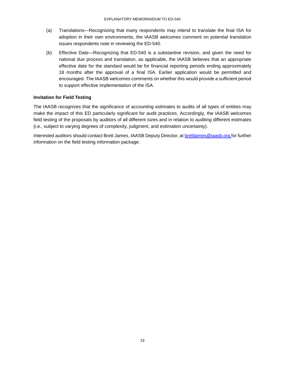- (a) Translations—Recognizing that many respondents may intend to translate the final ISA for adoption in their own environments, the IAASB welcomes comment on potential translation issues respondents note in reviewing the ED-540.
- (b) Effective Date—Recognizing that ED-540 is a substantive revision, and given the need for national due process and translation, as applicable, the IAASB believes that an appropriate effective date for the standard would be for financial reporting periods ending approximately 18 months after the approval of a final ISA. Earlier application would be permitted and encouraged. The IAASB welcomes comments on whether this would provide a sufficient period to support effective implementation of the ISA.

## **Invitation for Field Testing**

The IAASB recognizes that the significance of accounting estimates to audits of all types of entities may make the impact of this ED particularly significant for audit practices. Accordingly, the IAASB welcomes field testing of the proposals by auditors of all different sizes and in relation to auditing different estimates (i.e., subject to varying degrees of complexity, judgment, and estimation uncertainty).

Interested auditors should contact Brett James, IAASB Deputy Director, at **brettjames@iaasb.org** for further information on the field testing information package.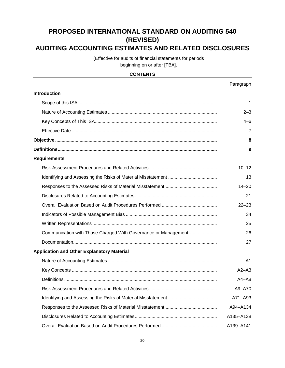# **PROPOSED INTERNATIONAL STANDARD ON AUDITING 540 (REVISED) AUDITING ACCOUNTING ESTIMATES AND RELATED DISCLOSURES**

(Effective for audits of financial statements for periods beginning on or after [TBA].

### **CONTENTS**

|                                                                | Paragraph      |
|----------------------------------------------------------------|----------------|
| <b>Introduction</b>                                            |                |
|                                                                | 1              |
|                                                                | $2 - 3$        |
|                                                                | $4 - 6$        |
|                                                                | 7              |
|                                                                | 8              |
|                                                                | 9              |
| <b>Requirements</b>                                            |                |
|                                                                | $10 - 12$      |
|                                                                | 13             |
|                                                                | $14 - 20$      |
|                                                                | 21             |
|                                                                | $22 - 23$      |
|                                                                | 34             |
|                                                                | 25             |
| Communication with Those Charged With Governance or Management | 26             |
|                                                                | 27             |
| <b>Application and Other Explanatory Material</b>              |                |
|                                                                | A <sub>1</sub> |
|                                                                | $A2 - A3$      |
|                                                                | $A4 - A8$      |
|                                                                | A9-A70         |
|                                                                | A71-A93        |
|                                                                | A94-A134       |
|                                                                | A135-A138      |
|                                                                | A139-A141      |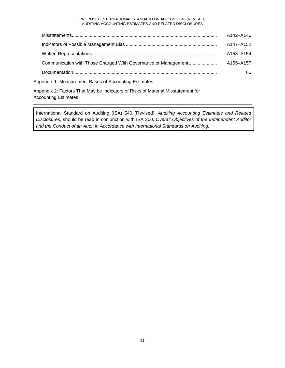#### PROPOSED INTERNATIONAL STANDARD ON AUDITING 540 (REVISED) AUDITING ACCOUNTING ESTIMATES AND RELATED DISCLOSURES

| A142-A146 |
|-----------|
| A147-A152 |
| A153-A154 |
| A155-A157 |
| 66        |
|           |

Appendix 1: Measurement Bases of Accounting Estimates

Appendix 2: Factors That May be Indicators of Risks of Material Misstatement for Accounting Estimates

International Standard on Auditing (ISA) 540 (Revised), *Auditing Accounting Estimates and Related Disclosures*, should be read in conjunction with ISA 200, *Overall Objectives of the Independent Auditor and the Conduct of an Audit in Accordance with International Standards on Auditing*.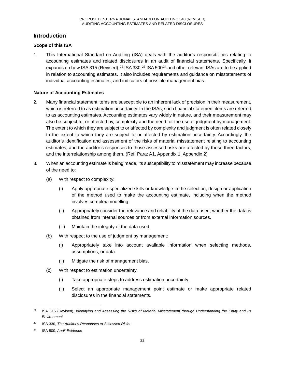# **Introduction**

## **Scope of this ISA**

1. This International Standard on Auditing (ISA) deals with the auditor's responsibilities relating to accounting estimates and related disclosures in an audit of financial statements. Specifically, it expands on how ISA 315 (Revised), $^{22}$  ISA 330, $^{23}$  ISA 500 $^{24}$  and other relevant ISAs are to be applied in relation to accounting estimates. It also includes requirements and guidance on misstatements of individual accounting estimates, and indicators of possible management bias.

### **Nature of Accounting Estimates**

- 2. Many financial statement items are susceptible to an inherent lack of precision in their measurement, which is referred to as estimation uncertainty. In the ISAs, such financial statement items are referred to as accounting estimates. Accounting estimates vary widely in nature, and their measurement may also be subject to, or affected by, complexity and the need for the use of judgment by management. The extent to which they are subject to or affected by complexity and judgment is often related closely to the extent to which they are subject to or affected by estimation uncertainty. Accordingly, the auditor's identification and assessment of the risks of material misstatement relating to accounting estimates, and the auditor's responses to those assessed risks are affected by these three factors, and the interrelationship among them. (Ref: Para: A1, Appendix 1, Appendix 2)
- 3. When an accounting estimate is being made, its susceptibility to misstatement may increase because of the need to:
	- (a) With respect to complexity:
		- (i) Apply appropriate specialized skills or knowledge in the selection, design or application of the method used to make the accounting estimate, including when the method involves complex modelling.
		- (ii) Appropriately consider the relevance and reliability of the data used, whether the data is obtained from internal sources or from external information sources.
		- (iii) Maintain the integrity of the data used.
	- (b) With respect to the use of judgment by management:
		- (i) Appropriately take into account available information when selecting methods, assumptions, or data.
		- (ii) Mitigate the risk of management bias.
	- (c) With respect to estimation uncertainty:
		- (i) Take appropriate steps to address estimation uncertainty.
		- (ii) Select an appropriate management point estimate or make appropriate related disclosures in the financial statements.

 <sup>22</sup> ISA 315 (Revised), *Identifying and Assessing the Risks of Material Misstatement through Understanding the Entity and Its Environment*

<sup>23</sup> ISA 330, *The Auditor's Responses to Assessed Risks*

<sup>24</sup> ISA 500, *Audit Evidence*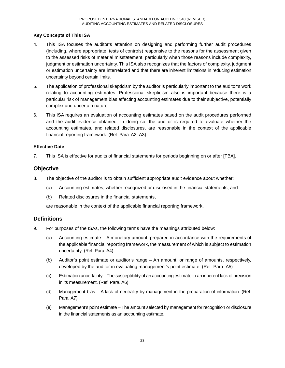## **Key Concepts of This ISA**

- 4. This ISA focuses the auditor's attention on designing and performing further audit procedures (including, where appropriate, tests of controls) responsive to the reasons for the assessment given to the assessed risks of material misstatement, particularly when those reasons include complexity, judgment or estimation uncertainty. This ISA also recognizes that the factors of complexity, judgment or estimation uncertainty are interrelated and that there are inherent limitations in reducing estimation uncertainty beyond certain limits.
- 5. The application of professional skepticism by the auditor is particularly important to the auditor's work relating to accounting estimates. Professional skepticism also is important because there is a particular risk of management bias affecting accounting estimates due to their subjective, potentially complex and uncertain nature.
- 6. This ISA requires an evaluation of accounting estimates based on the audit procedures performed and the audit evidence obtained. In doing so, the auditor is required to evaluate whether the accounting estimates, and related disclosures, are reasonable in the context of the applicable financial reporting framework. (Ref: Para. A2–A3).

#### **Effective Date**

7. This ISA is effective for audits of financial statements for periods beginning on or after [TBA].

# **Objective**

- 8. The objective of the auditor is to obtain sufficient appropriate audit evidence about whether:
	- (a) Accounting estimates, whether recognized or disclosed in the financial statements; and
	- (b) Related disclosures in the financial statements,

are reasonable in the context of the applicable financial reporting framework.

# **Definitions**

- 9. For purposes of the ISAs, the following terms have the meanings attributed below:
	- (a) Accounting estimate A monetary amount, prepared in accordance with the requirements of the applicable financial reporting framework, the measurement of which is subject to estimation uncertainty. (Ref: Para. A4)
	- (b) Auditor's point estimate or auditor's range An amount, or range of amounts, respectively, developed by the auditor in evaluating management's point estimate. (Ref: Para. A5)
	- (c) Estimation uncertainty The susceptibility of an accounting estimate to an inherent lack of precision in its measurement. (Ref: Para. A6)
	- (d) Management bias A lack of neutrality by management in the preparation of information. (Ref: Para. A7)
	- (e) Management's point estimate The amount selected by management for recognition or disclosure in the financial statements as an accounting estimate.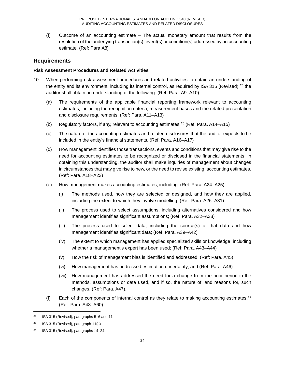(f) Outcome of an accounting estimate – The actual monetary amount that results from the resolution of the underlying transaction(s), event(s) or condition(s) addressed by an accounting estimate. (Ref: Para A8)

# **Requirements**

### **Risk Assessment Procedures and Related Activities**

- 10. When performing risk assessment procedures and related activities to obtain an understanding of the entity and its environment, including its internal control, as required by ISA 315 (Revised),<sup>25</sup> the auditor shall obtain an understanding of the following: (Ref: Para. A9–A10)
	- (a) The requirements of the applicable financial reporting framework relevant to accounting estimates, including the recognition criteria, measurement bases and the related presentation and disclosure requirements. (Ref: Para. A11–A13)
	- (b) Regulatory factors, if any, relevant to accounting estimates.26 (Ref: Para. A14–A15)
	- (c) The nature of the accounting estimates and related disclosures that the auditor expects to be included in the entity's financial statements. (Ref: Para. A16–A17)
	- (d) How management identifies those transactions, events and conditions that may give rise to the need for accounting estimates to be recognized or disclosed in the financial statements. In obtaining this understanding, the auditor shall make inquiries of management about changes in circumstances that may give rise to new, or the need to revise existing, accounting estimates. (Ref: Para. A18–A23)
	- (e) How management makes accounting estimates, including: (Ref: Para. A24–A25)
		- (i) The methods used, how they are selected or designed, and how they are applied, including the extent to which they involve modelling; (Ref: Para. A26–A31)
		- (ii) The process used to select assumptions, including alternatives considered and how management identifies significant assumptions; (Ref: Para. A32–A38)
		- (iii) The process used to select data, including the source(s) of that data and how management identifies significant data; (Ref: Para. A39–A42)
		- (iv) The extent to which management has applied specialized skills or knowledge, including whether a management's expert has been used; (Ref: Para. A43–A44)
		- (v) How the risk of management bias is identified and addressed; (Ref: Para. A45)
		- (vi) How management has addressed estimation uncertainty; and (Ref: Para. A46)
		- (vii) How management has addressed the need for a change from the prior period in the methods, assumptions or data used, and if so, the nature of, and reasons for, such changes. (Ref: Para. A47).
	- (f) Each of the components of internal control as they relate to making accounting estimates.<sup>27</sup> (Ref: Para. A48–A60)

 $25$  ISA 315 (Revised), paragraphs 5–6 and 11

<sup>&</sup>lt;sup>26</sup> ISA 315 (Revised), paragraph  $11(a)$ 

<sup>27</sup> ISA 315 (Revised), paragraphs 14–24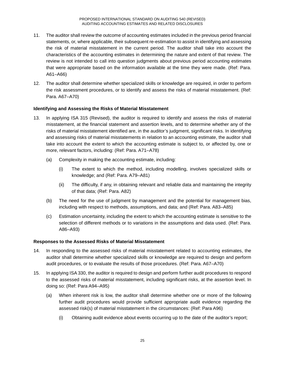- 11. The auditor shall review the outcome of accounting estimates included in the previous period financial statements, or, where applicable, their subsequent re-estimation to assist in identifying and assessing the risk of material misstatement in the current period. The auditor shall take into account the characteristics of the accounting estimates in determining the nature and extent of that review. The review is not intended to call into question judgments about previous period accounting estimates that were appropriate based on the information available at the time they were made. (Ref: Para. A61–A66)
- 12. The auditor shall determine whether specialized skills or knowledge are required, in order to perform the risk assessment procedures, or to identify and assess the risks of material misstatement. (Ref: Para. A67–A70)

#### **Identifying and Assessing the Risks of Material Misstatement**

- 13. In applying ISA 315 (Revised), the auditor is required to identify and assess the risks of material misstatement, at the financial statement and assertion levels, and to determine whether any of the risks of material misstatement identified are, in the auditor's judgment, significant risks. In identifying and assessing risks of material misstatements in relation to an accounting estimate, the auditor shall take into account the extent to which the accounting estimate is subject to, or affected by, one or more, relevant factors, including: (Ref: Para. A71–A78)
	- (a) Complexity in making the accounting estimate, including:
		- (i) The extent to which the method, including modelling, involves specialized skills or knowledge; and (Ref: Para. A79–A81)
		- (ii) The difficulty, if any, in obtaining relevant and reliable data and maintaining the integrity of that data; (Ref: Para. A82)
	- (b) The need for the use of judgment by management and the potential for management bias, including with respect to methods, assumptions, and data; and (Ref: Para. A83–A85)
	- (c) Estimation uncertainty, including the extent to which the accounting estimate is sensitive to the selection of different methods or to variations in the assumptions and data used. (Ref: Para. A86–A93)

#### **Responses to the Assessed Risks of Material Misstatement**

- 14. In responding to the assessed risks of material misstatement related to accounting estimates, the auditor shall determine whether specialized skills or knowledge are required to design and perform audit procedures, or to evaluate the results of those procedures. (Ref: Para. A67–A70)
- 15. In applying ISA 330, the auditor is required to design and perform further audit procedures to respond to the assessed risks of material misstatement, including significant risks, at the assertion level. In doing so: (Ref: Para A94–A95)
	- (a) When inherent risk is low, the auditor shall determine whether one or more of the following further audit procedures would provide sufficient appropriate audit evidence regarding the assessed risk(s) of material misstatement in the circumstances: (Ref: Para A96)
		- (i) Obtaining audit evidence about events occurring up to the date of the auditor's report;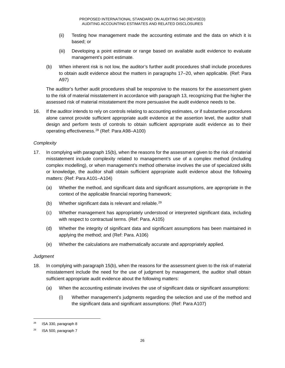- (ii) Testing how management made the accounting estimate and the data on which it is based; or
- (iii) Developing a point estimate or range based on available audit evidence to evaluate management's point estimate.
- (b) When inherent risk is not low, the auditor's further audit procedures shall include procedures to obtain audit evidence about the matters in paragraphs 17–20, when applicable. (Ref: Para A97)

The auditor's further audit procedures shall be responsive to the reasons for the assessment given to the risk of material misstatement in accordance with paragraph 13, recognizing that the higher the assessed risk of material misstatement the more persuasive the audit evidence needs to be.

16. If the auditor intends to rely on controls relating to accounting estimates, or if substantive procedures alone cannot provide sufficient appropriate audit evidence at the assertion level, the auditor shall design and perform tests of controls to obtain sufficient appropriate audit evidence as to their operating effectiveness.28 (Ref: Para A98–A100)

## *Complexity*

- 17. In complying with paragraph 15(b), when the reasons for the assessment given to the risk of material misstatement include complexity related to management's use of a complex method (including complex modelling), or when management's method otherwise involves the use of specialized skills or knowledge, the auditor shall obtain sufficient appropriate audit evidence about the following matters: (Ref: Para A101–A104)
	- (a) Whether the method, and significant data and significant assumptions, are appropriate in the context of the applicable financial reporting framework;
	- (b) Whether significant data is relevant and reliable.<sup>29</sup>
	- (c) Whether management has appropriately understood or interpreted significant data, including with respect to contractual terms. (Ref: Para. A105)
	- (d) Whether the integrity of significant data and significant assumptions has been maintained in applying the method; and (Ref: Para. A106)
	- (e) Whether the calculations are mathematically accurate and appropriately applied.

#### *Judgment*

- 18. In complying with paragraph 15(b), when the reasons for the assessment given to the risk of material misstatement include the need for the use of judgment by management, the auditor shall obtain sufficient appropriate audit evidence about the following matters:
	- (a) When the accounting estimate involves the use of significant data or significant assumptions:
		- (i) Whether management's judgments regarding the selection and use of the method and the significant data and significant assumptions: (Ref: Para A107)

 <sup>28</sup> ISA 330, paragraph 8

 $29$  ISA 500, paragraph 7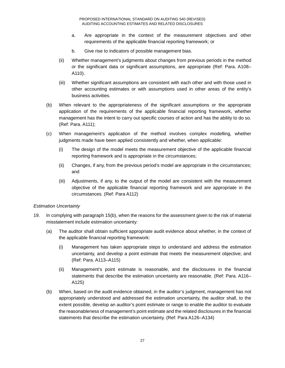- a. Are appropriate in the context of the measurement objectives and other requirements of the applicable financial reporting framework; or
- b. Give rise to indicators of possible management bias.
- (ii) Whether management's judgments about changes from previous periods in the method or the significant data or significant assumptions, are appropriate (Ref: Para. A108– A110).
- (iii) Whether significant assumptions are consistent with each other and with those used in other accounting estimates or with assumptions used in other areas of the entity's business activities.
- (b) When relevant to the appropriateness of the significant assumptions or the appropriate application of the requirements of the applicable financial reporting framework, whether management has the intent to carry out specific courses of action and has the ability to do so. (Ref: Para. A111);
- (c) When management's application of the method involves complex modelling, whether judgments made have been applied consistently and whether, when applicable:
	- (i) The design of the model meets the measurement objective of the applicable financial reporting framework and is appropriate in the circumstances;
	- (ii) Changes, if any, from the previous period's model are appropriate in the circumstances; and
	- (iii) Adjustments, if any, to the output of the model are consistent with the measurement objective of the applicable financial reporting framework and are appropriate in the circumstances. (Ref: Para A112)

#### *Estimation Uncertainty*

- 19. In complying with paragraph 15(b), when the reasons for the assessment given to the risk of material misstatement include estimation uncertainty:
	- (a) The auditor shall obtain sufficient appropriate audit evidence about whether, in the context of the applicable financial reporting framework:
		- (i) Management has taken appropriate steps to understand and address the estimation uncertainty, and develop a point estimate that meets the measurement objective; and (Ref: Para. A113–A115)
		- (ii) Management's point estimate is reasonable, and the disclosures in the financial statements that describe the estimation uncertainty are reasonable. (Ref: Para. A116– A125)
	- (b) When, based on the audit evidence obtained, in the auditor's judgment, management has not appropriately understood and addressed the estimation uncertainty, the auditor shall, to the extent possible, develop an auditor's point estimate or range to enable the auditor to evaluate the reasonableness of management's point estimate and the related disclosures in the financial statements that describe the estimation uncertainty. (Ref: Para A126–A134)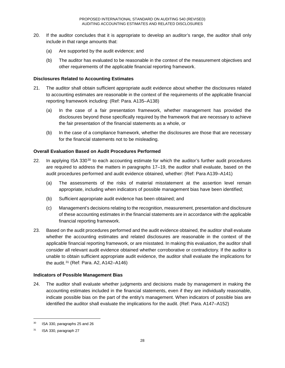- 20. If the auditor concludes that it is appropriate to develop an auditor's range, the auditor shall only include in that range amounts that:
	- (a) Are supported by the audit evidence; and
	- (b) The auditor has evaluated to be reasonable in the context of the measurement objectives and other requirements of the applicable financial reporting framework.

#### **Disclosures Related to Accounting Estimates**

- 21. The auditor shall obtain sufficient appropriate audit evidence about whether the disclosures related to accounting estimates are reasonable in the context of the requirements of the applicable financial reporting framework including: (Ref: Para. A135–A138)
	- (a) In the case of a fair presentation framework, whether management has provided the disclosures beyond those specifically required by the framework that are necessary to achieve the fair presentation of the financial statements as a whole, or
	- (b) In the case of a compliance framework, whether the disclosures are those that are necessary for the financial statements not to be misleading.

#### **Overall Evaluation Based on Audit Procedures Performed**

- 22. In applying ISA  $330^{30}$  to each accounting estimate for which the auditor's further audit procedures are required to address the matters in paragraphs 17–19, the auditor shall evaluate, based on the audit procedures performed and audit evidence obtained, whether: (Ref: Para A139–A141)
	- (a) The assessments of the risks of material misstatement at the assertion level remain appropriate, including when indicators of possible management bias have been identified;
	- (b) Sufficient appropriate audit evidence has been obtained; and
	- (c) Management's decisions relating to the recognition, measurement, presentation and disclosure of these accounting estimates in the financial statements are in accordance with the applicable financial reporting framework.
- 23. Based on the audit procedures performed and the audit evidence obtained, the auditor shall evaluate whether the accounting estimates and related disclosures are reasonable in the context of the applicable financial reporting framework, or are misstated. In making this evaluation, the auditor shall consider all relevant audit evidence obtained whether corroborative or contradictory. If the auditor is unable to obtain sufficient appropriate audit evidence, the auditor shall evaluate the implications for the audit.31 (Ref: Para. A2, A142–A146)

#### **Indicators of Possible Management Bias**

24. The auditor shall evaluate whether judgments and decisions made by management in making the accounting estimates included in the financial statements, even if they are individually reasonable, indicate possible bias on the part of the entity's management. When indicators of possible bias are identified the auditor shall evaluate the implications for the audit. (Ref: Para. A147–A152)

 <sup>30</sup> ISA 330, paragraphs 25 and 26

<sup>31</sup> ISA 330, paragraph 27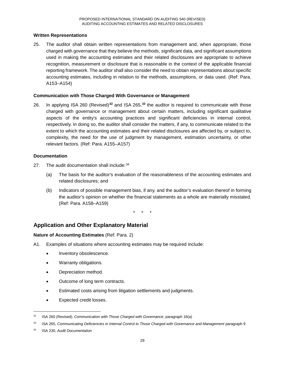#### **Written Representations**

25. The auditor shall obtain written representations from management and, when appropriate, those charged with governance that they believe the methods, significant data, and significant assumptions used in making the accounting estimates and their related disclosures are appropriate to achieve recognition, measurement or disclosure that is reasonable in the context of the applicable financial reporting framework. The auditor shall also consider the need to obtain representations about specific accounting estimates, including in relation to the methods, assumptions, or data used. (Ref: Para. A153–A154)

#### **Communication with Those Charged With Governance or Management**

26. In applying ISA 260 (Revised)**<sup>32</sup>** and ISA 265,**<sup>33</sup>** the auditor is required to communicate with those charged with governance or management about certain matters, including significant qualitative aspects of the entity's accounting practices and significant deficiencies in internal control, respectively. In doing so, the auditor shall consider the matters, if any, to communicate related to the extent to which the accounting estimates and their related disclosures are affected by, or subject to, complexity, the need for the use of judgment by management, estimation uncertainty, or other relevant factors. (Ref: Para. A155–A157)

#### **Documentation**

- 27. The audit documentation shall include: 34
	- (a) The basis for the auditor's evaluation of the reasonableness of the accounting estimates and related disclosures; and
	- (b) Indicators of possible management bias, if any, and the auditor's evaluation thereof in forming the auditor's opinion on whether the financial statements as a whole are materially misstated. (Ref: Para. A158–A159)

\* \* \*

# **Application and Other Explanatory Material**

#### **Nature of Accounting Estimates** (Ref: Para. 2)

- A1. Examples of situations where accounting estimates may be required include:
	- Inventory obsolescence.
	- Warranty obligations.
	- Depreciation method.
	- Outcome of long term contracts.
	- Estimated costs arising from litigation settlements and judgments.
	- Expected credit losses.

 <sup>32</sup> ISA 260 (Revised), *Communication with Those Charged with Governance*, paragraph 16(a)

<sup>33</sup> ISA 265, *Communicating Deficiencies in Internal Control to Those Charged with Governance and Management* paragraph 9

<sup>34</sup> ISA 230, *Audit Documentation*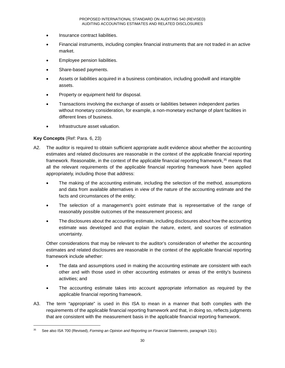- Insurance contract liabilities.
- Financial instruments, including complex financial instruments that are not traded in an active market.
- Employee pension liabilities.
- Share-based payments.
- Assets or liabilities acquired in a business combination, including goodwill and intangible assets.
- Property or equipment held for disposal.
- Transactions involving the exchange of assets or liabilities between independent parties without monetary consideration, for example, a non-monetary exchange of plant facilities in different lines of business.
- Infrastructure asset valuation.

## **Key Concepts** (Ref: Para. 6, 23)

- A2. The auditor is required to obtain sufficient appropriate audit evidence about whether the accounting estimates and related disclosures are reasonable in the context of the applicable financial reporting framework. Reasonable, in the context of the applicable financial reporting framework,<sup>35</sup> means that all the relevant requirements of the applicable financial reporting framework have been applied appropriately, including those that address:
	- The making of the accounting estimate, including the selection of the method, assumptions and data from available alternatives in view of the nature of the accounting estimate and the facts and circumstances of the entity;
	- The selection of a management's point estimate that is representative of the range of reasonably possible outcomes of the measurement process; and
	- The disclosures about the accounting estimate, including disclosures about how the accounting estimate was developed and that explain the nature, extent, and sources of estimation uncertainty.

Other considerations that may be relevant to the auditor's consideration of whether the accounting estimates and related disclosures are reasonable in the context of the applicable financial reporting framework include whether:

- The data and assumptions used in making the accounting estimate are consistent with each other and with those used in other accounting estimates or areas of the entity's business activities; and
- The accounting estimate takes into account appropriate information as required by the applicable financial reporting framework.
- A3. The term "appropriate" is used in this ISA to mean in a manner that both complies with the requirements of the applicable financial reporting framework and that, in doing so, reflects judgments that are consistent with the measurement basis in the applicable financial reporting framework.

 <sup>35</sup> See also ISA 700 (Revised), *Forming an Opinion and Reporting on Financial Statements*, paragraph 13(c).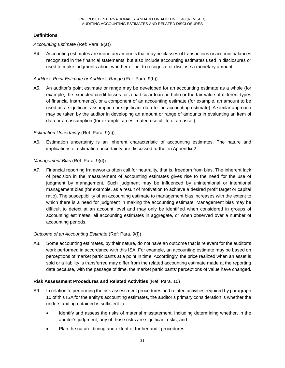## **Definitions**

#### *Accounting Estimate* (Ref: Para. 9(a))

A4. Accounting estimates are monetary amounts that may be classes of transactions or account balances recognized in the financial statements, but also include accounting estimates used in disclosures or used to make judgments about whether or not to recognize or disclose a monetary amount.

#### *Auditor's Point Estimate or Auditor's Range* (Ref: Para. 9(b))

A5. An auditor's point estimate or range may be developed for an accounting estimate as a whole (for example, the expected credit losses for a particular loan portfolio or the fair value of different types of financial instruments), or a component of an accounting estimate (for example, an amount to be used as a significant assumption or significant data for an accounting estimate). A similar approach may be taken by the auditor in developing an amount or range of amounts in evaluating an item of data or an assumption (for example, an estimated useful life of an asset).

#### *Estimation Uncertainty* (Ref: Para. 9(c))

A6. Estimation uncertainty is an inherent characteristic of accounting estimates. The nature and implications of estimation uncertainty are discussed further in Appendix 2.

#### *Management Bias* (Ref: Para. 9(d))

A7. Financial reporting frameworks often call for neutrality, that is, freedom from bias. The inherent lack of precision in the measurement of accounting estimates gives rise to the need for the use of judgment by management. Such judgment may be influenced by unintentional or intentional management bias (for example, as a result of motivation to achieve a desired profit target or capital ratio). The susceptibility of an accounting estimate to management bias increases with the extent to which there is a need for judgment in making the accounting estimate. Management bias may be difficult to detect at an account level and may only be identified when considered in groups of accounting estimates, all accounting estimates in aggregate, or when observed over a number of accounting periods.

#### *Outcome of an Accounting Estimate* (Ref: Para. 9(f))

A8. Some accounting estimates, by their nature, do not have an outcome that is relevant for the auditor's work performed in accordance with this ISA. For example, an accounting estimate may be based on perceptions of market participants at a point in time. Accordingly, the price realized when an asset is sold or a liability is transferred may differ from the related accounting estimate made at the reporting date because, with the passage of time, the market participants' perceptions of value have changed.

#### **Risk Assessment Procedures and Related Activities** (Ref: Para. 10)

- A9. In relation to performing the risk assessment procedures and related activities required by paragraph 10 of this ISA for the entity's accounting estimates, the auditor's primary consideration is whether the understanding obtained is sufficient to:
	- Identify and assess the risks of material misstatement, including determining whether, in the auditor's judgment, any of those risks are significant risks; and
	- Plan the nature, timing and extent of further audit procedures.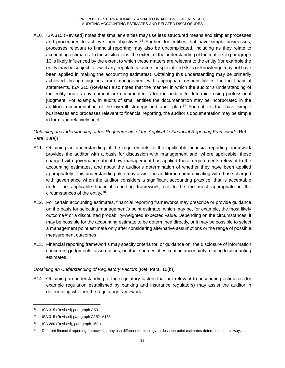A10. ISA 315 (Revised) notes that smaller entities may use less structured means and simpler processes and procedures to achieve their objectives.<sup>36</sup> Further, for entities that have simple businesses, processes relevant to financial reporting may also be uncomplicated, including as they relate to accounting estimates. In those situations, the extent of the understanding of the matters in paragraph 10 is likely influenced by the extent to which these matters are relevant to the entity (for example the entity may be subject to few, if any, regulatory factors or specialized skills or knowledge may not have been applied in making the accounting estimates). Obtaining this understanding may be primarily achieved through inquiries from management with appropriate responsibilities for the financial statements. ISA 315 (Revised) also notes that the manner in which the auditor's understanding of the entity and its environment are documented is for the auditor to determine using professional judgment. For example, in audits of small entities the documentation may be incorporated in the auditor's documentation of the overall strategy and audit plan. $37$  For entities that have simple businesses and processes relevant to financial reporting, the auditor's documentation may be simple in form and relatively brief.

# *Obtaining an Understanding of the Requirements of the Applicable Financial Reporting Framework* (Ref: Para. 10(a))

- A11. Obtaining an understanding of the requirements of the applicable financial reporting framework provides the auditor with a basis for discussion with management and, where applicable, those charged with governance about how management has applied those requirements relevant to the accounting estimates, and about the auditor's determination of whether they have been applied appropriately. This understanding also may assist the auditor in communicating with those charged with governance when the auditor considers a significant accounting practice, that is acceptable under the applicable financial reporting framework, not to be the most appropriate in the circumstances of the entity.38
- A12. For certain accounting estimates, financial reporting frameworks may prescribe or provide guidance on the basis for selecting management's point estimate, which may be, for example, the most likely outcome39 or a discounted probability-weighted expected value. Depending on the circumstances, it may be possible for the accounting estimate to be determined directly, or it may be possible to select a management point estimate only after considering alternative assumptions or the range of possible measurement outcomes.
- A13. Financial reporting frameworks may specify criteria for, or guidance on, the disclosure of information concerning judgments, assumptions, or other sources of estimation uncertainty relating to accounting estimates.

# *Obtaining an Understanding of Regulatory Factors* (Ref: Para. 10(b))

A14. Obtaining an understanding of the regulatory factors that are relevant to accounting estimates (for example regulation established by banking and insurance regulators) may assist the auditor in determining whether the regulatory framework:

<sup>&</sup>lt;sup>36</sup> ISA 315 (Revised) paragraph A53

<sup>37</sup> ISA 315 (Revised) paragraph A152–A153

<sup>38</sup> ISA 260 (Revised), paragraph 16(a)

Different financial reporting frameworks may use different terminology to describe point estimates determined in this way.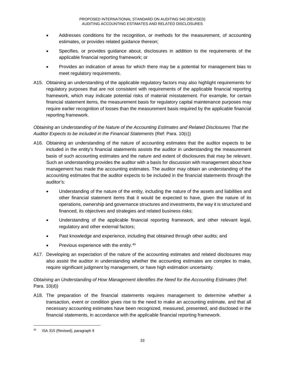- Addresses conditions for the recognition, or methods for the measurement, of accounting estimates, or provides related guidance thereon;
- Specifies, or provides guidance about, disclosures in addition to the requirements of the applicable financial reporting framework; or
- Provides an indication of areas for which there may be a potential for management bias to meet regulatory requirements.
- A15. Obtaining an understanding of the applicable regulatory factors may also highlight requirements for regulatory purposes that are not consistent with requirements of the applicable financial reporting framework, which may indicate potential risks of material misstatement. For example, for certain financial statement items, the measurement basis for regulatory capital maintenance purposes may require earlier recognition of losses than the measurement basis required by the applicable financial reporting framework.

## *Obtaining an Understanding of the Nature of the Accounting Estimates and Related Disclosures That the Auditor Expects to be included in the Financial Statements* (Ref: Para. 10(c))

- A16. Obtaining an understanding of the nature of accounting estimates that the auditor expects to be included in the entity's financial statements assists the auditor in understanding the measurement basis of such accounting estimates and the nature and extent of disclosures that may be relevant. Such an understanding provides the auditor with a basis for discussion with management about how management has made the accounting estimates. The auditor may obtain an understanding of the accounting estimates that the auditor expects to be included in the financial statements through the auditor's:
	- Understanding of the nature of the entity, including the nature of the assets and liabilities and other financial statement items that it would be expected to have, given the nature of its operations, ownership and governance structures and investments, the way it is structured and financed, its objectives and strategies and related business risks;
	- Understanding of the applicable financial reporting framework, and other relevant legal, regulatory and other external factors;
	- Past knowledge and experience, including that obtained through other audits; and
	- Previous experience with the entity.<sup>40</sup>
- A17. Developing an expectation of the nature of the accounting estimates and related disclosures may also assist the auditor in understanding whether the accounting estimates are complex to make, require significant judgment by management, or have high estimation uncertainty.

# *Obtaining an Understanding of How Management Identifies the Need for the Accounting Estimates* (Ref: Para. 10(d))

A18. The preparation of the financial statements requires management to determine whether a transaction, event or condition gives rise to the need to make an accounting estimate, and that all necessary accounting estimates have been recognized, measured, presented, and disclosed in the financial statements, in accordance with the applicable financial reporting framework.

 <sup>40</sup> ISA 315 (Revised), paragraph 9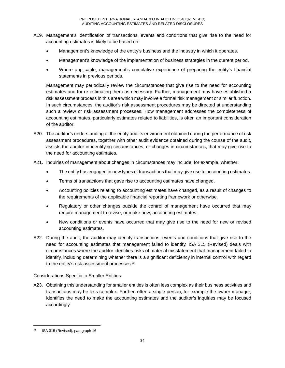- A19. Management's identification of transactions, events and conditions that give rise to the need for accounting estimates is likely to be based on:
	- Management's knowledge of the entity's business and the industry in which it operates.
	- Management's knowledge of the implementation of business strategies in the current period.
	- Where applicable, management's cumulative experience of preparing the entity's financial statements in previous periods.

Management may periodically review the circumstances that give rise to the need for accounting estimates and for re-estimating them as necessary. Further, management may have established a risk assessment process in this area which may involve a formal risk management or similar function. In such circumstances, the auditor's risk assessment procedures may be directed at understanding such a review or risk assessment processes. How management addresses the completeness of accounting estimates, particularly estimates related to liabilities, is often an important consideration of the auditor.

- A20. The auditor's understanding of the entity and its environment obtained during the performance of risk assessment procedures, together with other audit evidence obtained during the course of the audit, assists the auditor in identifying circumstances, or changes in circumstances, that may give rise to the need for accounting estimates.
- A21. Inquiries of management about changes in circumstances may include, for example, whether:
	- The entity has engaged in new types of transactions that may give rise to accounting estimates.
	- Terms of transactions that gave rise to accounting estimates have changed.
	- Accounting policies relating to accounting estimates have changed, as a result of changes to the requirements of the applicable financial reporting framework or otherwise.
	- Regulatory or other changes outside the control of management have occurred that may require management to revise, or make new, accounting estimates.
	- New conditions or events have occurred that may give rise to the need for new or revised accounting estimates.
- A22. During the audit, the auditor may identify transactions, events and conditions that give rise to the need for accounting estimates that management failed to identify. ISA 315 (Revised) deals with circumstances where the auditor identifies risks of material misstatement that management failed to identify, including determining whether there is a significant deficiency in internal control with regard to the entity's risk assessment processes.<sup>41</sup>

# Considerations Specific to Smaller Entities

A23. Obtaining this understanding for smaller entities is often less complex as their business activities and transactions may be less complex. Further, often a single person, for example the owner-manager, identifies the need to make the accounting estimates and the auditor's inquiries may be focused accordingly.

 <sup>41</sup> ISA 315 (Revised), paragraph 16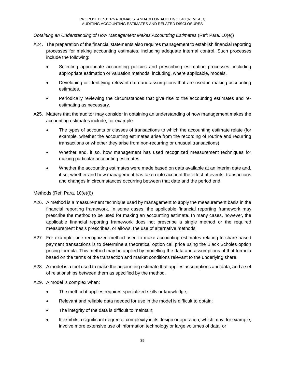### *Obtaining an Understanding of How Management Makes Accounting Estimates* (Ref: Para. 10(e))

- A24. The preparation of the financial statements also requires management to establish financial reporting processes for making accounting estimates, including adequate internal control. Such processes include the following:
	- Selecting appropriate accounting policies and prescribing estimation processes, including appropriate estimation or valuation methods, including, where applicable, models.
	- Developing or identifying relevant data and assumptions that are used in making accounting estimates.
	- Periodically reviewing the circumstances that give rise to the accounting estimates and reestimating as necessary.
- A25. Matters that the auditor may consider in obtaining an understanding of how management makes the accounting estimates include, for example:
	- The types of accounts or classes of transactions to which the accounting estimate relate (for example, whether the accounting estimates arise from the recording of routine and recurring transactions or whether they arise from non-recurring or unusual transactions).
	- Whether and, if so, how management has used recognized measurement techniques for making particular accounting estimates.
	- Whether the accounting estimates were made based on data available at an interim date and, if so, whether and how management has taken into account the effect of events, transactions and changes in circumstances occurring between that date and the period end.

Methods (Ref: Para. 10(e)(i))

- A26. A method is a measurement technique used by management to apply the measurement basis in the financial reporting framework. In some cases, the applicable financial reporting framework may prescribe the method to be used for making an accounting estimate. In many cases, however, the applicable financial reporting framework does not prescribe a single method or the required measurement basis prescribes, or allows, the use of alternative methods.
- A27. For example, one recognized method used to make accounting estimates relating to share-based payment transactions is to determine a theoretical option call price using the Black Scholes option pricing formula. This method may be applied by modelling the data and assumptions of that formula based on the terms of the transaction and market conditions relevant to the underlying share.
- A28. A model is a tool used to make the accounting estimate that applies assumptions and data, and a set of relationships between them as specified by the method.
- A29. A model is complex when:
	- The method it applies requires specialized skills or knowledge;
	- Relevant and reliable data needed for use in the model is difficult to obtain;
	- The integrity of the data is difficult to maintain;
	- It exhibits a significant degree of complexity in its design or operation, which may, for example, involve more extensive use of information technology or large volumes of data; or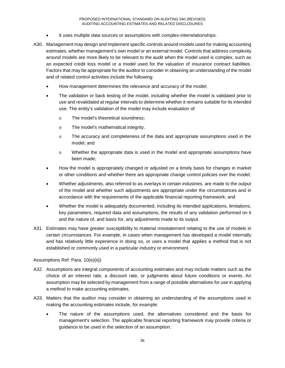- It uses multiple data sources or assumptions with complex-interrelationships.
- A30. Management may design and implement specific controls around models used for making accounting estimates, whether management's own model or an external model. Controls that address complexity around models are more likely to be relevant to the audit when the model used is complex, such as an expected credit loss model or a model used for the valuation of insurance contract liabilities. Factors that may be appropriate for the auditor to consider in obtaining an understanding of the model and of related control activities include the following:
	- How management determines the relevance and accuracy of the model;
	- The validation or back testing of the model, including whether the model is validated prior to use and revalidated at regular intervals to determine whether it remains suitable for its intended use. The entity's validation of the model may include evaluation of:
		- o The model's theoretical soundness;
		- o The model's mathematical integrity;
		- o The accuracy and completeness of the data and appropriate assumptions used in the model; and
		- o Whether the appropriate data is used in the model and appropriate assumptions have been made;
	- How the model is appropriately changed or adjusted on a timely basis for changes in market or other conditions and whether there are appropriate change control policies over the model;
	- Whether adjustments, also referred to as overlays in certain industries, are made to the output of the model and whether such adjustments are appropriate under the circumstances and in accordance with the requirements of the applicable financial reporting framework; and
	- Whether the model is adequately documented, including its intended applications, limitations, key parameters, required data and assumptions, the results of any validation performed on it and the nature of, and basis for, any adjustments made to its output.
- A31. Estimates may have greater susceptibility to material misstatement relating to the use of models in certain circumstances. For example, in cases when management has developed a model internally and has relatively little experience in doing so, or uses a model that applies a method that is not established or commonly used in a particular industry or environment.

Assumptions Ref: Para. 10(e)(ii))

- A32. Assumptions are integral components of accounting estimates and may include matters such as the choice of an interest rate, a discount rate, or judgments about future conditions or events. An assumption may be selected by management from a range of possible alternatives for use in applying a method to make accounting estimates.
- A33. Matters that the auditor may consider in obtaining an understanding of the assumptions used in making the accounting estimates include, for example:
	- The nature of the assumptions used, the alternatives considered and the basis for management's selection. The applicable financial reporting framework may provide criteria or guidance to be used in the selection of an assumption.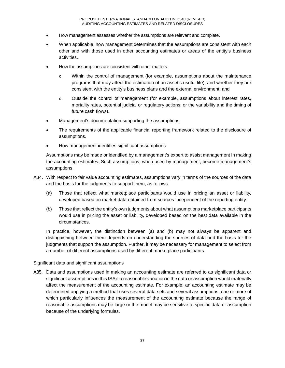- How management assesses whether the assumptions are relevant and complete.
- When applicable, how management determines that the assumptions are consistent with each other and with those used in other accounting estimates or areas of the entity's business activities.
- How the assumptions are consistent with other matters:
	- o Within the control of management (for example, assumptions about the maintenance programs that may affect the estimation of an asset's useful life), and whether they are consistent with the entity's business plans and the external environment; and
	- o Outside the control of management (for example, assumptions about interest rates, mortality rates, potential judicial or regulatory actions, or the variability and the timing of future cash flows).
- Management's documentation supporting the assumptions.
- The requirements of the applicable financial reporting framework related to the disclosure of assumptions.
- How management identifies significant assumptions.

Assumptions may be made or identified by a management's expert to assist management in making the accounting estimates. Such assumptions, when used by management, become management's assumptions.

- A34. With respect to fair value accounting estimates, assumptions vary in terms of the sources of the data and the basis for the judgments to support them, as follows:
	- (a) Those that reflect what marketplace participants would use in pricing an asset or liability, developed based on market data obtained from sources independent of the reporting entity.
	- (b) Those that reflect the entity's own judgments about what assumptions marketplace participants would use in pricing the asset or liability, developed based on the best data available in the circumstances.

In practice, however, the distinction between (a) and (b) may not always be apparent and distinguishing between them depends on understanding the sources of data and the basis for the judgments that support the assumption. Further, it may be necessary for management to select from a number of different assumptions used by different marketplace participants.

### Significant data and significant assumptions

A35. Data and assumptions used in making an accounting estimate are referred to as significant data or significant assumptions in this ISA if a reasonable variation in the data or assumption would materially affect the measurement of the accounting estimate. For example, an accounting estimate may be determined applying a method that uses several data sets and several assumptions, one or more of which particularly influences the measurement of the accounting estimate because the range of reasonable assumptions may be large or the model may be sensitive to specific data or assumption because of the underlying formulas.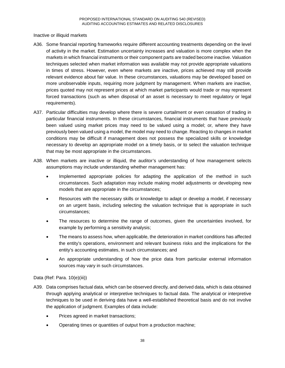Inactive or illiquid markets

- A36. Some financial reporting frameworks require different accounting treatments depending on the level of activity in the market. Estimation uncertainty increases and valuation is more complex when the markets in which financial instruments or their component parts are traded become inactive. Valuation techniques selected when market information was available may not provide appropriate valuations in times of stress. However, even where markets are inactive, prices achieved may still provide relevant evidence about fair value. In these circumstances, valuations may be developed based on more unobservable inputs, requiring more judgment by management. When markets are inactive, prices quoted may not represent prices at which market participants would trade or may represent forced transactions (such as when disposal of an asset is necessary to meet regulatory or legal requirements).
- A37. Particular difficulties may develop where there is severe curtailment or even cessation of trading in particular financial instruments. In these circumstances, financial instruments that have previously been valued using market prices may need to be valued using a model; or, where they have previously been valued using a model, the model may need to change. Reacting to changes in market conditions may be difficult if management does not possess the specialized skills or knowledge necessary to develop an appropriate model on a timely basis, or to select the valuation technique that may be most appropriate in the circumstances.
- A38. When markets are inactive or illiquid, the auditor's understanding of how management selects assumptions may include understanding whether management has:
	- Implemented appropriate policies for adapting the application of the method in such circumstances. Such adaptation may include making model adjustments or developing new models that are appropriate in the circumstances;
	- Resources with the necessary skills or knowledge to adapt or develop a model, if necessary on an urgent basis, including selecting the valuation technique that is appropriate in such circumstances;
	- The resources to determine the range of outcomes, given the uncertainties involved, for example by performing a sensitivity analysis;
	- The means to assess how, when applicable, the deterioration in market conditions has affected the entity's operations, environment and relevant business risks and the implications for the entity's accounting estimates, in such circumstances; and
	- An appropriate understanding of how the price data from particular external information sources may vary in such circumstances.

### Data (Ref: Para. 10(e)(iii))

- A39. Data comprises factual data, which can be observed directly, and derived data, which is data obtained through applying analytical or interpretive techniques to factual data. The analytical or interpretive techniques to be used in deriving data have a well-established theoretical basis and do not involve the application of judgment. Examples of data include:
	- Prices agreed in market transactions;
	- Operating times or quantities of output from a production machine;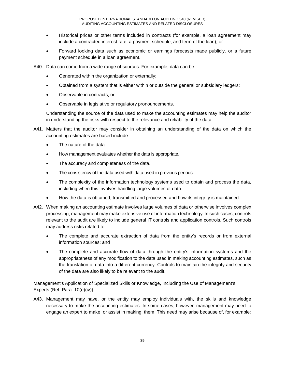- Historical prices or other terms included in contracts (for example, a loan agreement may include a contracted interest rate, a payment schedule, and term of the loan); or
- Forward looking data such as economic or earnings forecasts made publicly, or a future payment schedule in a loan agreement.

A40. Data can come from a wide range of sources. For example, data can be:

- Generated within the organization or externally;
- Obtained from a system that is either within or outside the general or subsidiary ledgers;
- Observable in contracts; or
- Observable in legislative or regulatory pronouncements.

Understanding the source of the data used to make the accounting estimates may help the auditor in understanding the risks with respect to the relevance and reliability of the data.

- A41. Matters that the auditor may consider in obtaining an understanding of the data on which the accounting estimates are based include:
	- The nature of the data.
	- How management evaluates whether the data is appropriate.
	- The accuracy and completeness of the data.
	- The consistency of the data used with data used in previous periods.
	- The complexity of the information technology systems used to obtain and process the data, including when this involves handling large volumes of data.
	- How the data is obtained, transmitted and processed and how its integrity is maintained.
- A42. When making an accounting estimate involves large volumes of data or otherwise involves complex processing, management may make extensive use of information technology. In such cases, controls relevant to the audit are likely to include general IT controls and application controls. Such controls may address risks related to:
	- The complete and accurate extraction of data from the entity's records or from external information sources; and
	- The complete and accurate flow of data through the entity's information systems and the appropriateness of any modification to the data used in making accounting estimates, such as the translation of data into a different currency. Controls to maintain the integrity and security of the data are also likely to be relevant to the audit.

Management's Application of Specialized Skills or Knowledge, Including the Use of Management's Experts (Ref: Para. 10(e)(iv))

A43. Management may have, or the entity may employ individuals with, the skills and knowledge necessary to make the accounting estimates. In some cases, however, management may need to engage an expert to make, or assist in making, them. This need may arise because of, for example: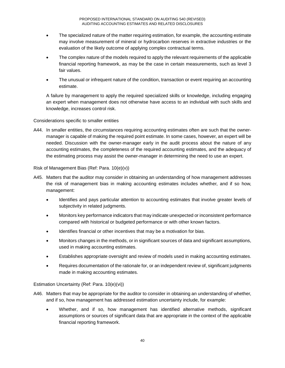- The specialized nature of the matter requiring estimation, for example, the accounting estimate may involve measurement of mineral or hydrocarbon reserves in extractive industries or the evaluation of the likely outcome of applying complex contractual terms.
- The complex nature of the models required to apply the relevant requirements of the applicable financial reporting framework, as may be the case in certain measurements, such as level 3 fair values.
- The unusual or infrequent nature of the condition, transaction or event requiring an accounting estimate.

A failure by management to apply the required specialized skills or knowledge, including engaging an expert when management does not otherwise have access to an individual with such skills and knowledge, increases control risk.

Considerations specific to smaller entities

A44. In smaller entities, the circumstances requiring accounting estimates often are such that the ownermanager is capable of making the required point estimate. In some cases, however, an expert will be needed. Discussion with the owner-manager early in the audit process about the nature of any accounting estimates, the completeness of the required accounting estimates, and the adequacy of the estimating process may assist the owner-manager in determining the need to use an expert.

Risk of Management Bias (Ref: Para. 10(e)(v))

- A45. Matters that the auditor may consider in obtaining an understanding of how management addresses the risk of management bias in making accounting estimates includes whether, and if so how, management:
	- Identifies and pays particular attention to accounting estimates that involve greater levels of subjectivity in related judgments.
	- Monitors key performance indicators that may indicate unexpected or inconsistent performance compared with historical or budgeted performance or with other known factors.
	- Identifies financial or other incentives that may be a motivation for bias.
	- Monitors changes in the methods, or in significant sources of data and significant assumptions, used in making accounting estimates.
	- Establishes appropriate oversight and review of models used in making accounting estimates.
	- Requires documentation of the rationale for, or an independent review of, significant judgments made in making accounting estimates.

Estimation Uncertainty (Ref: Para. 10(e)(vi))

- A46. Matters that may be appropriate for the auditor to consider in obtaining an understanding of whether, and if so, how management has addressed estimation uncertainty include, for example:
	- Whether, and if so, how management has identified alternative methods, significant assumptions or sources of significant data that are appropriate in the context of the applicable financial reporting framework.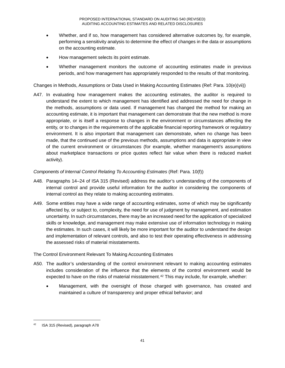- Whether, and if so, how management has considered alternative outcomes by, for example, performing a sensitivity analysis to determine the effect of changes in the data or assumptions on the accounting estimate.
- How management selects its point estimate.
- Whether management monitors the outcome of accounting estimates made in previous periods, and how management has appropriately responded to the results of that monitoring.

Changes in Methods, Assumptions or Data Used in Making Accounting Estimates (Ref: Para. 10(e)(vii))

A47. In evaluating how management makes the accounting estimates, the auditor is required to understand the extent to which management has identified and addressed the need for change in the methods, assumptions or data used. If management has changed the method for making an accounting estimate, it is important that management can demonstrate that the new method is more appropriate, or is itself a response to changes in the environment or circumstances affecting the entity, or to changes in the requirements of the applicable financial reporting framework or regulatory environment. It is also important that management can demonstrate, when no change has been made, that the continued use of the previous methods, assumptions and data is appropriate in view of the current environment or circumstances (for example, whether management's assumptions about marketplace transactions or price quotes reflect fair value when there is reduced market activity).

### *Components of Internal Control Relating To Accounting Estimates* (Ref: Para. 10(f))

- A48. Paragraphs 14–24 of ISA 315 (Revised) address the auditor's understanding of the components of internal control and provide useful information for the auditor in considering the components of internal control as they relate to making accounting estimates.
- A49. Some entities may have a wide range of accounting estimates, some of which may be significantly affected by, or subject to, complexity, the need for use of judgment by management, and estimation uncertainty. In such circumstances, there may be an increased need for the application of specialized skills or knowledge, and management may make extensive use of information technology in making the estimates. In such cases, it will likely be more important for the auditor to understand the design and implementation of relevant controls, and also to test their operating effectiveness in addressing the assessed risks of material misstatements.

### The Control Environment Relevant To Making Accounting Estimates

- A50. The auditor's understanding of the control environment relevant to making accounting estimates includes consideration of the influence that the elements of the control environment would be expected to have on the risks of material misstatement.<sup>42</sup> This may include, for example, whether:
	- Management, with the oversight of those charged with governance, has created and maintained a culture of transparency and proper ethical behavior; and

 <sup>42</sup> ISA 315 (Revised), paragraph A78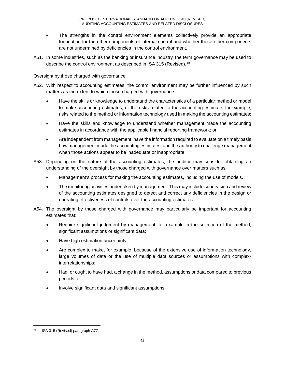- The strengths in the control environment elements collectively provide an appropriate foundation for the other components of internal control and whether those other components are not undermined by deficiencies in the control environment.
- A51. In some industries, such as the banking or insurance industry, the term governance may be used to describe the control environment as described in ISA 315 (Revised). 43

## Oversight by those charged with governance

- A52. With respect to accounting estimates, the control environment may be further influenced by such matters as the extent to which those charged with governance:
	- Have the skills or knowledge to understand the characteristics of a particular method or model to make accounting estimates, or the risks related to the accounting estimate, for example, risks related to the method or information technology used in making the accounting estimates;
	- Have the skills and knowledge to understand whether management made the accounting estimates in accordance with the applicable financial reporting framework; or
	- Are independent from management, have the information required to evaluate on a timely basis how management made the accounting estimates, and the authority to challenge management when those actions appear to be inadequate or inappropriate.
- A53. Depending on the nature of the accounting estimates, the auditor may consider obtaining an understanding of the oversight by those charged with governance over matters such as:
	- Management's process for making the accounting estimates, including the use of models.
	- The monitoring activities undertaken by management. This may include supervision and review of the accounting estimates designed to detect and correct any deficiencies in the design or operating effectiveness of controls over the accounting estimates.
- A54. The oversight by those charged with governance may particularly be important for accounting estimates that:
	- Require significant judgment by management, for example in the selection of the method, significant assumptions or significant data;
	- Have high estimation uncertainty;
	- Are complex to make, for example, because of the extensive use of information technology, large volumes of data or the use of multiple data sources or assumptions with complexinterrelationships;
	- Had, or ought to have had, a change in the method, assumptions or data compared to previous periods; or
	- Involve significant data and significant assumptions.

 <sup>43</sup> ISA 315 (Revised) paragraph A77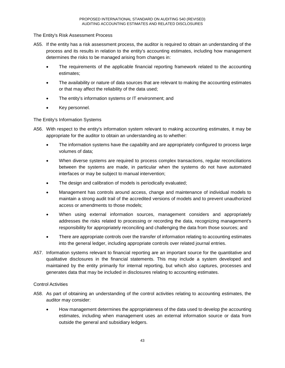### The Entity's Risk Assessment Process

- A55. If the entity has a risk assessment process, the auditor is required to obtain an understanding of the process and its results in relation to the entity's accounting estimates, including how management determines the risks to be managed arising from changes in:
	- The requirements of the applicable financial reporting framework related to the accounting estimates;
	- The availability or nature of data sources that are relevant to making the accounting estimates or that may affect the reliability of the data used;
	- The entity's information systems or IT environment; and
	- Key personnel.

## The Entity's Information Systems

- A56. With respect to the entity's information system relevant to making accounting estimates, it may be appropriate for the auditor to obtain an understanding as to whether:
	- The information systems have the capability and are appropriately configured to process large volumes of data;
	- When diverse systems are required to process complex transactions, regular reconciliations between the systems are made, in particular when the systems do not have automated interfaces or may be subject to manual intervention;
	- The design and calibration of models is periodically evaluated;
	- Management has controls around access, change and maintenance of individual models to maintain a strong audit trail of the accredited versions of models and to prevent unauthorized access or amendments to those models;
	- When using external information sources, management considers and appropriately addresses the risks related to processing or recording the data, recognizing management's responsibility for appropriately reconciling and challenging the data from those sources; and
	- There are appropriate controls over the transfer of information relating to accounting estimates into the general ledger, including appropriate controls over related journal entries.
- A57. Information systems relevant to financial reporting are an important source for the quantitative and qualitative disclosures in the financial statements. This may include a system developed and maintained by the entity primarily for internal reporting, but which also captures, processes and generates data that may be included in disclosures relating to accounting estimates.

### Control Activities

- A58. As part of obtaining an understanding of the control activities relating to accounting estimates, the auditor may consider:
	- How management determines the appropriateness of the data used to develop the accounting estimates, including when management uses an external information source or data from outside the general and subsidiary ledgers.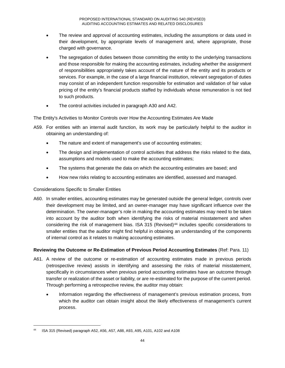- The review and approval of accounting estimates, including the assumptions or data used in their development, by appropriate levels of management and, where appropriate, those charged with governance.
- The segregation of duties between those committing the entity to the underlying transactions and those responsible for making the accounting estimates, including whether the assignment of responsibilities appropriately takes account of the nature of the entity and its products or services. For example, in the case of a large financial institution, relevant segregation of duties may consist of an independent function responsible for estimation and validation of fair value pricing of the entity's financial products staffed by individuals whose remuneration is not tied to such products.
- The control activities included in paragraph A30 and A42.

The Entity's Activities to Monitor Controls over How the Accounting Estimates Are Made

- A59. For entities with an internal audit function, its work may be particularly helpful to the auditor in obtaining an understanding of:
	- The nature and extent of management's use of accounting estimates;
	- The design and implementation of control activities that address the risks related to the data, assumptions and models used to make the accounting estimates;
	- The systems that generate the data on which the accounting estimates are based; and
	- How new risks relating to accounting estimates are identified, assessed and managed.

## Considerations Specific to Smaller Entities

A60. In smaller entities, accounting estimates may be generated outside the general ledger, controls over their development may be limited, and an owner-manager may have significant influence over the determination. The owner-manager's role in making the accounting estimates may need to be taken into account by the auditor both when identifying the risks of material misstatement and when considering the risk of management bias. ISA 315 (Revised)<sup>44</sup> includes specific considerations to smaller entities that the auditor might find helpful in obtaining an understanding of the components of internal control as it relates to making accounting estimates.

### **Reviewing the Outcome or Re-Estimation of Previous Period Accounting Estimates** (Ref: Para. 11)

- A61. A review of the outcome or re-estimation of accounting estimates made in previous periods (retrospective review) assists in identifying and assessing the risks of material misstatement, specifically in circumstances when previous period accounting estimates have an outcome through transfer or realization of the asset or liability, or are re-estimated for the purpose of the current period. Through performing a retrospective review, the auditor may obtain:
	- Information regarding the effectiveness of management's previous estimation process, from which the auditor can obtain insight about the likely effectiveness of management's current process.

 <sup>44</sup> ISA 315 (Revised) paragraph A52, A56, A57, A88, A93, A95, A101, A102 and A108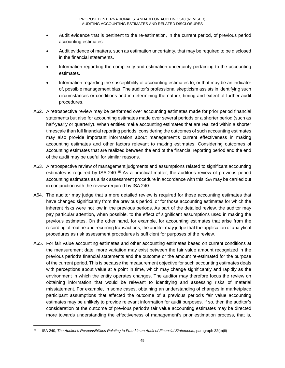- Audit evidence that is pertinent to the re-estimation, in the current period, of previous period accounting estimates.
- Audit evidence of matters, such as estimation uncertainty, that may be required to be disclosed in the financial statements.
- Information regarding the complexity and estimation uncertainty pertaining to the accounting estimates.
- Information regarding the susceptibility of accounting estimates to, or that may be an indicator of, possible management bias. The auditor's professional skepticism assists in identifying such circumstances or conditions and in determining the nature, timing and extent of further audit procedures.
- A62. A retrospective review may be performed over accounting estimates made for prior period financial statements but also for accounting estimates made over several periods or a shorter period (such as half-yearly or quarterly). When entities make accounting estimates that are realized within a shorter timescale than full financial reporting periods, considering the outcomes of such accounting estimates may also provide important information about management's current effectiveness in making accounting estimates and other factors relevant to making estimates. Considering outcomes of accounting estimates that are realized between the end of the financial reporting period and the end of the audit may be useful for similar reasons.
- A63. A retrospective review of management judgments and assumptions related to significant accounting estimates is required by ISA 240.<sup>45</sup> As a practical matter, the auditor's review of previous period accounting estimates as a risk assessment procedure in accordance with this ISA may be carried out in conjunction with the review required by ISA 240.
- A64. The auditor may judge that a more detailed review is required for those accounting estimates that have changed significantly from the previous period, or for those accounting estimates for which the inherent risks were not low in the previous periods. As part of the detailed review, the auditor may pay particular attention, when possible, to the effect of significant assumptions used in making the previous estimates. On the other hand, for example, for accounting estimates that arise from the recording of routine and recurring transactions, the auditor may judge that the application of analytical procedures as risk assessment procedures is sufficient for purposes of the review.
- A65. For fair value accounting estimates and other accounting estimates based on current conditions at the measurement date, more variation may exist between the fair value amount recognized in the previous period's financial statements and the outcome or the amount re-estimated for the purpose of the current period. This is because the measurement objective for such accounting estimates deals with perceptions about value at a point in time, which may change significantly and rapidly as the environment in which the entity operates changes. The auditor may therefore focus the review on obtaining information that would be relevant to identifying and assessing risks of material misstatement. For example, in some cases, obtaining an understanding of changes in marketplace participant assumptions that affected the outcome of a previous period's fair value accounting estimates may be unlikely to provide relevant information for audit purposes. If so, then the auditor's consideration of the outcome of previous period's fair value accounting estimates may be directed more towards understanding the effectiveness of management's prior estimation process, that is,

 <sup>45</sup> ISA 240, *The Auditor's Responsibilities Relating to Fraud in an Audit of Financial Statements*, paragraph 32(b)(ii)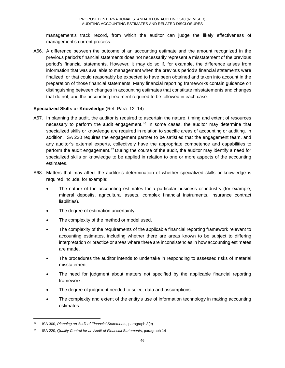management's track record, from which the auditor can judge the likely effectiveness of management's current process.

A66. A difference between the outcome of an accounting estimate and the amount recognized in the previous period's financial statements does not necessarily represent a misstatement of the previous period's financial statements. However, it may do so if, for example, the difference arises from information that was available to management when the previous period's financial statements were finalized, or that could reasonably be expected to have been obtained and taken into account in the preparation of those financial statements. Many financial reporting frameworks contain guidance on distinguishing between changes in accounting estimates that constitute misstatements and changes that do not, and the accounting treatment required to be followed in each case.

### **Specialized Skills or Knowledge** (Ref: Para. 12, 14)

- A67. In planning the audit, the auditor is required to ascertain the nature, timing and extent of resources necessary to perform the audit engagement.46 In some cases, the auditor may determine that specialized skills or knowledge are required in relation to specific areas of accounting or auditing. In addition, ISA 220 requires the engagement partner to be satisfied that the engagement team, and any auditor's external experts, collectively have the appropriate competence and capabilities to perform the audit engagement.<sup>47</sup> During the course of the audit, the auditor may identify a need for specialized skills or knowledge to be applied in relation to one or more aspects of the accounting estimates.
- A68. Matters that may affect the auditor's determination of whether specialized skills or knowledge is required include, for example:
	- The nature of the accounting estimates for a particular business or industry (for example, mineral deposits, agricultural assets, complex financial instruments, insurance contract liabilities).
	- The degree of estimation uncertainty.
	- The complexity of the method or model used.
	- The complexity of the requirements of the applicable financial reporting framework relevant to accounting estimates, including whether there are areas known to be subject to differing interpretation or practice or areas where there are inconsistencies in how accounting estimates are made.
	- The procedures the auditor intends to undertake in responding to assessed risks of material misstatement.
	- The need for judgment about matters not specified by the applicable financial reporting framework.
	- The degree of judgment needed to select data and assumptions.
	- The complexity and extent of the entity's use of information technology in making accounting estimates.

 <sup>46</sup> ISA 300, *Planning an Audit of Financial Statements*, paragraph 8(e)

<sup>47</sup> ISA 220, *Quality Control for an Audit of Financial Statements*, paragraph 14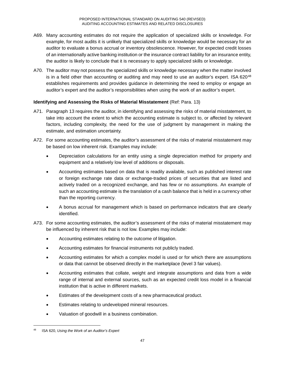- A69. Many accounting estimates do not require the application of specialized skills or knowledge. For example, for most audits it is unlikely that specialized skills or knowledge would be necessary for an auditor to evaluate a bonus accrual or inventory obsolescence. However, for expected credit losses of an internationally active banking institution or the insurance contract liability for an insurance entity, the auditor is likely to conclude that it is necessary to apply specialized skills or knowledge.
- A70. The auditor may not possess the specialized skills or knowledge necessary when the matter involved is in a field other than accounting or auditing and may need to use an auditor's expert. ISA  $620^{48}$ establishes requirements and provides guidance in determining the need to employ or engage an auditor's expert and the auditor's responsibilities when using the work of an auditor's expert.

## **Identifying and Assessing the Risks of Material Misstatement** (Ref: Para. 13)

- A71. Paragraph 13 requires the auditor, in identifying and assessing the risks of material misstatement, to take into account the extent to which the accounting estimate is subject to, or affected by relevant factors, including complexity, the need for the use of judgment by management in making the estimate, and estimation uncertainty.
- A72. For some accounting estimates, the auditor's assessment of the risks of material misstatement may be based on low inherent risk. Examples may include:
	- Depreciation calculations for an entity using a single depreciation method for property and equipment and a relatively low level of additions or disposals.
	- Accounting estimates based on data that is readily available, such as published interest rate or foreign exchange rate data or exchange-traded prices of securities that are listed and actively traded on a recognized exchange, and has few or no assumptions. An example of such an accounting estimate is the translation of a cash balance that is held in a currency other than the reporting currency.
	- A bonus accrual for management which is based on performance indicators that are clearly identified.
- A73. For some accounting estimates, the auditor's assessment of the risks of material misstatement may be influenced by inherent risk that is not low. Examples may include:
	- Accounting estimates relating to the outcome of litigation.
	- Accounting estimates for financial instruments not publicly traded.
	- Accounting estimates for which a complex model is used or for which there are assumptions or data that cannot be observed directly in the marketplace (level 3 fair values).
	- Accounting estimates that collate, weight and integrate assumptions and data from a wide range of internal and external sources, such as an expected credit loss model in a financial institution that is active in different markets.
	- Estimates of the development costs of a new pharmaceutical product.
	- Estimates relating to undeveloped mineral resources.
	- Valuation of goodwill in a business combination.

 <sup>48</sup> ISA 620, *Using the Work of an Auditor's Expert*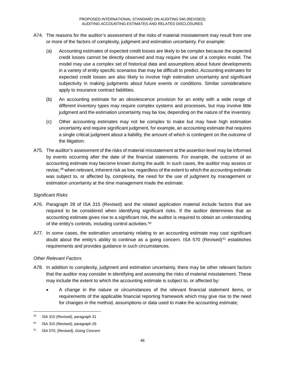- A74. The reasons for the auditor's assessment of the risks of material misstatement may result from one or more of the factors of complexity, judgment and estimation uncertainty. For example:
	- (a) Accounting estimates of expected credit losses are likely to be complex because the expected credit losses cannot be directly observed and may require the use of a complex model. The model may use a complex set of historical data and assumptions about future developments in a variety of entity specific scenarios that may be difficult to predict. Accounting estimates for expected credit losses are also likely to involve high estimation uncertainty and significant subjectivity in making judgments about future events or conditions. Similar considerations apply to insurance contract liabilities.
	- (b) An accounting estimate for an obsolescence provision for an entity with a wide range of different inventory types may require complex systems and processes, but may involve little judgment and the estimation uncertainty may be low, depending on the nature of the inventory.
	- (c) Other accounting estimates may not be complex to make but may have high estimation uncertainty and require significant judgment, for example, an accounting estimate that requires a single critical judgment about a liability, the amount of which is contingent on the outcome of the litigation.
- A75. The auditor's assessment of the risks of material misstatement at the assertion level may be informed by events occurring after the date of the financial statements. For example, the outcome of an accounting estimate may become known during the audit. In such cases, the auditor may assess or revise, <sup>49</sup> when relevant, inherent risk as low, regardless of the extent to which the accounting estimate was subject to, or affected by, complexity, the need for the use of judgment by management or estimation uncertainty at the time management made the estimate.

### *Significant Risks*

- A76. Paragraph 28 of ISA 315 (Revised) and the related application material include factors that are required to be considered when identifying significant risks. If the auditor determines that an accounting estimate gives rise to a significant risk, the auditor is required to obtain an understanding of the entity's controls, including control activities.<sup>50</sup>
- A77. In some cases, the estimation uncertainty relating to an accounting estimate may cast significant doubt about the entity's ability to continue as a going concern. ISA 570 (Revised)<sup>51</sup> establishes requirements and provides guidance in such circumstances.

## *Other Relevant Factors*

- A78. In addition to complexity, judgment and estimation uncertainty, there may be other relevant factors that the auditor may consider in identifying and assessing the risks of material misstatement. These may include the extent to which the accounting estimate is subject to, or affected by:
	- A change in the nature or circumstances of the relevant financial statement items, or requirements of the applicable financial reporting framework which may give rise to the need for changes in the method, assumptions or data used to make the accounting estimate;

 <sup>49</sup> ISA 315 (Revised), paragraph 31

<sup>50</sup> ISA 315 (Revised), paragraph 29

<sup>51</sup> ISA 570, (Revised), *Going Concern*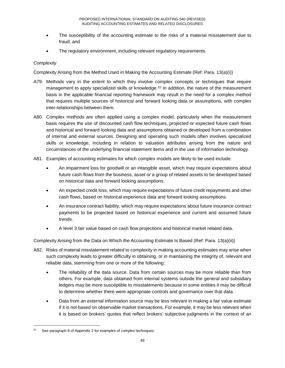- The susceptibility of the accounting estimate to the risks of a material misstatement due to fraud; and
- The regulatory environment, including relevant regulatory requirements.

## *Complexity*

Complexity Arising from the Method Used in Making the Accounting Estimate (Ref: Para. 13(a)(i))

- A79. Methods vary in the extent to which they involve complex concepts or techniques that require management to apply specialized skills or knowledge.<sup>52</sup> In addition, the nature of the measurement basis in the applicable financial reporting framework may result in the need for a complex method that requires multiple sources of historical and forward looking data or assumptions, with complex inter-relationships between them.
- A80. Complex methods are often applied using a complex model, particularly when the measurement basis requires the use of discounted cash flow techniques, projected or expected future cash flows and historical and forward looking data and assumptions obtained or developed from a combination of internal and external sources. Designing and operating such models often involves specialized skills or knowledge, including in relation to valuation attributes arising from the nature and circumstances of the underlying financial statement items and in the use of information technology.
- A81. Examples of accounting estimates for which complex models are likely to be used include:
	- An impairment loss for goodwill or an intangible asset, which may require expectations about future cash flows from the business, asset or a group of related assets to be developed based on historical data and forward looking assumptions.
	- An expected credit loss, which may require expectations of future credit repayments and other cash flows, based on historical experience data and forward looking assumptions.
	- An insurance contract liability, which may require expectations about future insurance contract payments to be projected based on historical experience and current and assumed future trends.
	- A level 3 fair value based on cash flow projections and historical market related data.

Complexity Arising from the Data on Which the Accounting Estimate Is Based (Ref: Para. 13(a)(ii))

- A82. Risks of material misstatement related to complexity in making accounting estimates may arise when such complexity leads to greater difficulty in obtaining, or in maintaining the integrity of, relevant and reliable data, stemming from one or more of the following:
	- The reliability of the data source. Data from certain sources may be more reliable than from others. For example, data obtained from internal systems outside the general and subsidiary ledgers may be more susceptible to misstatements because in some entities it may be difficult to determine whether there were appropriate controls and governance over that data.
	- Data from an external information source may be less relevant in making a fair value estimate if it is not based on observable market transactions. For example, it may be less relevant when it is based on brokers' quotes that reflect brokers' subjective judgments in the context of an

See paragraph 8 of Appendix 2 for examples of complex techniques.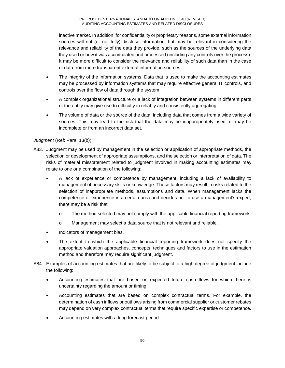inactive market. In addition, for confidentiality or proprietary reasons, some external information sources will not (or not fully) disclose information that may be relevant in considering the relevance and reliability of the data they provide, such as the sources of the underlying data they used or how it was accumulated and processed (including any controls over the process). It may be more difficult to consider the relevance and reliability of such data than in the case of data from more transparent external information sources.

- The integrity of the information systems. Data that is used to make the accounting estimates may be processed by information systems that may require effective general IT controls, and controls over the flow of data through the system.
- A complex organizational structure or a lack of integration between systems in different parts of the entity may give rise to difficulty in reliably and consistently aggregating.
- The volume of data or the source of the data, including data that comes from a wide variety of sources. This may lead to the risk that the data may be inappropriately used, or may be incomplete or from an incorrect data set.

## *Judgment* (Ref: Para. 13(b))

- A83. Judgment may be used by management in the selection or application of appropriate methods, the selection or development of appropriate assumptions, and the selection or interpretation of data. The risks of material misstatement related to judgment involved in making accounting estimates may relate to one or a combination of the following:
	- A lack of experience or competence by management, including a lack of availability to management of necessary skills or knowledge. These factors may result in risks related to the selection of inappropriate methods, assumptions and data. When management lacks the competence or experience in a certain area and decides not to use a management's expert, there may be a risk that:
		- o The method selected may not comply with the applicable financial reporting framework.
		- o Management may select a data source that is not relevant and reliable.
	- Indicators of management bias.
	- The extent to which the applicable financial reporting framework does not specify the appropriate valuation approaches, concepts, techniques and factors to use in the estimation method and therefore may require significant judgment.
- A84. Examples of accounting estimates that are likely to be subject to a high degree of judgment include the following:
	- Accounting estimates that are based on expected future cash flows for which there is uncertainty regarding the amount or timing.
	- Accounting estimates that are based on complex contractual terms. For example, the determination of cash inflows or outflows arising from commercial supplier or customer rebates may depend on very complex contractual terms that require specific expertise or competence.
	- Accounting estimates with a long forecast period.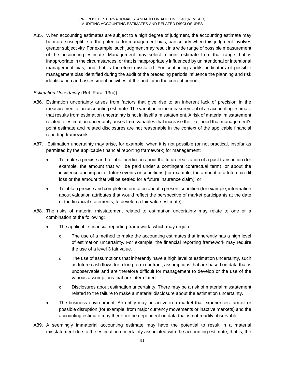A85. When accounting estimates are subject to a high degree of judgment, the accounting estimate may be more susceptible to the potential for management bias, particularly when this judgment involves greater subjectivity. For example, such judgment may result in a wide range of possible measurement of the accounting estimate. Management may select a point estimate from that range that is inappropriate in the circumstances, or that is inappropriately influenced by unintentional or intentional management bias, and that is therefore misstated. For continuing audits, indicators of possible management bias identified during the audit of the preceding periods influence the planning and risk identification and assessment activities of the auditor in the current period.

## *Estimation Uncertainty* (Ref: Para. 13(c))

- A86. Estimation uncertainty arises from factors that give rise to an inherent lack of precision in the measurement of an accounting estimate. The variation in the measurement of an accounting estimate that results from estimation uncertainty is not in itself a misstatement. A risk of material misstatement related to estimation uncertainty arises from variables that increase the likelihood that management's point estimate and related disclosures are not reasonable in the context of the applicable financial reporting framework.
- A87. Estimation uncertainty may arise, for example, when it is not possible (or not practical, insofar as permitted by the applicable financial reporting framework) for management:
	- To make a precise and reliable prediction about the future realization of a past transaction (for example, the amount that will be paid under a contingent contractual term), or about the incidence and impact of future events or conditions (for example, the amount of a future credit loss or the amount that will be settled for a future insurance claim); or
	- To obtain precise and complete information about a present condition (for example, information about valuation attributes that would reflect the perspective of market participants at the date of the financial statements, to develop a fair value estimate).
- A88. The risks of material misstatement related to estimation uncertainty may relate to one or a combination of the following:
	- The applicable financial reporting framework, which may require:
		- $\circ$  The use of a method to make the accounting estimates that inherently has a high level of estimation uncertainty. For example, the financial reporting framework may require the use of a level 3 fair value.
		- o The use of assumptions that inherently have a high level of estimation uncertainty, such as future cash flows for a long-term contract, assumptions that are based on data that is unobservable and are therefore difficult for management to develop or the use of the various assumptions that are interrelated.
		- o Disclosures about estimation uncertainty. There may be a risk of material misstatement related to the failure to make a material disclosure about the estimation uncertainty.
	- The business environment. An entity may be active in a market that experiences turmoil or possible disruption (for example, from major currency movements or inactive markets) and the accounting estimate may therefore be dependent on data that is not readily observable.
- A89. A seemingly immaterial accounting estimate may have the potential to result in a material misstatement due to the estimation uncertainty associated with the accounting estimate; that is, the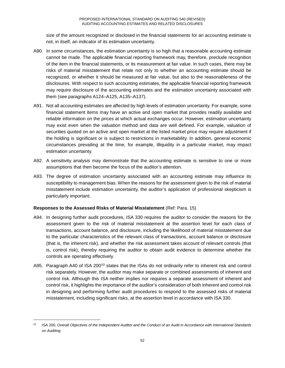size of the amount recognized or disclosed in the financial statements for an accounting estimate is not, in itself, an indicator of its estimation uncertainty.

- A90. In some circumstances, the estimation uncertainty is so high that a reasonable accounting estimate cannot be made. The applicable financial reporting framework may, therefore, preclude recognition of the item in the financial statements, or its measurement at fair value. In such cases, there may be risks of material misstatement that relate not only to whether an accounting estimate should be recognized, or whether it should be measured at fair value, but also to the reasonableness of the disclosures. With respect to such accounting estimates, the applicable financial reporting framework may require disclosure of the accounting estimates and the estimation uncertainty associated with them (see paragraphs A124–A125, A135–A137).
- A91. Not all accounting estimates are affected by high levels of estimation uncertainty. For example, some financial statement items may have an active and open market that provides readily available and reliable information on the prices at which actual exchanges occur. However, estimation uncertainty may exist even when the valuation method and data are well defined. For example, valuation of securities quoted on an active and open market at the listed market price may require adjustment if the holding is significant or is subject to restrictions in marketability. In addition, general economic circumstances prevailing at the time, for example, illiquidity in a particular market, may impact estimation uncertainty.
- A92. A sensitivity analysis may demonstrate that the accounting estimate is sensitive to one or more assumptions that then become the focus of the auditor's attention.
- A93. The degree of estimation uncertainty associated with an accounting estimate may influence its susceptibility to management bias. When the reasons for the assessment given to the risk of material misstatement include estimation uncertainty, the auditor's application of professional skepticism is particularly important.

### **Responses to the Assessed Risks of Material Misstatement** (Ref: Para. 15)

- A94. In designing further audit procedures, ISA 330 requires the auditor to consider the reasons for the assessment given to the risk of material misstatement at the assertion level for each class of transactions, account balance, and disclosure, including the likelihood of material misstatement due to the particular characteristics of the relevant class of transactions, account balance or disclosure (that is, the inherent risk), and whether the risk assessment takes account of relevant controls (that is, control risk), thereby requiring the auditor to obtain audit evidence to determine whether the controls are operating effectively.
- A95. Paragraph A40 of ISA 200<sup>53</sup> states that the ISAs do not ordinarily refer to inherent risk and control risk separately. However, the auditor may make separate or combined assessments of inherent and control risk. Although this ISA neither implies nor requires a separate assessment of inherent and control risk, it highlights the importance of the auditor's consideration of both inherent and control risk in designing and performing further audit procedures to respond to the assessed risks of material misstatement, including significant risks, at the assertion level in accordance with ISA 330.

 <sup>53</sup> ISA 200, *Overall Objectives of the Independent Auditor and the Conduct of an Audit in Accordance with International Standards on Auditing*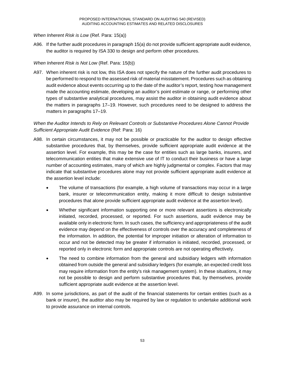#### *When Inherent Risk is Low* (Ref. Para: 15(a))

A96. If the further audit procedures in paragraph 15(a) do not provide sufficient appropriate audit evidence, the auditor is required by ISA 330 to design and perform other procedures.

#### *When Inherent Risk is Not Low* (Ref. Para: 15(b))

A97. When inherent risk is not low, this ISA does not specify the nature of the further audit procedures to be performed to respond to the assessed risk of material misstatement. Procedures such as obtaining audit evidence about events occurring up to the date of the auditor's report, testing how management made the accounting estimate, developing an auditor's point estimate or range, or performing other types of substantive analytical procedures, may assist the auditor in obtaining audit evidence about the matters in paragraphs 17–19. However, such procedures need to be designed to address the matters in paragraphs 17–19.

## *When the Auditor Intends to Rely on Relevant Controls or Substantive Procedures Alone Cannot Provide Sufficient Appropriate Audit Evidence* (Ref: Para: 16)

- A98. In certain circumstances, it may not be possible or practicable for the auditor to design effective substantive procedures that, by themselves, provide sufficient appropriate audit evidence at the assertion level. For example, this may be the case for entities such as large banks, insurers, and telecommunication entities that make extensive use of IT to conduct their business or have a large number of accounting estimates, many of which are highly judgmental or complex. Factors that may indicate that substantive procedures alone may not provide sufficient appropriate audit evidence at the assertion level include:
	- The volume of transactions (for example, a high volume of transactions may occur in a large bank, insurer or telecommunication entity, making it more difficult to design substantive procedures that alone provide sufficient appropriate audit evidence at the assertion level).
	- Whether significant information supporting one or more relevant assertions is electronically initiated, recorded, processed, or reported. For such assertions, audit evidence may be available only in electronic form. In such cases, the sufficiency and appropriateness of the audit evidence may depend on the effectiveness of controls over the accuracy and completeness of the information. In addition, the potential for improper initiation or alteration of information to occur and not be detected may be greater if information is initiated, recorded, processed, or reported only in electronic form and appropriate controls are not operating effectively.
	- The need to combine information from the general and subsidiary ledgers with information obtained from outside the general and subsidiary ledgers (for example, an expected credit loss may require information from the entity's risk management system). In these situations, it may not be possible to design and perform substantive procedures that, by themselves, provide sufficient appropriate audit evidence at the assertion level.
- A99. In some jurisdictions, as part of the audit of the financial statements for certain entities (such as a bank or insurer), the auditor also may be required by law or regulation to undertake additional work to provide assurance on internal controls.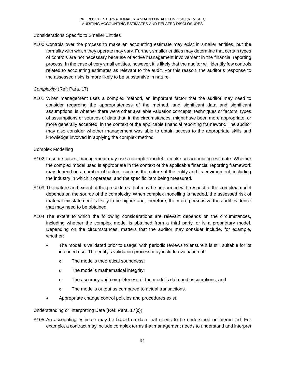### Considerations Specific to Smaller Entities

A100.Controls over the process to make an accounting estimate may exist in smaller entities, but the formality with which they operate may vary. Further, smaller entities may determine that certain types of controls are not necessary because of active management involvement in the financial reporting process. In the case of very small entities, however, it is likely that the auditor will identify few controls related to accounting estimates as relevant to the audit. For this reason, the auditor's response to the assessed risks is more likely to be substantive in nature.

#### *Complexity* (Ref: Para. 17)

A101.When management uses a complex method, an important factor that the auditor may need to consider regarding the appropriateness of the method, and significant data and significant assumptions, is whether there were other available valuation concepts, techniques or factors, types of assumptions or sources of data that, in the circumstances, might have been more appropriate, or more generally accepted, in the context of the applicable financial reporting framework. The auditor may also consider whether management was able to obtain access to the appropriate skills and knowledge involved in applying the complex method.

#### Complex Modelling

- A102.In some cases, management may use a complex model to make an accounting estimate. Whether the complex model used is appropriate in the context of the applicable financial reporting framework may depend on a number of factors, such as the nature of the entity and its environment, including the industry in which it operates, and the specific item being measured.
- A103.The nature and extent of the procedures that may be performed with respect to the complex model depends on the source of the complexity. When complex modelling is needed, the assessed risk of material misstatement is likely to be higher and, therefore, the more persuasive the audit evidence that may need to be obtained.
- A104.The extent to which the following considerations are relevant depends on the circumstances, including whether the complex model is obtained from a third party, or is a proprietary model. Depending on the circumstances, matters that the auditor may consider include, for example, whether:
	- The model is validated prior to usage, with periodic reviews to ensure it is still suitable for its intended use. The entity's validation process may include evaluation of:
		- o The model's theoretical soundness;
		- o The model's mathematical integrity;
		- o The accuracy and completeness of the model's data and assumptions; and
		- o The model's output as compared to actual transactions.
	- Appropriate change control policies and procedures exist.

#### Understanding or Interpreting Data (Ref: Para. 17(c))

A105.An accounting estimate may be based on data that needs to be understood or interpreted. For example, a contract may include complex terms that management needs to understand and interpret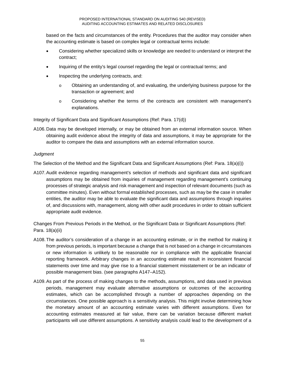based on the facts and circumstances of the entity. Procedures that the auditor may consider when the accounting estimate is based on complex legal or contractual terms include:

- Considering whether specialized skills or knowledge are needed to understand or interpret the contract;
- Inquiring of the entity's legal counsel regarding the legal or contractual terms; and
- Inspecting the underlying contracts, and:
	- o Obtaining an understanding of, and evaluating, the underlying business purpose for the transaction or agreement; and
	- o Considering whether the terms of the contracts are consistent with management's explanations.

Integrity of Significant Data and Significant Assumptions (Ref: Para. 17(d))

A106.Data may be developed internally, or may be obtained from an external information source. When obtaining audit evidence about the integrity of data and assumptions, it may be appropriate for the auditor to compare the data and assumptions with an external information source.

## *Judgment*

The Selection of the Method and the Significant Data and Significant Assumptions (Ref: Para. 18(a)(i))

A107.Audit evidence regarding management's selection of methods and significant data and significant assumptions may be obtained from inquiries of management regarding management's continuing processes of strategic analysis and risk management and inspection of relevant documents (such as committee minutes). Even without formal established processes, such as may be the case in smaller entities, the auditor may be able to evaluate the significant data and assumptions through inquiries of, and discussions with, management, along with other audit procedures in order to obtain sufficient appropriate audit evidence.

Changes From Previous Periods in the Method, or the Significant Data or Significant Assumptions (Ref: Para. 18(a)(ii)

- A108.The auditor's consideration of a change in an accounting estimate, or in the method for making it from previous periods, is important because a change that is not based on a change in circumstances or new information is unlikely to be reasonable nor in compliance with the applicable financial reporting framework. Arbitrary changes in an accounting estimate result in inconsistent financial statements over time and may give rise to a financial statement misstatement or be an indicator of possible management bias. (see paragraphs A147–A152).
- A109.As part of the process of making changes to the methods, assumptions, and data used in previous periods, management may evaluate alternative assumptions or outcomes of the accounting estimates, which can be accomplished through a number of approaches depending on the circumstances. One possible approach is a sensitivity analysis. This might involve determining how the monetary amount of an accounting estimate varies with different assumptions. Even for accounting estimates measured at fair value, there can be variation because different market participants will use different assumptions. A sensitivity analysis could lead to the development of a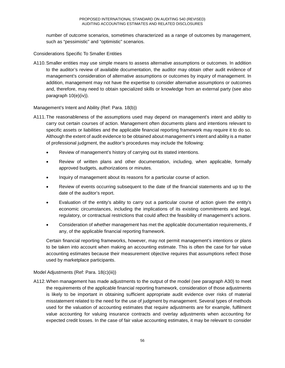number of outcome scenarios, sometimes characterized as a range of outcomes by management, such as "pessimistic" and "optimistic" scenarios.

Considerations Specific To Smaller Entities

A110.Smaller entities may use simple means to assess alternative assumptions or outcomes. In addition to the auditor's review of available documentation, the auditor may obtain other audit evidence of management's consideration of alternative assumptions or outcomes by inquiry of management. In addition, management may not have the expertise to consider alternative assumptions or outcomes and, therefore, may need to obtain specialized skills or knowledge from an external party (see also paragraph 10(e)(iv)).

Management's Intent and Ability (Ref: Para. 18(b))

- A111.The reasonableness of the assumptions used may depend on management's intent and ability to carry out certain courses of action. Management often documents plans and intentions relevant to specific assets or liabilities and the applicable financial reporting framework may require it to do so. Although the extent of audit evidence to be obtained about management's intent and ability is a matter of professional judgment, the auditor's procedures may include the following:
	- Review of management's history of carrying out its stated intentions.
	- Review of written plans and other documentation, including, when applicable, formally approved budgets, authorizations or minutes.
	- Inquiry of management about its reasons for a particular course of action.
	- Review of events occurring subsequent to the date of the financial statements and up to the date of the auditor's report.
	- Evaluation of the entity's ability to carry out a particular course of action given the entity's economic circumstances, including the implications of its existing commitments and legal, regulatory, or contractual restrictions that could affect the feasibility of management's actions.
	- Consideration of whether management has met the applicable documentation requirements, if any, of the applicable financial reporting framework.

Certain financial reporting frameworks, however, may not permit management's intentions or plans to be taken into account when making an accounting estimate. This is often the case for fair value accounting estimates because their measurement objective requires that assumptions reflect those used by marketplace participants.

### Model Adjustments (Ref: Para. 18(c)(iii))

A112.When management has made adjustments to the output of the model (see paragraph A30) to meet the requirements of the applicable financial reporting framework, consideration of those adjustments is likely to be important in obtaining sufficient appropriate audit evidence over risks of material misstatement related to the need for the use of judgment by management. Several types of methods used for the valuation of accounting estimates that require adjustments are for example, fulfilment value accounting for valuing insurance contracts and overlay adjustments when accounting for expected credit losses. In the case of fair value accounting estimates, it may be relevant to consider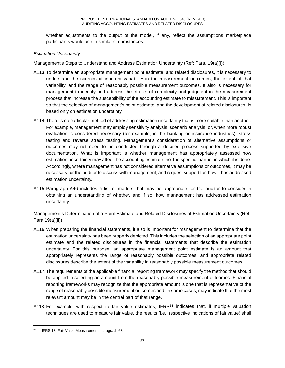whether adjustments to the output of the model, if any, reflect the assumptions marketplace participants would use in similar circumstances.

## *Estimation Uncertainty*

Management's Steps to Understand and Address Estimation Uncertainty (Ref: Para. 19(a)(i))

- A113.To determine an appropriate management point estimate, and related disclosures, it is necessary to understand the sources of inherent variability in the measurement outcomes, the extent of that variability, and the range of reasonably possible measurement outcomes. It also is necessary for management to identify and address the effects of complexity and judgment in the measurement process that increase the susceptibility of the accounting estimate to misstatement. This is important so that the selection of management's point estimate, and the development of related disclosures, is based only on estimation uncertainty.
- A114.There is no particular method of addressing estimation uncertainty that is more suitable than another. For example, management may employ sensitivity analysis, scenario analysis, or, when more robust evaluation is considered necessary (for example, in the banking or insurance industries), stress testing and reverse stress testing. Management's consideration of alternative assumptions or outcomes may not need to be conducted through a detailed process supported by extensive documentation. What is important is whether management has appropriately assessed how estimation uncertainty may affect the accounting estimate, not the specific manner in which it is done. Accordingly, where management has not considered alternative assumptions or outcomes, it may be necessary for the auditor to discuss with management, and request support for, how it has addressed estimation uncertainty.
- A115.Paragraph A46 includes a list of matters that may be appropriate for the auditor to consider in obtaining an understanding of whether, and if so, how management has addressed estimation uncertainty.

Management's Determination of a Point Estimate and Related Disclosures of Estimation Uncertainty (Ref: Para 19(a)(ii))

- A116.When preparing the financial statements, it also is important for management to determine that the estimation uncertainty has been properly depicted. This includes the selection of an appropriate point estimate and the related disclosures in the financial statements that describe the estimation uncertainty. For this purpose, an appropriate management point estimate is an amount that appropriately represents the range of reasonably possible outcomes, and appropriate related disclosures describe the extent of the variability in reasonably possible measurement outcomes.
- A117.The requirements of the applicable financial reporting framework may specify the method that should be applied in selecting an amount from the reasonably possible measurement outcomes. Financial reporting frameworks may recognize that the appropriate amount is one that is representative of the range of reasonably possible measurement outcomes and, in some cases, may indicate that the most relevant amount may be in the central part of that range.
- A118. For example, with respect to fair value estimates, IFRS<sup>54</sup> indicates that, if multiple valuation techniques are used to measure fair value, the results (i.e., respective indications of fair value) shall

 <sup>54</sup> IFRS 13, Fair Value Measurement, paragraph 63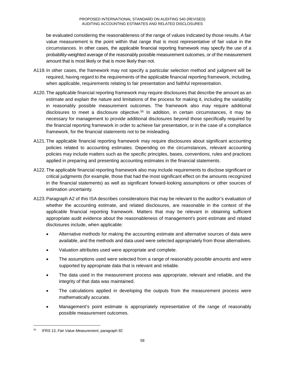be evaluated considering the reasonableness of the range of values indicated by those results. A fair value measurement is the point within that range that is most representative of fair value in the circumstances. In other cases, the applicable financial reporting framework may specify the use of a probability-weighted average of the reasonably possible measurement outcomes, or of the measurement amount that is most likely or that is more likely than not.

- A119.In other cases, the framework may not specify a particular selection method and judgment will be required, having regard to the requirements of the applicable financial reporting framework, including, when applicable, requirements relating to fair presentation and faithful representation.
- A120.The applicable financial reporting framework may require disclosures that describe the amount as an estimate and explain the nature and limitations of the process for making it, including the variability in reasonably possible measurement outcomes. The framework also may require additional disclosures to meet a disclosure objective.<sup>55</sup> In addition, in certain circumstances, it may be necessary for management to provide additional disclosures beyond those specifically required by the financial reporting framework in order to achieve fair presentation, or in the case of a compliance framework, for the financial statements not to be misleading.
- A121.The applicable financial reporting framework may require disclosures about significant accounting policies related to accounting estimates. Depending on the circumstances, relevant accounting policies may include matters such as the specific principles, bases, conventions, rules and practices applied in preparing and presenting accounting estimates in the financial statements.
- A122.The applicable financial reporting framework also may include requirements to disclose significant or critical judgments (for example, those that had the most significant effect on the amounts recognized in the financial statements) as well as significant forward-looking assumptions or other sources of estimation uncertainty.
- A123.Paragraph A2 of this ISA describes considerations that may be relevant to the auditor's evaluation of whether the accounting estimate, and related disclosures, are reasonable in the context of the applicable financial reporting framework. Matters that may be relevant in obtaining sufficient appropriate audit evidence about the reasonableness of management's point estimate and related disclosures include, when applicable:
	- Alternative methods for making the accounting estimate and alternative sources of data were available, and the methods and data used were selected appropriately from those alternatives.
	- Valuation attributes used were appropriate and complete.
	- The assumptions used were selected from a range of reasonably possible amounts and were supported by appropriate data that is relevant and reliable.
	- The data used in the measurement process was appropriate, relevant and reliable, and the integrity of that data was maintained.
	- The calculations applied in developing the outputs from the measurement process were mathematically accurate.
	- Management's point estimate is appropriately representative of the range of reasonably possible measurement outcomes.

 <sup>55</sup> IFRS 13, *Fair Value Measurement*, paragraph 92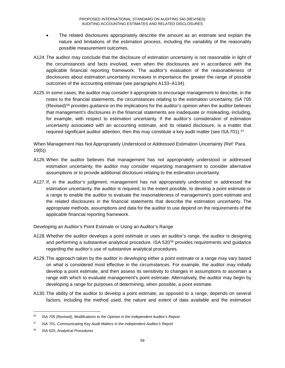- The related disclosures appropriately describe the amount as an estimate and explain the nature and limitations of the estimation process, including the variability of the reasonably possible measurement outcomes.
- A124.The auditor may conclude that the disclosure of estimation uncertainty is not reasonable in light of the circumstances and facts involved, even when the disclosures are in accordance with the applicable financial reporting framework. The auditor's evaluation of the reasonableness of disclosures about estimation uncertainty increases in importance the greater the range of possible outcomes of the accounting estimate (see paragraphs A133–A134).
- A125.In some cases, the auditor may consider it appropriate to encourage management to describe, in the notes to the financial statements, the circumstances relating to the estimation uncertainty. ISA 705  $(Revised)$ <sup>56</sup> provides guidance on the implications for the auditor's opinion when the auditor believes that management's disclosures in the financial statements are inadequate or misleading, including, for example, with respect to estimation uncertainty. If the auditor's consideration of estimation uncertainty associated with an accounting estimate, and its related disclosure, is a matter that required significant auditor attention, then this may constitute a key audit matter (see ISA 701).<sup>57</sup>

When Management Has Not Appropriately Understood or Addressed Estimation Uncertainty (Ref: Para. 19(b))

- A126.When the auditor believes that management has not appropriately understood or addressed estimation uncertainty, the auditor may consider requesting management to consider alternative assumptions or to provide additional disclosure relating to the estimation uncertainty.
- A127.If, in the auditor's judgment, management has not appropriately understood or addressed the estimation uncertainty, the auditor is required, to the extent possible, to develop a point estimate or a range to enable the auditor to evaluate the reasonableness of management's point estimate and the related disclosures in the financial statements that describe the estimation uncertainty. The appropriate methods, assumptions and data for the auditor to use depend on the requirements of the applicable financial reporting framework.

Developing an Auditor's Point Estimate or Using an Auditor's Range

- A128.Whether the auditor develops a point estimate or uses an auditor's range, the auditor is designing and performing a substantive analytical procedure. ISA 520<sup>58</sup> provides requirements and guidance regarding the auditor's use of substantive analytical procedures.
- A129.The approach taken by the auditor in developing either a point estimate or a range may vary based on what is considered most effective in the circumstances. For example, the auditor may initially develop a point estimate, and then assess its sensitivity to changes in assumptions to ascertain a range with which to evaluate management's point estimate. Alternatively, the auditor may begin by developing a range for purposes of determining, when possible, a point estimate.
- A130.The ability of the auditor to develop a point estimate, as opposed to a range, depends on several factors, including the method used, the nature and extent of data available and the estimation

 <sup>56</sup> ISA 705 (Revised), *Modifications to the Opinion in the Independent Auditor's Report*

<sup>57</sup> ISA 701, *Communicating Key Audit Matters in the Independent Auditor's Report*

<sup>58</sup> ISA 520, *Analytical Procedures*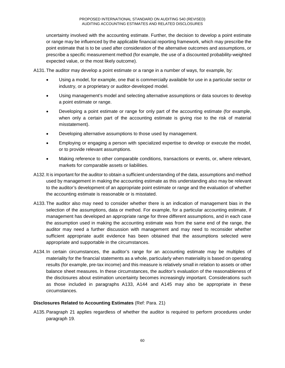uncertainty involved with the accounting estimate. Further, the decision to develop a point estimate or range may be influenced by the applicable financial reporting framework, which may prescribe the point estimate that is to be used after consideration of the alternative outcomes and assumptions, or prescribe a specific measurement method (for example, the use of a discounted probability-weighted expected value, or the most likely outcome).

A131.The auditor may develop a point estimate or a range in a number of ways, for example, by:

- Using a model, for example, one that is commercially available for use in a particular sector or industry, or a proprietary or auditor-developed model.
- Using management's model and selecting alternative assumptions or data sources to develop a point estimate or range.
- Developing a point estimate or range for only part of the accounting estimate (for example, when only a certain part of the accounting estimate is giving rise to the risk of material misstatement).
- Developing alternative assumptions to those used by management.
- Employing or engaging a person with specialized expertise to develop or execute the model, or to provide relevant assumptions.
- Making reference to other comparable conditions, transactions or events, or, where relevant, markets for comparable assets or liabilities.
- A132.It is important for the auditor to obtain a sufficient understanding of the data, assumptions and method used by management in making the accounting estimate as this understanding also may be relevant to the auditor's development of an appropriate point estimate or range and the evaluation of whether the accounting estimate is reasonable or is misstated.
- A133.The auditor also may need to consider whether there is an indication of management bias in the selection of the assumptions, data or method. For example, for a particular accounting estimate, if management has developed an appropriate range for three different assumptions, and in each case the assumption used in making the accounting estimate was from the same end of the range, the auditor may need a further discussion with management and may need to reconsider whether sufficient appropriate audit evidence has been obtained that the assumptions selected were appropriate and supportable in the circumstances.
- A134.In certain circumstances, the auditor's range for an accounting estimate may be multiples of materiality for the financial statements as a whole, particularly when materiality is based on operating results (for example, pre-tax income) and this measure is relatively small in relation to assets or other balance sheet measures. In these circumstances, the auditor's evaluation of the reasonableness of the disclosures about estimation uncertainty becomes increasingly important. Considerations such as those included in paragraphs A133, A144 and A145 may also be appropriate in these circumstances.

### **Disclosures Related to Accounting Estimates** (Ref: Para. 21)

A135.Paragraph 21 applies regardless of whether the auditor is required to perform procedures under paragraph 19.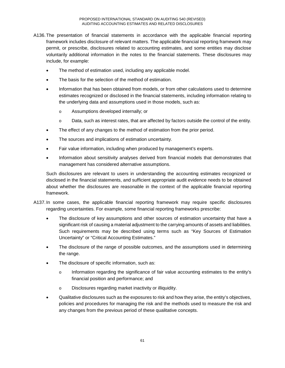- A136.The presentation of financial statements in accordance with the applicable financial reporting framework includes disclosure of relevant matters. The applicable financial reporting framework may permit, or prescribe, disclosures related to accounting estimates, and some entities may disclose voluntarily additional information in the notes to the financial statements. These disclosures may include, for example:
	- The method of estimation used, including any applicable model.
	- The basis for the selection of the method of estimation.
	- Information that has been obtained from models, or from other calculations used to determine estimates recognized or disclosed in the financial statements, including information relating to the underlying data and assumptions used in those models, such as:
		- o Assumptions developed internally; or
		- o Data, such as interest rates, that are affected by factors outside the control of the entity.
	- The effect of any changes to the method of estimation from the prior period.
	- The sources and implications of estimation uncertainty.
	- Fair value information, including when produced by management's experts.
	- Information about sensitivity analyses derived from financial models that demonstrates that management has considered alternative assumptions.

Such disclosures are relevant to users in understanding the accounting estimates recognized or disclosed in the financial statements, and sufficient appropriate audit evidence needs to be obtained about whether the disclosures are reasonable in the context of the applicable financial reporting framework.

- A137.In some cases, the applicable financial reporting framework may require specific disclosures regarding uncertainties. For example, some financial reporting frameworks prescribe:
	- The disclosure of key assumptions and other sources of estimation uncertainty that have a significant risk of causing a material adjustment to the carrying amounts of assets and liabilities. Such requirements may be described using terms such as "Key Sources of Estimation Uncertainty" or "Critical Accounting Estimates."
	- The disclosure of the range of possible outcomes, and the assumptions used in determining the range.
	- The disclosure of specific information, such as:
		- o Information regarding the significance of fair value accounting estimates to the entity's financial position and performance; and
		- o Disclosures regarding market inactivity or illiquidity.
	- Qualitative disclosures such as the exposures to risk and how they arise, the entity's objectives, policies and procedures for managing the risk and the methods used to measure the risk and any changes from the previous period of these qualitative concepts.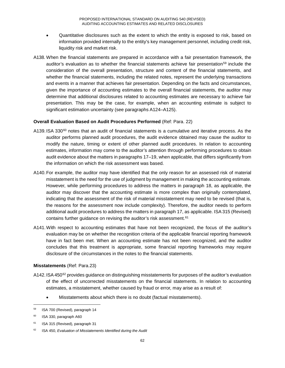- Quantitative disclosures such as the extent to which the entity is exposed to risk, based on information provided internally to the entity's key management personnel, including credit risk, liquidity risk and market risk.
- A138. When the financial statements are prepared in accordance with a fair presentation framework, the auditor's evaluation as to whether the financial statements achieve fair presentation<sup>59</sup> include the consideration of the overall presentation, structure and content of the financial statements, and whether the financial statements, including the related notes, represent the underlying transactions and events in a manner that achieves fair presentation. Depending on the facts and circumstances, given the importance of accounting estimates to the overall financial statements, the auditor may determine that additional disclosures related to accounting estimates are necessary to achieve fair presentation. This may be the case, for example, when an accounting estimate is subject to significant estimation uncertainty (see paragraphs A124–A125).

#### **Overall Evaluation Based on Audit Procedures Performed** (Ref: Para. 22)

- A139. ISA 330<sup>60</sup> notes that an audit of financial statements is a cumulative and iterative process. As the auditor performs planned audit procedures, the audit evidence obtained may cause the auditor to modify the nature, timing or extent of other planned audit procedures. In relation to accounting estimates, information may come to the auditor's attention through performing procedures to obtain audit evidence about the matters in paragraphs 17–19, when applicable, that differs significantly from the information on which the risk assessment was based.
- A140.For example, the auditor may have identified that the only reason for an assessed risk of material misstatement is the need for the use of judgment by management in making the accounting estimate. However, while performing procedures to address the matters in paragraph 18, as applicable, the auditor may discover that the accounting estimate is more complex than originally contemplated, indicating that the assessment of the risk of material misstatement may need to be revised (that is, the reasons for the assessment now include complexity). Therefore, the auditor needs to perform additional audit procedures to address the matters in paragraph 17, as applicable. ISA 315 (Revised) contains further guidance on revising the auditor's risk assessment.<sup>61</sup>
- A141.With respect to accounting estimates that have not been recognized, the focus of the auditor's evaluation may be on whether the recognition criteria of the applicable financial reporting framework have in fact been met. When an accounting estimate has not been recognized, and the auditor concludes that this treatment is appropriate, some financial reporting frameworks may require disclosure of the circumstances in the notes to the financial statements.

### **Misstatements** (Ref: Para.23)

- A142. ISA 450<sup>62</sup> provides guidance on distinguishing misstatements for purposes of the auditor's evaluation of the effect of uncorrected misstatements on the financial statements. In relation to accounting estimates, a misstatement, whether caused by fraud or error, may arise as a result of:
	- Misstatements about which there is no doubt (factual misstatements).

 <sup>59</sup> ISA 700 (Revised), paragraph 14

<sup>60</sup> ISA 330, paragraph A60

<sup>&</sup>lt;sup>61</sup> ISA 315 (Revised), paragraph 31

<sup>62</sup> ISA 450, *Evaluation of Misstatements Identified during the Audit*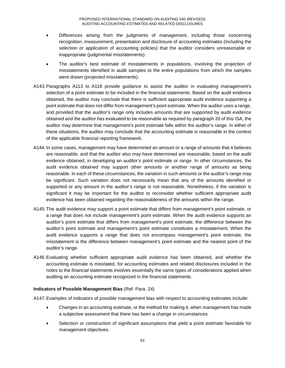- Differences arising from the judgments of management, including those concerning recognition, measurement, presentation and disclosure of accounting estimates (including the selection or application of accounting policies) that the auditor considers unreasonable or inappropriate (judgmental misstatements).
- The auditor's best estimate of misstatements in populations, involving the projection of misstatements identified in audit samples to the entire populations from which the samples were drawn (projected misstatements).
- A143.Paragraphs A113 to A118 provide guidance to assist the auditor in evaluating management's selection of a point estimate to be included in the financial statements. Based on the audit evidence obtained, the auditor may conclude that there is sufficient appropriate audit evidence supporting a point estimate that does not differ from management's point estimate. When the auditor uses a range, and provided that the auditor's range only includes amounts that are supported by audit evidence obtained and the auditor has evaluated to be reasonable as required by paragraph 20 of this ISA, the auditor may determine that management's point estimate falls within the auditor's range. In either of these situations, the auditor may conclude that the accounting estimate is reasonable in the context of the applicable financial reporting framework.
- A144.In some cases, management may have determined an amount or a range of amounts that it believes are reasonable, and that the auditor also may have determined are reasonable, based on the audit evidence obtained, in developing an auditor's point estimate or range. In other circumstances, the audit evidence obtained may support other amounts or another range of amounts as being reasonable. In each of these circumstances, the variation in such amounts or the auditor's range may be significant. Such variation does not necessarily mean that any of the amounts identified or supported or any amount in the auditor's range is not reasonable. Nonetheless, if the variation is significant it may be important for the auditor to reconsider whether sufficient appropriate audit evidence has been obtained regarding the reasonableness of the amounts within the range.
- A145.The audit evidence may support a point estimate that differs from management's point estimate, or a range that does not include management's point estimate. When the audit evidence supports an auditor's point estimate that differs from management's point estimate, the difference between the auditor's point estimate and management's point estimate constitutes a misstatement. When the audit evidence supports a range that does not encompass management's point estimate, the misstatement is the difference between management's point estimate and the nearest point of the auditor's range.
- A146.Evaluating whether sufficient appropriate audit evidence has been obtained, and whether the accounting estimate is misstated, for accounting estimates and related disclosures included in the notes to the financial statements involves essentially the same types of considerations applied when auditing an accounting estimate recognized in the financial statements.

### **Indicators of Possible Management Bias** (Ref: Para. 24)

A147.Examples of indicators of possible management bias with respect to accounting estimates include:

- Changes in an accounting estimate, or the method for making it, when management has made a subjective assessment that there has been a change in circumstances.
- Selection or construction of significant assumptions that yield a point estimate favorable for management objectives.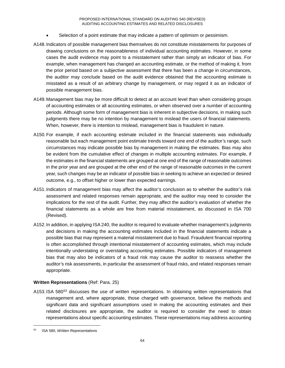- Selection of a point estimate that may indicate a pattern of optimism or pessimism.
- A148.Indicators of possible management bias themselves do not constitute misstatements for purposes of drawing conclusions on the reasonableness of individual accounting estimates. However, in some cases the audit evidence may point to a misstatement rather than simply an indicator of bias. For example, when management has changed an accounting estimate, or the method of making it, from the prior period based on a subjective assessment that there has been a change in circumstances, the auditor may conclude based on the audit evidence obtained that the accounting estimate is misstated as a result of an arbitrary change by management, or may regard it as an indicator of possible management bias.
- A149.Management bias may be more difficult to detect at an account level than when considering groups of accounting estimates or all accounting estimates, or when observed over a number of accounting periods. Although some form of management bias is inherent in subjective decisions, in making such judgments there may be no intention by management to mislead the users of financial statements. When, however, there is intention to mislead, management bias is fraudulent in nature.
- A150.For example, if each accounting estimate included in the financial statements was individually reasonable but each management point estimate trends toward one end of the auditor's range, such circumstances may indicate possible bias by management in making the estimates. Bias may also be evident from the cumulative effect of changes in multiple accounting estimates. For example, if the estimates in the financial statements are grouped at one end of the range of reasonable outcomes in the prior year and are grouped at the other end of the range of reasonable outcomes in the current year, such changes may be an indicator of possible bias in seeking to achieve an expected or desired outcome, e.g., to offset higher or lower than expected earnings.
- A151.Indicators of management bias may affect the auditor's conclusion as to whether the auditor's risk assessment and related responses remain appropriate, and the auditor may need to consider the implications for the rest of the audit. Further, they may affect the auditor's evaluation of whether the financial statements as a whole are free from material misstatement, as discussed in ISA 700 (Revised).
- A152.In addition, in applying ISA 240, the auditor is required to evaluate whether management's judgments and decisions in making the accounting estimates included in the financial statements indicate a possible bias that may represent a material misstatement due to fraud. Fraudulent financial reporting is often accomplished through intentional misstatement of accounting estimates, which may include intentionally understating or overstating accounting estimates. Possible indicators of management bias that may also be indicators of a fraud risk may cause the auditor to reassess whether the auditor's risk assessments, in particular the assessment of fraud risks, and related responses remain appropriate.

### **Written Representations** (Ref: Para. 25)

A153.ISA 580<sup>63</sup> discusses the use of written representations. In obtaining written representations that management and, where appropriate, those charged with governance, believe the methods and significant data and significant assumptions used in making the accounting estimates and their related disclosures are appropriate, the auditor is required to consider the need to obtain representations about specific accounting estimates. These representations may address accounting

 <sup>63</sup> ISA 580, *Written Representations*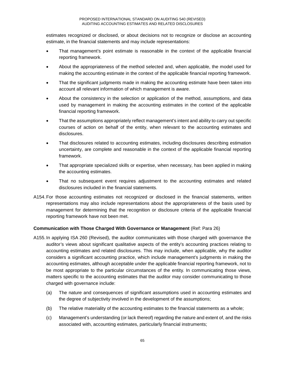estimates recognized or disclosed, or about decisions not to recognize or disclose an accounting estimate, in the financial statements and may include representations:

- That management's point estimate is reasonable in the context of the applicable financial reporting framework.
- About the appropriateness of the method selected and, when applicable, the model used for making the accounting estimate in the context of the applicable financial reporting framework.
- That the significant judgments made in making the accounting estimate have been taken into account all relevant information of which management is aware.
- About the consistency in the selection or application of the method, assumptions, and data used by management in making the accounting estimates in the context of the applicable financial reporting framework.
- That the assumptions appropriately reflect management's intent and ability to carry out specific courses of action on behalf of the entity, when relevant to the accounting estimates and disclosures.
- That disclosures related to accounting estimates, including disclosures describing estimation uncertainty, are complete and reasonable in the context of the applicable financial reporting framework.
- That appropriate specialized skills or expertise, when necessary, has been applied in making the accounting estimates.
- That no subsequent event requires adjustment to the accounting estimates and related disclosures included in the financial statements.
- A154.For those accounting estimates not recognized or disclosed in the financial statements, written representations may also include representations about the appropriateness of the basis used by management for determining that the recognition or disclosure criteria of the applicable financial reporting framework have not been met.

### **Communication with Those Charged With Governance or Management** (Ref: Para 26)

- A155.In applying ISA 260 (Revised), the auditor communicates with those charged with governance the auditor's views about significant qualitative aspects of the entity's accounting practices relating to accounting estimates and related disclosures. This may include, when applicable, why the auditor considers a significant accounting practice, which include management's judgments in making the accounting estimates, although acceptable under the applicable financial reporting framework, not to be most appropriate to the particular circumstances of the entity. In communicating those views, matters specific to the accounting estimates that the auditor may consider communicating to those charged with governance include:
	- (a) The nature and consequences of significant assumptions used in accounting estimates and the degree of subjectivity involved in the development of the assumptions;
	- (b) The relative materiality of the accounting estimates to the financial statements as a whole;
	- (c) Management's understanding (or lack thereof) regarding the nature and extent of, and the risks associated with, accounting estimates, particularly financial instruments;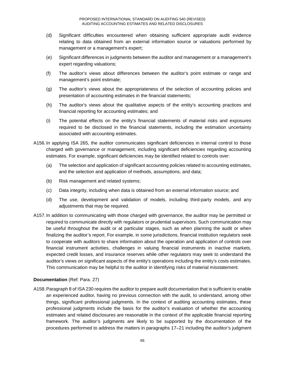- (d) Significant difficulties encountered when obtaining sufficient appropriate audit evidence relating to data obtained from an external information source or valuations performed by management or a management's expert;
- (e) Significant differences in judgments between the auditor and management or a management's expert regarding valuations;
- (f) The auditor's views about differences between the auditor's point estimate or range and management's point estimate;
- (g) The auditor's views about the appropriateness of the selection of accounting policies and presentation of accounting estimates in the financial statements;
- (h) The auditor's views about the qualitative aspects of the entity's accounting practices and financial reporting for accounting estimates; and
- (i) The potential effects on the entity's financial statements of material risks and exposures required to be disclosed in the financial statements, including the estimation uncertainty associated with accounting estimates.
- A156.In applying ISA 265, the auditor communicates significant deficiencies in internal control to those charged with governance or management, including significant deficiencies regarding accounting estimates. For example, significant deficiencies may be identified related to controls over:
	- (a) The selection and application of significant accounting policies related to accounting estimates, and the selection and application of methods, assumptions, and data;
	- (b) Risk management and related systems;
	- (c) Data integrity, including when data is obtained from an external information source; and
	- (d) The use, development and validation of models, including third-party models, and any adjustments that may be required.
- A157.In addition to communicating with those charged with governance, the auditor may be permitted or required to communicate directly with regulators or prudential supervisors. Such communication may be useful throughout the audit or at particular stages, such as when planning the audit or when finalizing the auditor's report. For example, in some jurisdictions, financial institution regulators seek to cooperate with auditors to share information about the operation and application of controls over financial instrument activities, challenges in valuing financial instruments in inactive markets, expected credit losses, and insurance reserves while other regulators may seek to understand the auditor's views on significant aspects of the entity's operations including the entity's costs estimates. This communication may be helpful to the auditor in identifying risks of material misstatement.

### **Documentation** (Ref: Para. 27)

A158.Paragraph 8 of ISA 230 requires the auditor to prepare audit documentation that is sufficient to enable an experienced auditor, having no previous connection with the audit, to understand, among other things, significant professional judgments. In the context of auditing accounting estimates, these professional judgments include the basis for the auditor's evaluation of whether the accounting estimates and related disclosures are reasonable in the context of the applicable financial reporting framework. The auditor's judgments are likely to be supported by the documentation of the procedures performed to address the matters in paragraphs 17–21 including the auditor's judgment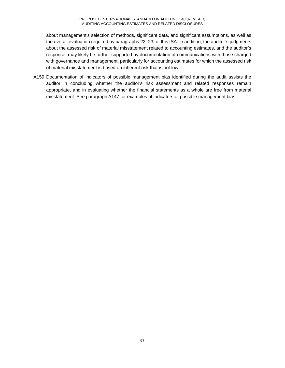about management's selection of methods, significant data, and significant assumptions, as well as the overall evaluation required by paragraphs 22–23, of this ISA. In addition, the auditor's judgments about the assessed risk of material misstatement related to accounting estimates, and the auditor's response, may likely be further supported by documentation of communications with those charged with governance and management, particularly for accounting estimates for which the assessed risk of material misstatement is based on inherent risk that is not low.

A159.Documentation of indicators of possible management bias identified during the audit assists the auditor in concluding whether the auditor's risk assessment and related responses remain appropriate, and in evaluating whether the financial statements as a whole are free from material misstatement. See paragraph A147 for examples of indicators of possible management bias.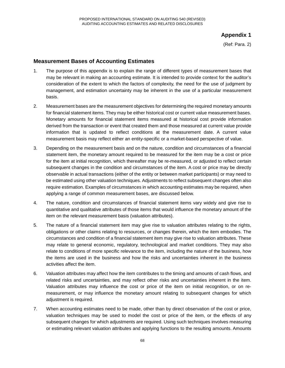# **Appendix 1**

(Ref: Para. 2)

# **Measurement Bases of Accounting Estimates**

- 1. The purpose of this appendix is to explain the range of different types of measurement bases that may be relevant in making an accounting estimate. It is intended to provide context for the auditor's consideration of the extent to which the factors of complexity, the need for the use of judgment by management, and estimation uncertainty may be inherent in the use of a particular measurement basis.
- 2. Measurement bases are the measurement objectives for determining the required monetary amounts for financial statement items. They may be either historical cost or current value measurement bases. Monetary amounts for financial statement items measured at historical cost provide information derived from the transaction or event that created them and those measured at current value provide information that is updated to reflect conditions at the measurement date. A current value measurement basis may reflect either an entity-specific or a market-based perspective of value.
- 3. Depending on the measurement basis and on the nature, condition and circumstances of a financial statement item, the monetary amount required to be measured for the item may be a cost or price for the item at initial recognition, which thereafter may be re-measured, or adjusted to reflect certain subsequent changes in the condition and circumstances of the item. A cost or price may be directly observable in actual transactions (either of the entity or between market participants) or may need to be estimated using other valuation techniques. Adjustments to reflect subsequent changes often also require estimation. Examples of circumstances in which accounting estimates may be required, when applying a range of common measurement bases, are discussed below.
- 4. The nature, condition and circumstances of financial statement items vary widely and give rise to quantitative and qualitative attributes of those items that would influence the monetary amount of the item on the relevant measurement basis (valuation attributes).
- 5. The nature of a financial statement item may give rise to valuation attributes relating to the rights, obligations or other claims relating to resources, or changes therein, which the item embodies. The circumstances and condition of a financial statement item may give rise to valuation attributes. These may relate to general economic, regulatory, technological and market conditions. They may also relate to conditions of more specific relevance to the item, including the nature of the business, how the items are used in the business and how the risks and uncertainties inherent in the business activities affect the item.
- 6. Valuation attributes may affect how the item contributes to the timing and amounts of cash flows, and related risks and uncertainties, and may reflect other risks and uncertainties inherent in the item. Valuation attributes may influence the cost or price of the item on initial recognition, or on remeasurement, or may influence the monetary amount relating to subsequent changes for which adjustment is required.
- 7. When accounting estimates need to be made, other than by direct observation of the cost or price, valuation techniques may be used to model the cost or price of the item, or the effects of any subsequent changes for which adjustments are required. Using such techniques involves measuring or estimating relevant valuation attributes and applying functions to the resulting amounts. Amounts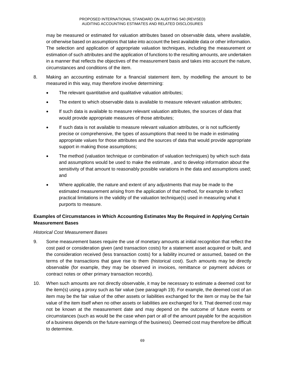may be measured or estimated for valuation attributes based on observable data, where available, or otherwise based on assumptions that take into account the best available data or other information. The selection and application of appropriate valuation techniques, including the measurement or estimation of such attributes and the application of functions to the resulting amounts, are undertaken in a manner that reflects the objectives of the measurement basis and takes into account the nature, circumstances and conditions of the item.

- 8. Making an accounting estimate for a financial statement item, by modelling the amount to be measured in this way, may therefore involve determining:
	- The relevant quantitative and qualitative valuation attributes;
	- The extent to which observable data is available to measure relevant valuation attributes;
	- If such data is available to measure relevant valuation attributes, the sources of data that would provide appropriate measures of those attributes;
	- If such data is not available to measure relevant valuation attributes, or is not sufficiently precise or comprehensive, the types of assumptions that need to be made in estimating appropriate values for those attributes and the sources of data that would provide appropriate support in making those assumptions;
	- The method (valuation technique or combination of valuation techniques) by which such data and assumptions would be used to make the estimate , and to develop information about the sensitivity of that amount to reasonably possible variations in the data and assumptions used; and
	- Where applicable, the nature and extent of any adjustments that may be made to the estimated measurement arising from the application of that method, for example to reflect practical limitations in the validity of the valuation technique(s) used in measuring what it purports to measure.

# **Examples of Circumstances in Which Accounting Estimates May Be Required in Applying Certain Measurement Bases**

### *Historical Cost Measurement Bases*

- 9. Some measurement bases require the use of monetary amounts at initial recognition that reflect the cost paid or consideration given (and transaction costs) for a statement asset acquired or built, and the consideration received (less transaction costs) for a liability incurred or assumed, based on the terms of the transactions that gave rise to them (historical cost). Such amounts may be directly observable (for example, they may be observed in invoices, remittance or payment advices or contract notes or other primary transaction records).
- 10. When such amounts are not directly observable, it may be necessary to estimate a deemed cost for the item(s) using a proxy such as fair value (see paragraph 19). For example, the deemed cost of an item may be the fair value of the other assets or liabilities exchanged for the item or may be the fair value of the item itself when no other assets or liabilities are exchanged for it. That deemed cost may not be known at the measurement date and may depend on the outcome of future events or circumstances (such as would be the case when part or all of the amount payable for the acquisition of a business depends on the future earnings of the business). Deemed cost may therefore be difficult to determine.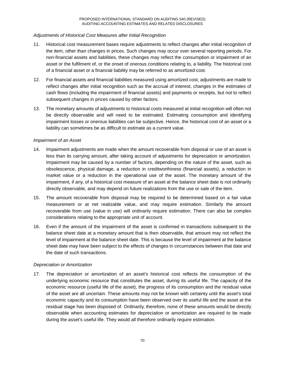### *Adjustments of Historical Cost Measures after Initial Recognition*

- 11. Historical cost measurement bases require adjustments to reflect changes after initial recognition of the item, other than changes in prices. Such changes may occur over several reporting periods. For non-financial assets and liabilities, these changes may reflect the consumption or impairment of an asset or the fulfilment of, or the onset of onerous conditions relating to, a liability. The historical cost of a financial asset or a financial liability may be referred to as amortized cost.
- 12. For financial assets and financial liabilities measured using amortized cost, adjustments are made to reflect changes after initial recognition such as the accrual of interest, changes in the estimates of cash flows (including the impairment of financial assets) and payments or receipts, but not to reflect subsequent changes in prices caused by other factors.
- 13. The monetary amounts of adjustments to historical costs measured at initial recognition will often not be directly observable and will need to be estimated. Estimating consumption and identifying impairment losses or onerous liabilities can be subjective. Hence, the historical cost of an asset or a liability can sometimes be as difficult to estimate as a current value.

#### *Impairment of an Asset*

- 14. Impairment adjustments are made when the amount recoverable from disposal or use of an asset is less than its carrying amount, after taking account of adjustments for depreciation or amortization. Impairment may be caused by a number of factors, depending on the nature of the asset, such as obsolescence, physical damage, a reduction in creditworthiness (financial assets), a reduction in market value or a reduction in the operational use of the asset. The monetary amount of the impairment, if any, of a historical cost measure of an asset at the balance sheet date is not ordinarily directly observable, and may depend on future realizations from the use or sale of the item.
- 15. The amount recoverable from disposal may be required to be determined based on a fair value measurement or at net realizable value, and may require estimation. Similarly the amount recoverable from use (value in use) will ordinarily require estimation. There can also be complex considerations relating to the appropriate unit of account.
- 16. Even if the amount of the impairment of the asset is confirmed in transactions subsequent to the balance sheet date at a monetary amount that is then observable, that amount may not reflect the level of impairment at the balance sheet date. This is because the level of impairment at the balance sheet date may have been subject to the effects of changes in circumstances between that date and the date of such transactions.

### *Depreciation or Amortization*

17. The depreciation or amortization of an asset's historical cost reflects the consumption of the underlying economic resource that constitutes the asset, during its useful life. The capacity of the economic resource (useful life of the asset), the progress of its consumption and the residual value of the asset are all uncertain. These amounts may not be known with certainty until the asset's total economic capacity and its consumption have been observed over its useful life and the asset at the residual stage has been disposed of. Ordinarily, therefore, none of these amounts would be directly observable when accounting estimates for depreciation or amortization are required to be made during the asset's useful life. They would all therefore ordinarily require estimation.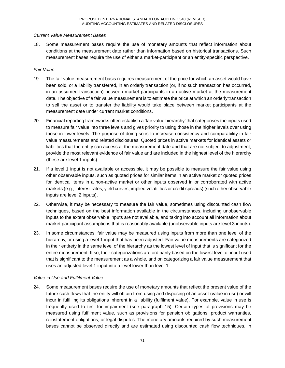#### *Current Value Measurement Bases*

18. Some measurement bases require the use of monetary amounts that reflect information about conditions at the measurement date rather than information based on historical transactions. Such measurement bases require the use of either a market-participant or an entity-specific perspective.

#### *Fair Value*

- 19. The fair value measurement basis requires measurement of the price for which an asset would have been sold, or a liability transferred, in an orderly transaction (or, if no such transaction has occurred, in an assumed transaction) between market participants in an active market at the measurement date. The objective of a fair value measurement is to estimate the price at which an orderly transaction to sell the asset or to transfer the liability would take place between market participants at the measurement date under current market conditions.
- 20. Financial reporting frameworks often establish a 'fair value hierarchy' that categorises the inputs used to measure fair value into three levels and gives priority to using those in the higher levels over using those in lower levels. The purpose of doing so is to increase consistency and comparability in fair value measurements and related disclosures. Quoted prices in active markets for identical assets or liabilities that the entity can access at the measurement date and that are not subject to adjustment, provide the most relevant evidence of fair value and are included in the highest level of the hierarchy (these are level 1 inputs).
- 21. If a level 1 input is not available or accessible, it may be possible to measure the fair value using other observable inputs, such as quoted prices for similar items in an active market or quoted prices for identical items in a non-active market or other inputs observed in or corroborated with active markets (e.g., interest rates, yield curves, implied volatilities or credit spreads) (such other observable inputs are level 2 inputs).
- 22. Otherwise, it may be necessary to measure the fair value, sometimes using discounted cash flow techniques, based on the best information available in the circumstances, including unobservable inputs to the extent observable inputs are not available, and taking into account all information about market participant assumptions that is reasonably available (unobservable inputs are level 3 inputs).
- 23. In some circumstances, fair value may be measured using inputs from more than one level of the hierarchy, or using a level 1 input that has been adjusted. Fair value measurements are categorized in their entirety in the same level of the hierarchy as the lowest level of input that is significant for the entire measurement. If so, their categorizations are ordinarily based on the lowest level of input used that is significant to the measurement as a whole, and on categorizing a fair value measurement that uses an adjusted level 1 input into a level lower than level 1.

#### *Value in Use and Fulfilment Value*

24. Some measurement bases require the use of monetary amounts that reflect the present value of the future cash flows that the entity will obtain from using and disposing of an asset (value in use) or will incur in fulfilling its obligations inherent in a liability (fulfilment value). For example, value in use is frequently used to test for impairment (see paragraph 15). Certain types of provisions may be measured using fulfilment value, such as provisions for pension obligations, product warranties, reinstatement obligations, or legal disputes. The monetary amounts required by such measurement bases cannot be observed directly and are estimated using discounted cash flow techniques. In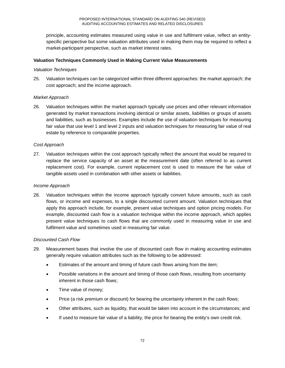principle, accounting estimates measured using value in use and fulfilment value, reflect an entityspecific perspective but some valuation attributes used in making them may be required to reflect a market-participant perspective, such as market interest rates.

### **Valuation Techniques Commonly Used in Making Current Value Measurements**

#### *Valuation Techniques*

25. Valuation techniques can be categorized within three different approaches: the market approach; the cost approach; and the income approach.

## *Market Approach*

26. Valuation techniques within the market approach typically use prices and other relevant information generated by market transactions involving identical or similar assets, liabilities or groups of assets and liabilities, such as businesses. Examples include the use of valuation techniques for measuring fair value that use level 1 and level 2 inputs and valuation techniques for measuring fair value of real estate by reference to comparable properties.

## *Cost Approach*

27. Valuation techniques within the cost approach typically reflect the amount that would be required to replace the service capacity of an asset at the measurement date (often referred to as current replacement cost). For example, current replacement cost is used to measure the fair value of tangible assets used in combination with other assets or liabilities.

#### *Income Approach*

28. Valuation techniques within the income approach typically convert future amounts, such as cash flows, or income and expenses, to a single discounted current amount. Valuation techniques that apply this approach include, for example, present value techniques and option pricing models. For example, discounted cash flow is a valuation technique within the income approach, which applies present value techniques to cash flows that are commonly used in measuring value in use and fulfilment value and sometimes used in measuring fair value.

### *Discounted Cash Flow*

- 29. Measurement bases that involve the use of discounted cash flow in making accounting estimates generally require valuation attributes such as the following to be addressed:
	- Estimates of the amount and timing of future cash flows arising from the item;
	- Possible variations in the amount and timing of those cash flows, resulting from uncertainty inherent in those cash flows;
	- Time value of money;
	- Price (a risk premium or discount) for bearing the uncertainty inherent in the cash flows;
	- Other attributes, such as liquidity, that would be taken into account in the circumstances; and
	- If used to measure fair value of a liability, the price for bearing the entity's own credit risk.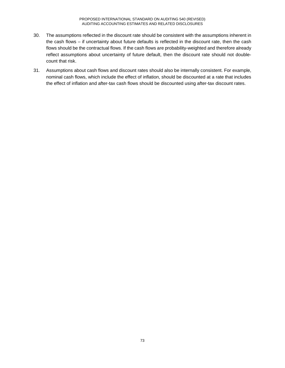- 30. The assumptions reflected in the discount rate should be consistent with the assumptions inherent in the cash flows – if uncertainty about future defaults is reflected in the discount rate, then the cash flows should be the contractual flows. If the cash flows are probability-weighted and therefore already reflect assumptions about uncertainty of future default, then the discount rate should not doublecount that risk.
- 31. Assumptions about cash flows and discount rates should also be internally consistent. For example, nominal cash flows, which include the effect of inflation, should be discounted at a rate that includes the effect of inflation and after-tax cash flows should be discounted using after-tax discount rates.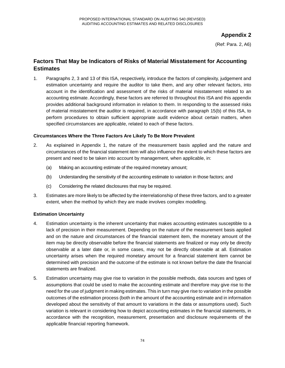(Ref: Para. 2, A6)

## **Factors That May be Indicators of Risks of Material Misstatement for Accounting Estimates**

1. Paragraphs 2, 3 and 13 of this ISA, respectively, introduce the factors of complexity, judgement and estimation uncertainty and require the auditor to take them, and any other relevant factors, into account in the identification and assessment of the risks of material misstatement related to an accounting estimate. Accordingly, these factors are referred to throughout this ISA and this appendix provides additional background information in relation to them. In responding to the assessed risks of material misstatement the auditor is required, in accordance with paragraph 15(b) of this ISA, to perform procedures to obtain sufficient appropriate audit evidence about certain matters, when specified circumstances are applicable, related to each of these factors.

#### **Circumstances Where the Three Factors Are Likely To Be More Prevalent**

- 2. As explained in Appendix 1, the nature of the measurement basis applied and the nature and circumstances of the financial statement item will also influence the extent to which these factors are present and need to be taken into account by management, when applicable, in:
	- (a) Making an accounting estimate of the required monetary amount;
	- (b) Understanding the sensitivity of the accounting estimate to variation in those factors; and
	- (c) Considering the related disclosures that may be required.
- 3. Estimates are more likely to be affected by the interrelationship of these three factors, and to a greater extent, when the method by which they are made involves complex modelling.

#### **Estimation Uncertainty**

- 4. Estimation uncertainty is the inherent uncertainty that makes accounting estimates susceptible to a lack of precision in their measurement. Depending on the nature of the measurement basis applied and on the nature and circumstances of the financial statement item, the monetary amount of the item may be directly observable before the financial statements are finalized or may only be directly observable at a later date or, in some cases, may not be directly observable at all. Estimation uncertainty arises when the required monetary amount for a financial statement item cannot be determined with precision and the outcome of the estimate is not known before the date the financial statements are finalized.
- 5. Estimation uncertainty may give rise to variation in the possible methods, data sources and types of assumptions that could be used to make the accounting estimate and therefore may give rise to the need for the use of judgment in making estimates. This in turn may give rise to variation in the possible outcomes of the estimation process (both in the amount of the accounting estimate and in information developed about the sensitivity of that amount to variations in the data or assumptions used). Such variation is relevant in considering how to depict accounting estimates in the financial statements, in accordance with the recognition, measurement, presentation and disclosure requirements of the applicable financial reporting framework.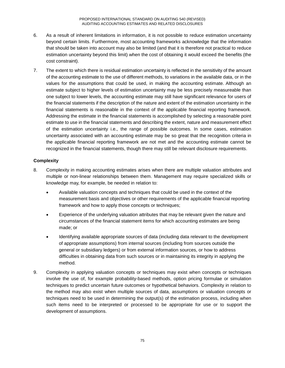- 6. As a result of inherent limitations in information, it is not possible to reduce estimation uncertainty beyond certain limits. Furthermore, most accounting frameworks acknowledge that the information that should be taken into account may also be limited (and that it is therefore not practical to reduce estimation uncertainty beyond this limit) when the cost of obtaining it would exceed the benefits (the cost constraint).
- 7. The extent to which there is residual estimation uncertainty is reflected in the sensitivity of the amount of the accounting estimate to the use of different methods, to variations in the available data, or in the values for the assumptions that could be used, in making the accounting estimate. Although an estimate subject to higher levels of estimation uncertainty may be less precisely measureable than one subject to lower levels, the accounting estimate may still have significant relevance for users of the financial statements if the description of the nature and extent of the estimation uncertainty in the financial statements is reasonable in the context of the applicable financial reporting framework. Addressing the estimate in the financial statements is accomplished by selecting a reasonable point estimate to use in the financial statements and describing the extent, nature and measurement effect of the estimation uncertainty i.e., the range of possible outcomes. In some cases, estimation uncertainty associated with an accounting estimate may be so great that the recognition criteria in the applicable financial reporting framework are not met and the accounting estimate cannot be recognized in the financial statements, though there may still be relevant disclosure requirements.

#### **Complexity**

- 8. Complexity in making accounting estimates arises when there are multiple valuation attributes and multiple or non-linear relationships between them. Management may require specialized skills or knowledge may, for example, be needed in relation to:
	- Available valuation concepts and techniques that could be used in the context of the measurement basis and objectives or other requirements of the applicable financial reporting framework and how to apply those concepts or techniques;
	- Experience of the underlying valuation attributes that may be relevant given the nature and circumstances of the financial statement items for which accounting estimates are being made; or
	- Identifying available appropriate sources of data (including data relevant to the development of appropriate assumptions) from internal sources (including from sources outside the general or subsidiary ledgers) or from external information sources, or how to address difficulties in obtaining data from such sources or in maintaining its integrity in applying the method.
- 9. Complexity in applying valuation concepts or techniques may exist when concepts or techniques involve the use of, for example probability-based methods, option pricing formulae or simulation techniques to predict uncertain future outcomes or hypothetical behaviors. Complexity in relation to the method may also exist when multiple sources of data, assumptions or valuation concepts or techniques need to be used in determining the output(s) of the estimation process, including when such items need to be interpreted or processed to be appropriate for use or to support the development of assumptions.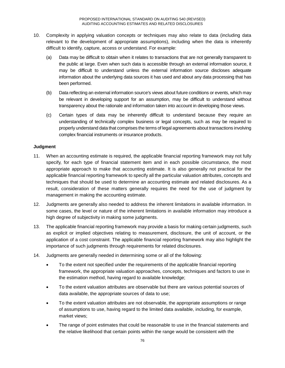- 10. Complexity in applying valuation concepts or techniques may also relate to data (including data relevant to the development of appropriate assumptions), including when the data is inherently difficult to identify, capture, access or understand. For example:
	- (a) Data may be difficult to obtain when it relates to transactions that are not generally transparent to the public at large. Even when such data is accessible through an external information source, it may be difficult to understand unless the external information source discloses adequate information about the underlying data sources it has used and about any data processing that has been performed.
	- (b) Data reflecting an external information source's views about future conditions or events, which may be relevant in developing support for an assumption, may be difficult to understand without transparency about the rationale and information taken into account in developing those views.
	- (c) Certain types of data may be inherently difficult to understand because they require an understanding of technically complex business or legal concepts, such as may be required to properly understand data that comprises the terms of legal agreements about transactions involving complex financial instruments or insurance products.

#### **Judgment**

- 11. When an accounting estimate is required, the applicable financial reporting framework may not fully specify, for each type of financial statement item and in each possible circumstance, the most appropriate approach to make that accounting estimate. It is also generally not practical for the applicable financial reporting framework to specify all the particular valuation attributes, concepts and techniques that should be used to determine an accounting estimate and related disclosures. As a result, consideration of these matters generally requires the need for the use of judgment by management in making the accounting estimate.
- 12. Judgments are generally also needed to address the inherent limitations in available information. In some cases, the level or nature of the inherent limitations in available information may introduce a high degree of subjectivity in making some judgments.
- 13. The applicable financial reporting framework may provide a basis for making certain judgments, such as explicit or implied objectives relating to measurement, disclosure, the unit of account, or the application of a cost constraint. The applicable financial reporting framework may also highlight the importance of such judgments through requirements for related disclosures.
- 14. Judgments are generally needed in determining some or all of the following:
	- To the extent not specified under the requirements of the applicable financial reporting framework, the appropriate valuation approaches, concepts, techniques and factors to use in the estimation method, having regard to available knowledge;
	- To the extent valuation attributes are observable but there are various potential sources of data available, the appropriate sources of data to use;
	- To the extent valuation attributes are not observable, the appropriate assumptions or range of assumptions to use, having regard to the limited data available, including, for example, market views;
	- The range of point estimates that could be reasonable to use in the financial statements and the relative likelihood that certain points within the range would be consistent with the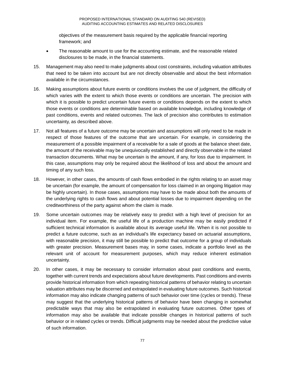objectives of the measurement basis required by the applicable financial reporting framework; and

- The reasonable amount to use for the accounting estimate, and the reasonable related disclosures to be made, in the financial statements.
- 15. Management may also need to make judgments about cost constraints, including valuation attributes that need to be taken into account but are not directly observable and about the best information available in the circumstances.
- 16. Making assumptions about future events or conditions involves the use of judgment, the difficulty of which varies with the extent to which those events or conditions are uncertain. The precision with which it is possible to predict uncertain future events or conditions depends on the extent to which those events or conditions are determinable based on available knowledge, including knowledge of past conditions, events and related outcomes. The lack of precision also contributes to estimation uncertainty, as described above.
- 17. Not all features of a future outcome may be uncertain and assumptions will only need to be made in respect of those features of the outcome that are uncertain. For example, in considering the measurement of a possible impairment of a receivable for a sale of goods at the balance sheet date, the amount of the receivable may be unequivocally established and directly observable in the related transaction documents. What may be uncertain is the amount, if any, for loss due to impairment. In this case, assumptions may only be required about the likelihood of loss and about the amount and timing of any such loss.
- 18. However, in other cases, the amounts of cash flows embodied in the rights relating to an asset may be uncertain (for example, the amount of compensation for loss claimed in an ongoing litigation may be highly uncertain). In those cases, assumptions may have to be made about both the amounts of the underlying rights to cash flows and about potential losses due to impairment depending on the creditworthiness of the party against whom the claim is made.
- 19. Some uncertain outcomes may be relatively easy to predict with a high level of precision for an individual item. For example, the useful life of a production machine may be easily predicted if sufficient technical information is available about its average useful life. When it is not possible to predict a future outcome, such as an individual's life expectancy based on actuarial assumptions, with reasonable precision, it may still be possible to predict that outcome for a group of individuals with greater precision. Measurement bases may, in some cases, indicate a portfolio level as the relevant unit of account for measurement purposes, which may reduce inherent estimation uncertainty.
- 20. In other cases, it may be necessary to consider information about past conditions and events, together with current trends and expectations about future developments. Past conditions and events provide historical information from which repeating historical patterns of behavior relating to uncertain valuation attributes may be discerned and extrapolated in evaluating future outcomes. Such historical information may also indicate changing patterns of such behavior over time (cycles or trends). These may suggest that the underlying historical patterns of behavior have been changing in somewhat predictable ways that may also be extrapolated in evaluating future outcomes. Other types of information may also be available that indicate possible changes in historical patterns of such behavior or in related cycles or trends. Difficult judgments may be needed about the predictive value of such information.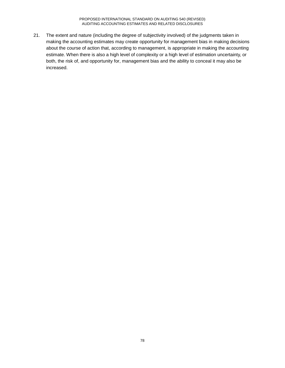PROPOSED INTERNATIONAL STANDARD ON AUDITING 540 (REVISED) AUDITING ACCOUNTING ESTIMATES AND RELATED DISCLOSURES

21. The extent and nature (including the degree of subjectivity involved) of the judgments taken in making the accounting estimates may create opportunity for management bias in making decisions about the course of action that, according to management, is appropriate in making the accounting estimate. When there is also a high level of complexity or a high level of estimation uncertainty, or both, the risk of, and opportunity for, management bias and the ability to conceal it may also be increased.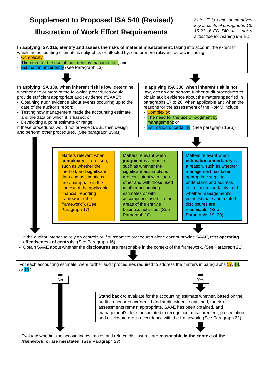# **Supplement to Proposed ISA 540 (Revised)**

## **Illustration of Work Effort Requirements**

*Note: This chart summarizes key aspects of paragraphs 13, 15-23 of ED 540. It is not a substitute for reading the ED.*

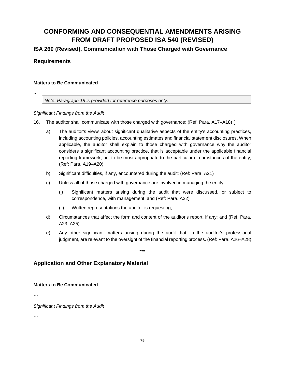## **CONFORMING AND CONSEQUENTIAL AMENDMENTS ARISING FROM DRAFT PROPOSED ISA 540 (REVISED)**

**ISA 260 (Revised), Communication with Those Charged with Governance**

## **Requirements**

…

#### **Matters to Be Communicated**

*…*

*Note: Paragraph 18 is provided for reference purposes only.*

#### *Significant Findings from the Audit*

- 16. The auditor shall communicate with those charged with governance: (Ref: Para. A17–A18) [
	- a) The auditor's views about significant qualitative aspects of the entity's accounting practices, including accounting policies, accounting estimates and financial statement disclosures. When applicable, the auditor shall explain to those charged with governance why the auditor considers a significant accounting practice, that is acceptable under the applicable financial reporting framework, not to be most appropriate to the particular circumstances of the entity; (Ref: Para. A19–A20)
	- b) Significant difficulties, if any, encountered during the audit; (Ref: Para. A21)
	- c) Unless all of those charged with governance are involved in managing the entity:
		- (i) Significant matters arising during the audit that were discussed, or subject to correspondence, with management; and (Ref: Para. A22)
		- (ii) Written representations the auditor is requesting;
	- d) Circumstances that affect the form and content of the auditor's report, if any; and (Ref: Para. A23–A25)
	- e) Any other significant matters arising during the audit that, in the auditor's professional judgment, are relevant to the oversight of the financial reporting process. (Ref: Para. A26–A28)

**\*\*\***

## **Application and Other Explanatory Material**

…

#### **Matters to Be Communicated**

…

*Significant Findings from the Audit*

…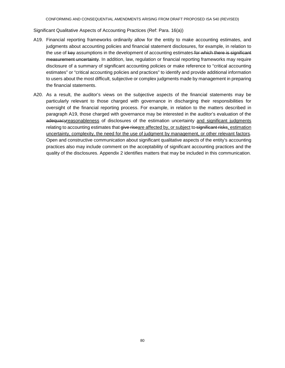Significant Qualitative Aspects of Accounting Practices (Ref: Para. 16(a))

- A19. Financial reporting frameworks ordinarily allow for the entity to make accounting estimates, and judgments about accounting policies and financial statement disclosures, for example, in relation to the use of key assumptions in the development of accounting estimates for which there is significant measurement uncertainty. In addition, law, regulation or financial reporting frameworks may require disclosure of a summary of significant accounting policies or make reference to "critical accounting estimates" or "critical accounting policies and practices" to identify and provide additional information to users about the most difficult, subjective or complex judgments made by management in preparing the financial statements.
- A20. As a result, the auditor's views on the subjective aspects of the financial statements may be particularly relevant to those charged with governance in discharging their responsibilities for oversight of the financial reporting process. For example, in relation to the matters described in paragraph A19, those charged with governance may be interested in the auditor's evaluation of the adequacyreasonableness of disclosures of the estimation uncertainty and significant judgments relating to accounting estimates that give riseare affected by, or subject to significant risks, estimation uncertainty, complexity, the need for the use of judgment by management, or other relevant factors. Open and constructive communication about significant qualitative aspects of the entity's accounting practices also may include comment on the acceptability of significant accounting practices and the quality of the disclosures. Appendix 2 identifies matters that may be included in this communication.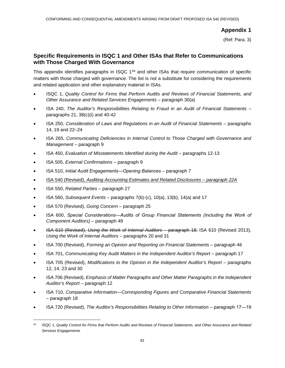(Ref: Para. 3)

## **Specific Requirements in ISQC 1 and Other ISAs that Refer to Communications with Those Charged With Governance**

This appendix identifies paragraphs in ISQC 1<sup>64</sup> and other ISAs that require communication of specific matters with those charged with governance. The list is not a substitute for considering the requirements and related application and other explanatory material in ISAs.

- ISQC 1, *Quality Control for Firms that Perform Audits and Reviews of Financial Statements, and Other Assurance and Related Services Engagements* – paragraph 30(a)
- ISA 240, *The Auditor's Responsibilities Relating to Fraud in an Audit of Financial Statements* paragraphs 21, 38(c)(i) and 40-42
- ISA 250, *Consideration of Laws and Regulations in an Audit of Financial Statements* paragraphs 14, 19 and 22–24
- ISA 265, *Communicating Deficiencies in Internal Control to Those Charged with Governance and Management* – paragraph 9
- ISA 450, *Evaluation of Misstatements Identified during the Audit* paragraphs 12-13
- ISA 505, *External Confirmations* paragraph 9
- ISA 510, *Initial Audit Engagements―Opening Balances* paragraph 7
- ISA 540 (Revised), *Auditing Accounting Estimates and Related Disclosures – paragraph 22A*
- ISA 550, *Related Parties* paragraph 27
- ISA 560, *Subsequent Events* paragraphs 7(b)-(c), 10(a), 13(b), 14(a) and 17
- ISA 570 (Revised), *Going Concern* paragraph 25
- ISA 600, *Special Considerations―Audits of Group Financial Statements (Including the Work of Component Auditors)* – paragraph 49
- ISA 610 (Revised), *Using the Work of Internal Auditors* paragraph 18; ISA 610 (Revised 2013), *Using the Work of Internal Auditors* – paragraphs 20 and 31
- ISA 700 (Revised), *Forming an Opinion and Reporting on Financial Statements* paragraph 46
- ISA 701, *Communicating Key Audit Matters in the Independent Auditor's Report* paragraph 17
- ISA 705 (Revised), *Modifications to the Opinion in the Independent Auditor's Report* paragraphs 12, 14, 23 and 30
- ISA 706 (Revised), *Emphasis of Matter Paragraphs and Other Matter Paragraphs in the Independent Auditor's Report* – paragraph 12
- ISA 710, *Comparative Information—Corresponding Figures and Comparative Financial Statements*  – paragraph 18
- ISA 720 (Revised), *The Auditor's Responsibilities Relating to Other Information* paragraph 17―19

 <sup>64</sup> ISQC 1, *Quality Control for Firms that Perform Audits and Reviews of Financial Statements, and Other Assurance and Related Services Engagements*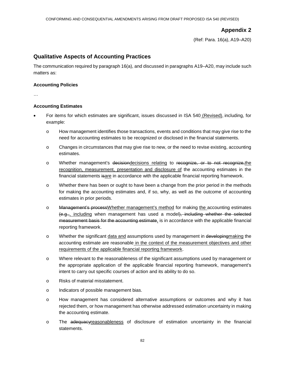(Ref: Para. 16(a), A19–A20)

## **Qualitative Aspects of Accounting Practices**

The communication required by paragraph 16(a), and discussed in paragraphs A19–A20, may include such matters as:

#### **Accounting Policies**

…

#### **Accounting Estimates**

- For items for which estimates are significant, issues discussed in ISA 540 (Revised), including, for example:
	- o How management identifies those transactions, events and conditions that may give rise to the need for accounting estimates to be recognized or disclosed in the financial statements.
	- o Changes in circumstances that may give rise to new, or the need to revise existing, accounting estimates.
	- o Whether management's decisiondecisions relating to recognize, or to not recognize,the recognition, measurement, presentation and disclosure of the accounting estimates in the financial statements isare in accordance with the applicable financial reporting framework.
	- o Whether there has been or ought to have been a change from the prior period in the methods for making the accounting estimates and, if so, why, as well as the outcome of accounting estimates in prior periods.
	- o Management's process Whether management's method for making the accounting estimates (e.g.,, including when management has used a model), including whether the selected measurement basis for the accounting estimate, is in accordance with the applicable financial reporting framework.
	- o Whether the significant data and assumptions used by management in developing making the accounting estimate are reasonable in the context of the measurement objectives and other requirements of the applicable financial reporting framework.
	- o Where relevant to the reasonableness of the significant assumptions used by management or the appropriate application of the applicable financial reporting framework, management's intent to carry out specific courses of action and its ability to do so.
	- o Risks of material misstatement.
	- o Indicators of possible management bias.
	- o How management has considered alternative assumptions or outcomes and why it has rejected them, or how management has otherwise addressed estimation uncertainty in making the accounting estimate.
	- o The adequacyreasonableness of disclosure of estimation uncertainty in the financial statements.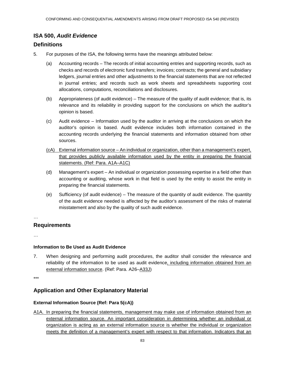## **ISA 500,** *Audit Evidence*

### **Definitions**

- 5. For purposes of the ISA, the following terms have the meanings attributed below:
	- (a) Accounting records The records of initial accounting entries and supporting records, such as checks and records of electronic fund transfers; invoices; contracts; the general and subsidiary ledgers, journal entries and other adjustments to the financial statements that are not reflected in journal entries; and records such as work sheets and spreadsheets supporting cost allocations, computations, reconciliations and disclosures.
	- (b) Appropriateness (of audit evidence) The measure of the quality of audit evidence; that is, its relevance and its reliability in providing support for the conclusions on which the auditor's opinion is based.
	- (c) Audit evidence Information used by the auditor in arriving at the conclusions on which the auditor's opinion is based. Audit evidence includes both information contained in the accounting records underlying the financial statements and information obtained from other sources.
	- (cA) External information source An individual or organization, other than a management's expert, that provides publicly available information used by the entity in preparing the financial statements. (Ref: Para. A1A-A1C)
	- (d) Management's expert An individual or organization possessing expertise in a field other than accounting or auditing, whose work in that field is used by the entity to assist the entity in preparing the financial statements.
	- (e) Sufficiency (of audit evidence) The measure of the quantity of audit evidence. The quantity of the audit evidence needed is affected by the auditor's assessment of the risks of material misstatement and also by the quality of such audit evidence.

#### …

### **Requirements**

…

#### **Information to Be Used as Audit Evidence**

7. When designing and performing audit procedures, the auditor shall consider the relevance and reliability of the information to be used as audit evidence, including information obtained from an external information source. (Ref: Para. A26–A33J)

\*\*\*

## **Application and Other Explanatory Material**

#### **External Information Source (Ref: Para 5(cA))**

A1A. In preparing the financial statements, management may make use of information obtained from an external information source. An important consideration in determining whether an individual or organization is acting as an external information source is whether the individual or organization meets the definition of a management's expert with respect to that information. Indicators that an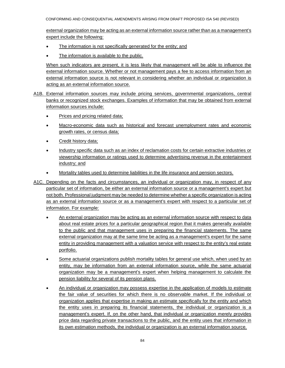CONFORMING AND CONSEQUENTIAL AMENDMENTS ARISING FROM DRAFT PROPOSED ISA 540 (REVISED)

external organization may be acting as an external information source rather than as a management's expert include the following:

- The information is not specifically generated for the entity; and
- The information is available to the public.

When such indicators are present, it is less likely that management will be able to influence the external information source. Whether or not management pays a fee to access information from an external information source is not relevant in considering whether an individual or organization is acting as an external information source.

- A1B. External information sources may include pricing services, governmental organizations, central banks or recognized stock exchanges. Examples of information that may be obtained from external information sources include:
	- Prices and pricing related data;
	- Macro-economic data such as historical and forecast unemployment rates and economic growth rates, or census data;
	- Credit history data;
	- Industry specific data such as an index of reclamation costs for certain extractive industries or viewership information or ratings used to determine advertising revenue in the entertainment industry; and
	- Mortality tables used to determine liabilities in the life insurance and pension sectors.
- A1C. Depending on the facts and circumstances, an individual or organization may, in respect of any particular set of information, be either an external information source or a management's expert but not both. Professional judgment may be needed to determine whether a specific organization is acting as an external information source or as a management's expert with respect to a particular set of information. For example:
	- An external organization may be acting as an external information source with respect to data about real estate prices for a particular geographical region that it makes generally available to the public and that management uses in preparing the financial statements. The same external organization may at the same time be acting as a management's expert for the same entity in providing management with a valuation service with respect to the entity's real estate portfolio.
	- Some actuarial organizations publish mortality tables for general use which, when used by an entity, may be information from an external information source, while the same actuarial organization may be a management's expert when helping management to calculate the pension liability for several of its pension plans.
	- An individual or organization may possess expertise in the application of models to estimate the fair value of securities for which there is no observable market. If the individual or organization applies that expertise in making an estimate specifically for the entity and which the entity uses in preparing its financial statements, the individual or organization is a management's expert. If, on the other hand, that individual or organization merely provides price data regarding private transactions to the public, and the entity uses that information in its own estimation methods, the individual or organization is an external information source.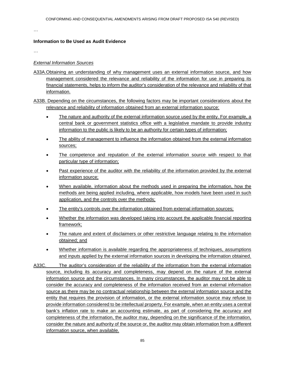…

#### **Information to Be Used as Audit Evidence**

…

#### *External Information Sources*

A33A.Obtaining an understanding of why management uses an external information source, and how management considered the relevance and reliability of the information for use in preparing its financial statements, helps to inform the auditor's consideration of the relevance and reliability of that information.

A33B. Depending on the circumstances, the following factors may be important considerations about the relevance and reliability of information obtained from an external information source:

- The nature and authority of the external information source used by the entity. For example, a central bank or government statistics office with a legislative mandate to provide industry information to the public is likely to be an authority for certain types of information;
- The ability of management to influence the information obtained from the external information sources;
- The competence and reputation of the external information source with respect to that particular type of information;
- Past experience of the auditor with the reliability of the information provided by the external information source;
- When available, information about the methods used in preparing the information, how the methods are being applied including, where applicable, how models have been used in such application, and the controls over the methods;
- The entity's controls over the information obtained from external information sources;
- Whether the information was developed taking into account the applicable financial reporting framework;
- The nature and extent of disclaimers or other restrictive language relating to the information obtained; and
- Whether information is available regarding the appropriateness of techniques, assumptions and inputs applied by the external information sources in developing the information obtained.
- A33C. The auditor's consideration of the reliability of the information from the external information source, including its accuracy and completeness, may depend on the nature of the external information source and the circumstances. In many circumstances, the auditor may not be able to consider the accuracy and completeness of the information received from an external information source as there may be no contractual relationship between the external information source and the entity that requires the provision of information, or the external information source may refuse to provide information considered to be intellectual property. For example, when an entity uses a central bank's inflation rate to make an accounting estimate, as part of considering the accuracy and completeness of the information, the auditor may, depending on the significance of the information, consider the nature and authority of the source or, the auditor may obtain information from a different information source, when available.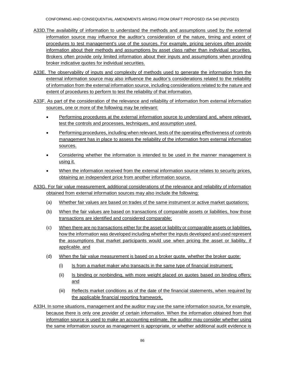- A33D.The availability of information to understand the methods and assumptions used by the external information source may influence the auditor's consideration of the nature, timing and extent of procedures to test management's use of the sources. For example, pricing services often provide information about their methods and assumptions by asset class rather than individual securities. Brokers often provide only limited information about their inputs and assumptions when providing broker indicative quotes for individual securities.
- A33E. The observability of inputs and complexity of methods used to generate the information from the external information source may also influence the auditor's considerations related to the reliability of information from the external information source, including considerations related to the nature and extent of procedures to perform to test the reliability of that information.
- A33F. As part of the consideration of the relevance and reliability of information from external information sources, one or more of the following may be relevant:
	- Performing procedures at the external information source to understand and, where relevant, test the controls and processes, techniques, and assumption used.
	- Performing procedures, including when relevant, tests of the operating effectiveness of controls management has in place to assess the reliability of the information from external information sources.
	- Considering whether the information is intended to be used in the manner management is using it.
	- When the information received from the external information source relates to security prices, obtaining an independent price from another information source.
- A33G. For fair value measurement, additional considerations of the relevance and reliability of information obtained from external information sources may also include the following:
	- (a) Whether fair values are based on trades of the same instrument or active market quotations;
	- (b) When the fair values are based on transactions of comparable assets or liabilities, how those transactions are identified and considered comparable;
	- (c) When there are no transactions either for the asset or liability or comparable assets or liabilities, how the information was developed including whether the inputs developed and used represent the assumptions that market participants would use when pricing the asset or liability, if applicable. and
	- (d) When the fair value measurement is based on a broker quote, whether the broker quote:
		- (i) Is from a market maker who transacts in the same type of financial instrument;
		- (ii) Is binding or nonbinding, with more weight placed on quotes based on binding offers; and
		- (iii) Reflects market conditions as of the date of the financial statements, when required by the applicable financial reporting framework.

A33H. In some situations, management and the auditor may use the same information source, for example, because there is only one provider of certain information. When the information obtained from that information source is used to make an accounting estimate, the auditor may consider whether using the same information source as management is appropriate, or whether additional audit evidence is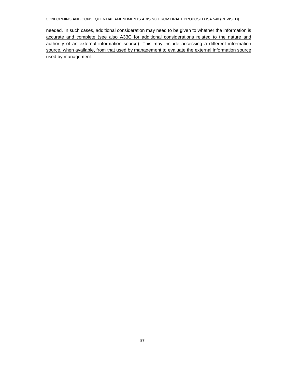CONFORMING AND CONSEQUENTIAL AMENDMENTS ARISING FROM DRAFT PROPOSED ISA 540 (REVISED)

needed. In such cases, additional consideration may need to be given to whether the information is accurate and complete (see also A33C for additional considerations related to the nature and authority of an external information source). This may include accessing a different information source, when available, from that used by management to evaluate the external information source used by management.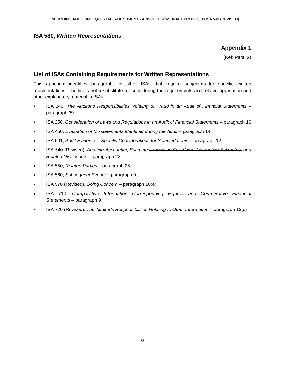#### **ISA 580,** *Written Representations*

## **Appendix 1**

(Ref: Para. 2)

## **List of ISAs Containing Requirements for Written Representations**

This appendix identifies paragraphs in other ISAs that require subject-matter specific written representations. The list is not a substitute for considering the requirements and related application and other explanatory material in ISAs.

- ISA 240, *The Auditor's Responsibilities Relating to Fraud in an Audit of Financial Statements* paragraph 39
- ISA 250, *Consideration of Laws and Regulations in an Audit of Financial Statements* paragraph 16
- ISA 450, *Evaluation of Misstatements Identified during the Audit* paragraph 14
- ISA 501, *Audit Evidence—Specific Considerations for Selected Items* paragraph 12
- ISA 540 (Revised), *Auditing Accounting Estimates, Including Fair Value Accounting Estimates, and Related Disclosures* – paragraph 22
- ISA 550, *Related Parties* paragraph 26
- ISA 560, *Subsequent Events* paragraph 9
- ISA 570 (Revised), *Going Concern* paragraph 16(e)
- ISA 710, *Comparative Information—Corresponding Figures and Comparative Financial Statements* – paragraph 9
- ISA 720 (Revised), *The Auditor's Responsibilities Relating to Other Information*  paragraph 13(c)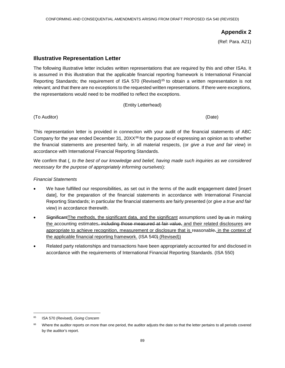(Ref: Para. A21)

## **Illustrative Representation Letter**

The following illustrative letter includes written representations that are required by this and other ISAs. It is assumed in this illustration that the applicable financial reporting framework is International Financial Reporting Standards; the requirement of ISA 570 (Revised)<sup>65</sup> to obtain a written representation is not relevant; and that there are no exceptions to the requested written representations. If there were exceptions, the representations would need to be modified to reflect the exceptions.

(Entity Letterhead)

(To Auditor) (Date)

This representation letter is provided in connection with your audit of the financial statements of ABC Company for the year ended December 31, 20XX $66$  for the purpose of expressing an opinion as to whether the financial statements are presented fairly, in all material respects, (or *give a true and fair view*) in accordance with International Financial Reporting Standards.

We confirm that (*, to the best of our knowledge and belief, having made such inquiries as we considered necessary for the purpose of appropriately informing ourselves*):

#### *Financial Statements*

- We have fulfilled our responsibilities, as set out in the terms of the audit engagement dated [insert date], for the preparation of the financial statements in accordance with International Financial Reporting Standards; in particular the financial statements are fairly presented (or *give a true and fair view*) in accordance therewith.
- Significant The methods, the significant data, and the significant assumptions used by us in making the accounting estimates, including those measured at fair value, and their related disclosures are appropriate to achieve recognition, measurement or disclosure that is reasonable. in the context of the applicable financial reporting framework. (ISA 540) (Revised))
- Related party relationships and transactions have been appropriately accounted for and disclosed in accordance with the requirements of International Financial Reporting Standards. (ISA 550)

 <sup>65</sup> ISA 570 (Revised), *Going Concern*

<sup>&</sup>lt;sup>66</sup> Where the auditor reports on more than one period, the auditor adjusts the date so that the letter pertains to all periods covered by the auditor's report.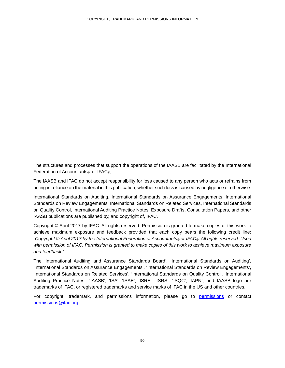The structures and processes that support the operations of the IAASB are facilitated by the International Federation of Accountants<sup>®</sup> or IFAC<sup>®</sup>.

The IAASB and IFAC do not accept responsibility for loss caused to any person who acts or refrains from acting in reliance on the material in this publication, whether such loss is caused by negligence or otherwise.

International Standards on Auditing, International Standards on Assurance Engagements, International Standards on Review Engagements, International Standards on Related Services, International Standards on Quality Control, International Auditing Practice Notes, Exposure Drafts, Consultation Papers, and other IAASB publications are published by, and copyright of, IFAC.

Copyright © April 2017 by IFAC. All rights reserved. Permission is granted to make copies of this work to achieve maximum exposure and feedback provided that each copy bears the following credit line: *"Copyright © April 2017 by the International Federation of Accountants® or IFAC®. All rights reserved. Used with permission of IFAC. Permission is granted to make copies of this work to achieve maximum exposure and feedback."*

The 'International Auditing and Assurance Standards Board', 'International Standards on Auditing', 'International Standards on Assurance Engagements', 'International Standards on Review Engagements', 'International Standards on Related Services', 'International Standards on Quality Control', 'International Auditing Practice Notes', 'IAASB', 'ISA', 'ISAE', 'ISRE', 'ISRS', 'ISQC', 'IAPN', and IAASB logo are trademarks of IFAC, or registered trademarks and service marks of IFAC in the US and other countries.

For copyright, trademark, and permissions information, please go to permissions or contact permissions@ifac.org.